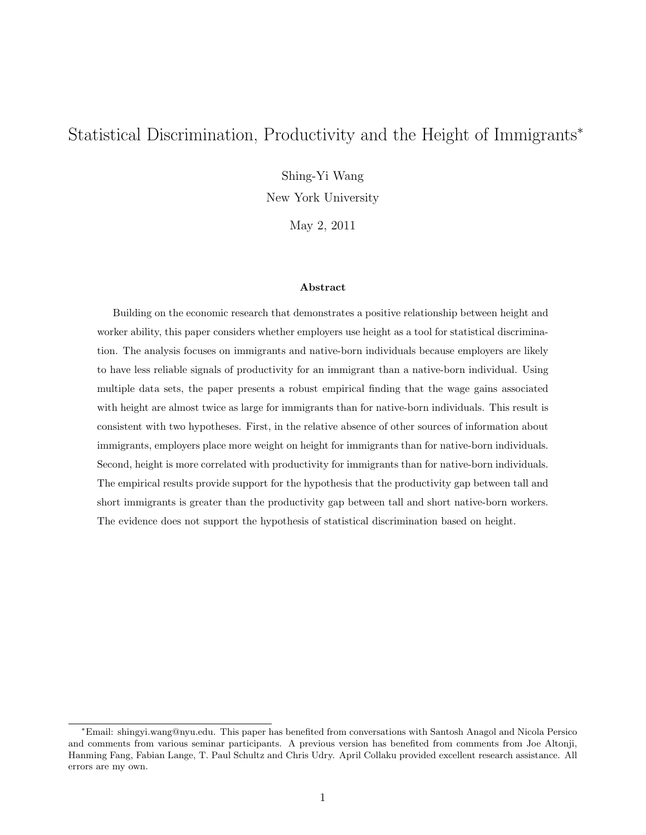# Statistical Discrimination, Productivity and the Height of Immigrants<sup>∗</sup>

Shing-Yi Wang

New York University

May 2, 2011

#### Abstract

Building on the economic research that demonstrates a positive relationship between height and worker ability, this paper considers whether employers use height as a tool for statistical discrimination. The analysis focuses on immigrants and native-born individuals because employers are likely to have less reliable signals of productivity for an immigrant than a native-born individual. Using multiple data sets, the paper presents a robust empirical finding that the wage gains associated with height are almost twice as large for immigrants than for native-born individuals. This result is consistent with two hypotheses. First, in the relative absence of other sources of information about immigrants, employers place more weight on height for immigrants than for native-born individuals. Second, height is more correlated with productivity for immigrants than for native-born individuals. The empirical results provide support for the hypothesis that the productivity gap between tall and short immigrants is greater than the productivity gap between tall and short native-born workers. The evidence does not support the hypothesis of statistical discrimination based on height.

<sup>∗</sup>Email: shingyi.wang@nyu.edu. This paper has benefited from conversations with Santosh Anagol and Nicola Persico and comments from various seminar participants. A previous version has benefited from comments from Joe Altonji, Hanming Fang, Fabian Lange, T. Paul Schultz and Chris Udry. April Collaku provided excellent research assistance. All errors are my own.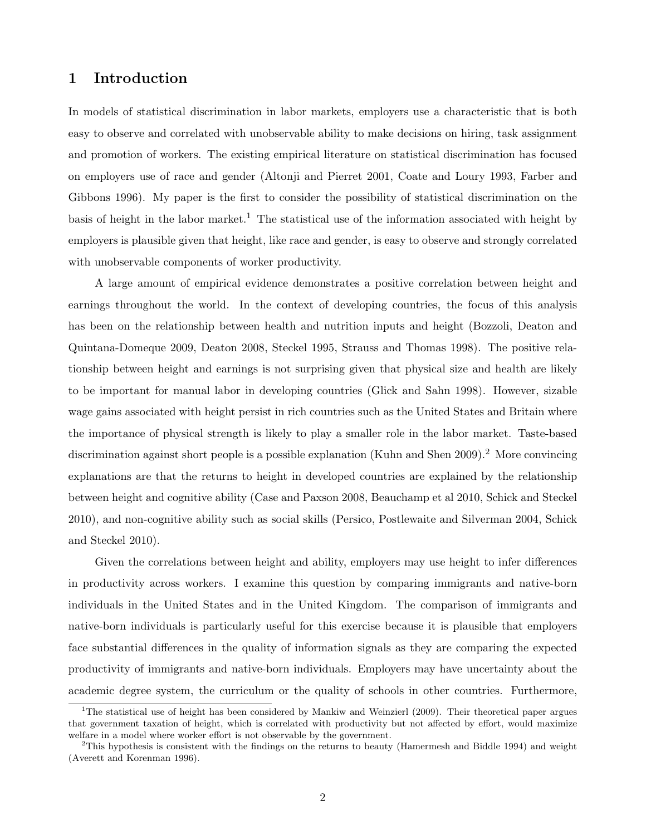### 1 Introduction

In models of statistical discrimination in labor markets, employers use a characteristic that is both easy to observe and correlated with unobservable ability to make decisions on hiring, task assignment and promotion of workers. The existing empirical literature on statistical discrimination has focused on employers use of race and gender (Altonji and Pierret 2001, Coate and Loury 1993, Farber and Gibbons 1996). My paper is the first to consider the possibility of statistical discrimination on the basis of height in the labor market.<sup>1</sup> The statistical use of the information associated with height by employers is plausible given that height, like race and gender, is easy to observe and strongly correlated with unobservable components of worker productivity.

A large amount of empirical evidence demonstrates a positive correlation between height and earnings throughout the world. In the context of developing countries, the focus of this analysis has been on the relationship between health and nutrition inputs and height (Bozzoli, Deaton and Quintana-Domeque 2009, Deaton 2008, Steckel 1995, Strauss and Thomas 1998). The positive relationship between height and earnings is not surprising given that physical size and health are likely to be important for manual labor in developing countries (Glick and Sahn 1998). However, sizable wage gains associated with height persist in rich countries such as the United States and Britain where the importance of physical strength is likely to play a smaller role in the labor market. Taste-based discrimination against short people is a possible explanation (Kuhn and Shen 2009).<sup>2</sup> More convincing explanations are that the returns to height in developed countries are explained by the relationship between height and cognitive ability (Case and Paxson 2008, Beauchamp et al 2010, Schick and Steckel 2010), and non-cognitive ability such as social skills (Persico, Postlewaite and Silverman 2004, Schick and Steckel 2010).

Given the correlations between height and ability, employers may use height to infer differences in productivity across workers. I examine this question by comparing immigrants and native-born individuals in the United States and in the United Kingdom. The comparison of immigrants and native-born individuals is particularly useful for this exercise because it is plausible that employers face substantial differences in the quality of information signals as they are comparing the expected productivity of immigrants and native-born individuals. Employers may have uncertainty about the academic degree system, the curriculum or the quality of schools in other countries. Furthermore,

<sup>&</sup>lt;sup>1</sup>The statistical use of height has been considered by Mankiw and Weinzierl (2009). Their theoretical paper argues that government taxation of height, which is correlated with productivity but not affected by effort, would maximize welfare in a model where worker effort is not observable by the government.

<sup>&</sup>lt;sup>2</sup>This hypothesis is consistent with the findings on the returns to beauty (Hamermesh and Biddle 1994) and weight (Averett and Korenman 1996).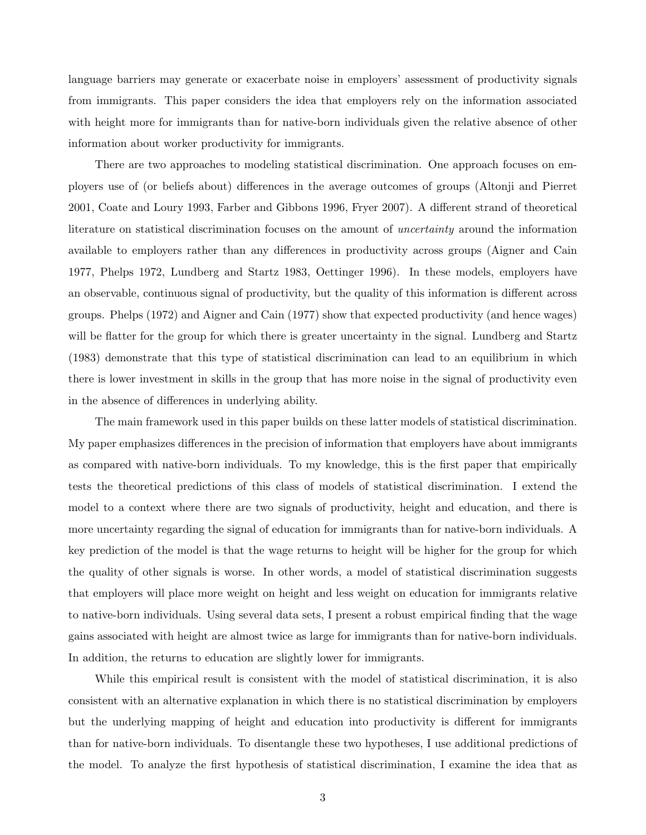language barriers may generate or exacerbate noise in employers' assessment of productivity signals from immigrants. This paper considers the idea that employers rely on the information associated with height more for immigrants than for native-born individuals given the relative absence of other information about worker productivity for immigrants.

There are two approaches to modeling statistical discrimination. One approach focuses on employers use of (or beliefs about) differences in the average outcomes of groups (Altonji and Pierret 2001, Coate and Loury 1993, Farber and Gibbons 1996, Fryer 2007). A different strand of theoretical literature on statistical discrimination focuses on the amount of uncertainty around the information available to employers rather than any differences in productivity across groups (Aigner and Cain 1977, Phelps 1972, Lundberg and Startz 1983, Oettinger 1996). In these models, employers have an observable, continuous signal of productivity, but the quality of this information is different across groups. Phelps (1972) and Aigner and Cain (1977) show that expected productivity (and hence wages) will be flatter for the group for which there is greater uncertainty in the signal. Lundberg and Startz (1983) demonstrate that this type of statistical discrimination can lead to an equilibrium in which there is lower investment in skills in the group that has more noise in the signal of productivity even in the absence of differences in underlying ability.

The main framework used in this paper builds on these latter models of statistical discrimination. My paper emphasizes differences in the precision of information that employers have about immigrants as compared with native-born individuals. To my knowledge, this is the first paper that empirically tests the theoretical predictions of this class of models of statistical discrimination. I extend the model to a context where there are two signals of productivity, height and education, and there is more uncertainty regarding the signal of education for immigrants than for native-born individuals. A key prediction of the model is that the wage returns to height will be higher for the group for which the quality of other signals is worse. In other words, a model of statistical discrimination suggests that employers will place more weight on height and less weight on education for immigrants relative to native-born individuals. Using several data sets, I present a robust empirical finding that the wage gains associated with height are almost twice as large for immigrants than for native-born individuals. In addition, the returns to education are slightly lower for immigrants.

While this empirical result is consistent with the model of statistical discrimination, it is also consistent with an alternative explanation in which there is no statistical discrimination by employers but the underlying mapping of height and education into productivity is different for immigrants than for native-born individuals. To disentangle these two hypotheses, I use additional predictions of the model. To analyze the first hypothesis of statistical discrimination, I examine the idea that as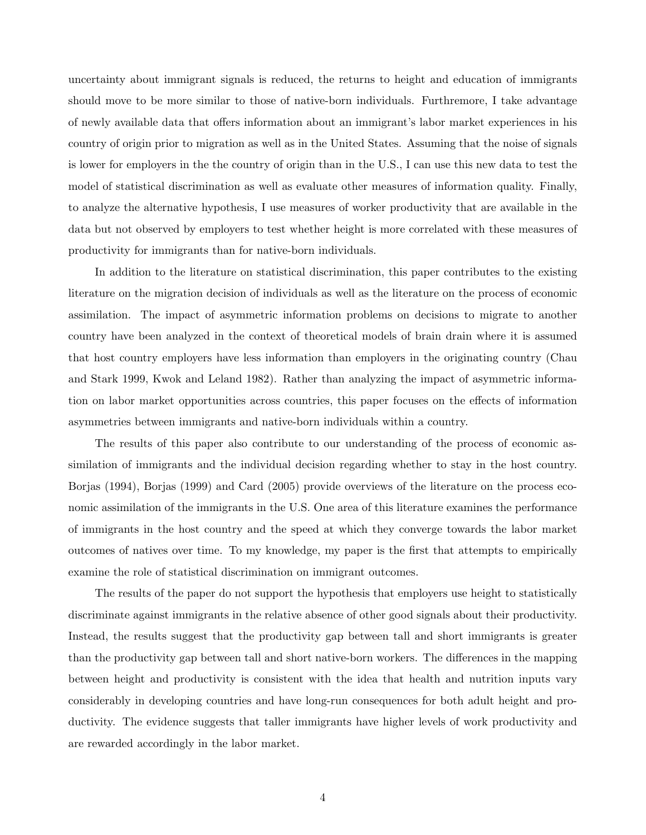uncertainty about immigrant signals is reduced, the returns to height and education of immigrants should move to be more similar to those of native-born individuals. Furthremore, I take advantage of newly available data that offers information about an immigrant's labor market experiences in his country of origin prior to migration as well as in the United States. Assuming that the noise of signals is lower for employers in the the country of origin than in the U.S., I can use this new data to test the model of statistical discrimination as well as evaluate other measures of information quality. Finally, to analyze the alternative hypothesis, I use measures of worker productivity that are available in the data but not observed by employers to test whether height is more correlated with these measures of productivity for immigrants than for native-born individuals.

In addition to the literature on statistical discrimination, this paper contributes to the existing literature on the migration decision of individuals as well as the literature on the process of economic assimilation. The impact of asymmetric information problems on decisions to migrate to another country have been analyzed in the context of theoretical models of brain drain where it is assumed that host country employers have less information than employers in the originating country (Chau and Stark 1999, Kwok and Leland 1982). Rather than analyzing the impact of asymmetric information on labor market opportunities across countries, this paper focuses on the effects of information asymmetries between immigrants and native-born individuals within a country.

The results of this paper also contribute to our understanding of the process of economic assimilation of immigrants and the individual decision regarding whether to stay in the host country. Borjas (1994), Borjas (1999) and Card (2005) provide overviews of the literature on the process economic assimilation of the immigrants in the U.S. One area of this literature examines the performance of immigrants in the host country and the speed at which they converge towards the labor market outcomes of natives over time. To my knowledge, my paper is the first that attempts to empirically examine the role of statistical discrimination on immigrant outcomes.

The results of the paper do not support the hypothesis that employers use height to statistically discriminate against immigrants in the relative absence of other good signals about their productivity. Instead, the results suggest that the productivity gap between tall and short immigrants is greater than the productivity gap between tall and short native-born workers. The differences in the mapping between height and productivity is consistent with the idea that health and nutrition inputs vary considerably in developing countries and have long-run consequences for both adult height and productivity. The evidence suggests that taller immigrants have higher levels of work productivity and are rewarded accordingly in the labor market.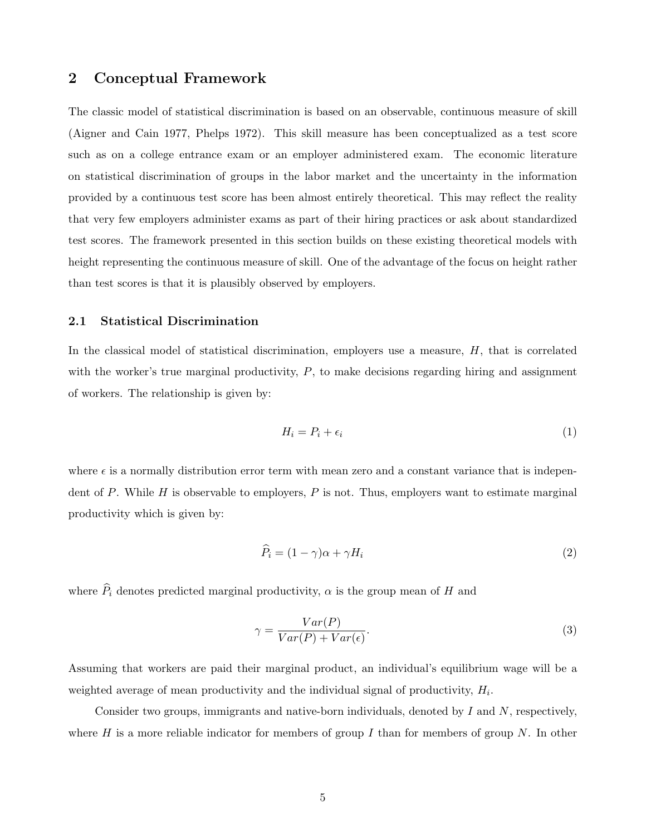# 2 Conceptual Framework

The classic model of statistical discrimination is based on an observable, continuous measure of skill (Aigner and Cain 1977, Phelps 1972). This skill measure has been conceptualized as a test score such as on a college entrance exam or an employer administered exam. The economic literature on statistical discrimination of groups in the labor market and the uncertainty in the information provided by a continuous test score has been almost entirely theoretical. This may reflect the reality that very few employers administer exams as part of their hiring practices or ask about standardized test scores. The framework presented in this section builds on these existing theoretical models with height representing the continuous measure of skill. One of the advantage of the focus on height rather than test scores is that it is plausibly observed by employers.

### 2.1 Statistical Discrimination

In the classical model of statistical discrimination, employers use a measure, H, that is correlated with the worker's true marginal productivity,  $P$ , to make decisions regarding hiring and assignment of workers. The relationship is given by:

$$
H_i = P_i + \epsilon_i \tag{1}
$$

where  $\epsilon$  is a normally distribution error term with mean zero and a constant variance that is independent of P. While H is observable to employers, P is not. Thus, employers want to estimate marginal productivity which is given by:

$$
\widehat{P}_i = (1 - \gamma)\alpha + \gamma H_i \tag{2}
$$

where  $\widehat{P}_i$  denotes predicted marginal productivity,  $\alpha$  is the group mean of  $H$  and

$$
\gamma = \frac{Var(P)}{Var(P) + Var(\epsilon)}.\tag{3}
$$

Assuming that workers are paid their marginal product, an individual's equilibrium wage will be a weighted average of mean productivity and the individual signal of productivity,  $H_i$ .

Consider two groups, immigrants and native-born individuals, denoted by  $I$  and  $N$ , respectively, where H is a more reliable indicator for members of group I than for members of group  $N$ . In other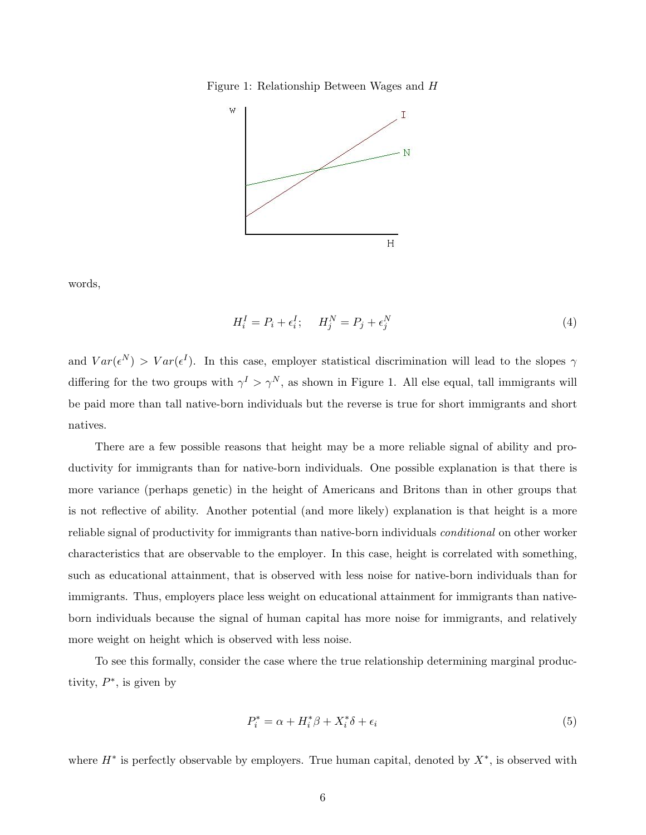Figure 1: Relationship Between Wages and H



words,

$$
H_i^I = P_i + \epsilon_i^I; \qquad H_j^N = P_j + \epsilon_j^N \tag{4}
$$

and  $Var(\epsilon^N) > Var(\epsilon^I)$ . In this case, employer statistical discrimination will lead to the slopes  $\gamma$ differing for the two groups with  $\gamma^I > \gamma^N$ , as shown in Figure 1. All else equal, tall immigrants will be paid more than tall native-born individuals but the reverse is true for short immigrants and short natives.

There are a few possible reasons that height may be a more reliable signal of ability and productivity for immigrants than for native-born individuals. One possible explanation is that there is more variance (perhaps genetic) in the height of Americans and Britons than in other groups that is not reflective of ability. Another potential (and more likely) explanation is that height is a more reliable signal of productivity for immigrants than native-born individuals conditional on other worker characteristics that are observable to the employer. In this case, height is correlated with something, such as educational attainment, that is observed with less noise for native-born individuals than for immigrants. Thus, employers place less weight on educational attainment for immigrants than nativeborn individuals because the signal of human capital has more noise for immigrants, and relatively more weight on height which is observed with less noise.

To see this formally, consider the case where the true relationship determining marginal productivity,  $P^*$ , is given by

$$
P_i^* = \alpha + H_i^* \beta + X_i^* \delta + \epsilon_i \tag{5}
$$

where  $H^*$  is perfectly observable by employers. True human capital, denoted by  $X^*$ , is observed with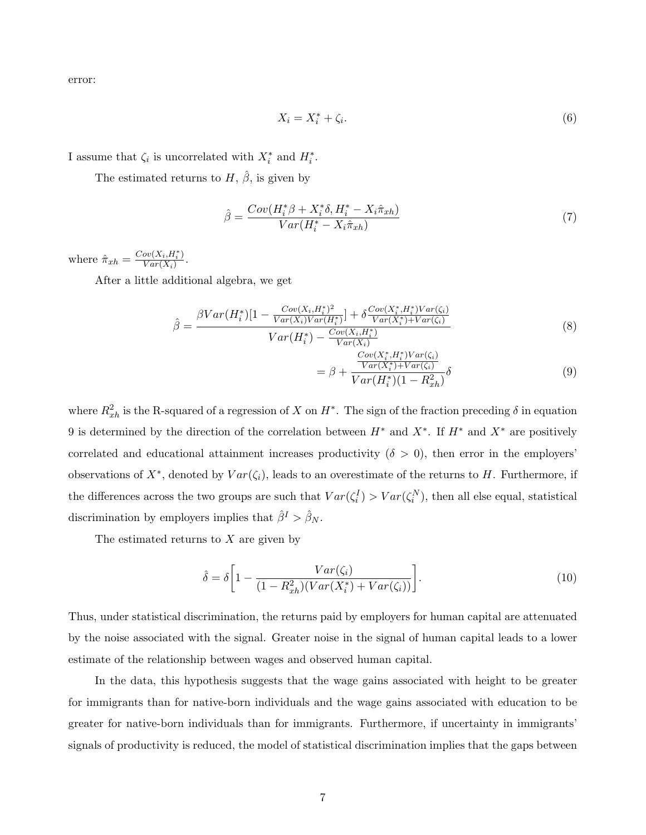error:

$$
X_i = X_i^* + \zeta_i. \tag{6}
$$

I assume that  $\zeta_i$  is uncorrelated with  $X_i^*$  and  $H_i^*$ .

The estimated returns to  $H$ ,  $\hat{\beta}$ , is given by

$$
\hat{\beta} = \frac{Cov(H_i^* \beta + X_i^* \delta, H_i^* - X_i \hat{\pi}_{xh})}{Var(H_i^* - X_i \hat{\pi}_{xh})}
$$
(7)

where  $\hat{\pi}_{xh} = \frac{Cov(X_i, H_i^*)}{Var(X_i)}$  $\frac{ov(X_i, H_i)}{Var(X_i)}$ .

After a little additional algebra, we get

$$
\hat{\beta} = \frac{\beta Var(H_i^*)[1 - \frac{Cov(X_i, H_i^*)^2}{Var(X_i)Var(H_i^*)}] + \delta \frac{Cov(X_i^*, H_i^*)Var(\zeta_i)}{Var(X_i^*) + Var(\zeta_i)}}{Var(H_i^*) - \frac{Cov(X_i, H_i^*)}{Var(X_i)}}
$$
(8)  

$$
= \beta + \frac{\frac{Cov(X_i^*, H_i^*)Var(\zeta_i)}{Var(X_i^*) + Var(\zeta_i)}}{Var(H_i^*) (1 - R_{xh}^2)} \delta
$$

where  $R_{xh}^2$  is the R-squared of a regression of X on  $H^*$ . The sign of the fraction preceding  $\delta$  in equation 9 is determined by the direction of the correlation between  $H^*$  and  $X^*$ . If  $H^*$  and  $X^*$  are positively correlated and educational attainment increases productivity  $(\delta > 0)$ , then error in the employers' observations of  $X^*$ , denoted by  $Var(\zeta_i)$ , leads to an overestimate of the returns to H. Furthermore, if the differences across the two groups are such that  $Var(\zeta_i^I) > Var(\zeta_i^N)$ , then all else equal, statistical discrimination by employers implies that  $\hat{\beta}^I > \hat{\beta}_N$ .

The estimated returns to  $X$  are given by

$$
\hat{\delta} = \delta \left[ 1 - \frac{Var(\zeta_i)}{(1 - R_{xh}^2)(Var(X_i^*) + Var(\zeta_i))} \right].
$$
\n(10)

Thus, under statistical discrimination, the returns paid by employers for human capital are attenuated by the noise associated with the signal. Greater noise in the signal of human capital leads to a lower estimate of the relationship between wages and observed human capital.

In the data, this hypothesis suggests that the wage gains associated with height to be greater for immigrants than for native-born individuals and the wage gains associated with education to be greater for native-born individuals than for immigrants. Furthermore, if uncertainty in immigrants' signals of productivity is reduced, the model of statistical discrimination implies that the gaps between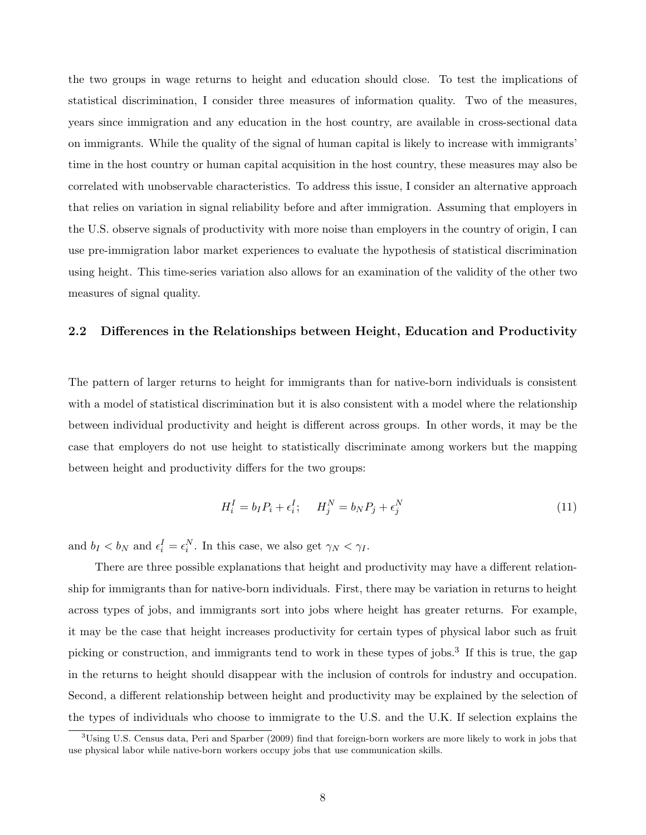the two groups in wage returns to height and education should close. To test the implications of statistical discrimination, I consider three measures of information quality. Two of the measures, years since immigration and any education in the host country, are available in cross-sectional data on immigrants. While the quality of the signal of human capital is likely to increase with immigrants' time in the host country or human capital acquisition in the host country, these measures may also be correlated with unobservable characteristics. To address this issue, I consider an alternative approach that relies on variation in signal reliability before and after immigration. Assuming that employers in the U.S. observe signals of productivity with more noise than employers in the country of origin, I can use pre-immigration labor market experiences to evaluate the hypothesis of statistical discrimination using height. This time-series variation also allows for an examination of the validity of the other two measures of signal quality.

### 2.2 Differences in the Relationships between Height, Education and Productivity

The pattern of larger returns to height for immigrants than for native-born individuals is consistent with a model of statistical discrimination but it is also consistent with a model where the relationship between individual productivity and height is different across groups. In other words, it may be the case that employers do not use height to statistically discriminate among workers but the mapping between height and productivity differs for the two groups:

$$
H_i^I = b_I P_i + \epsilon_i^I; \qquad H_j^N = b_N P_j + \epsilon_j^N \tag{11}
$$

and  $b_I < b_N$  and  $\epsilon_i^I = \epsilon_i^N$ . In this case, we also get  $\gamma_N < \gamma_I$ .

There are three possible explanations that height and productivity may have a different relationship for immigrants than for native-born individuals. First, there may be variation in returns to height across types of jobs, and immigrants sort into jobs where height has greater returns. For example, it may be the case that height increases productivity for certain types of physical labor such as fruit picking or construction, and immigrants tend to work in these types of jobs.<sup>3</sup> If this is true, the gap in the returns to height should disappear with the inclusion of controls for industry and occupation. Second, a different relationship between height and productivity may be explained by the selection of the types of individuals who choose to immigrate to the U.S. and the U.K. If selection explains the

 $\overline{3}$ Using U.S. Census data, Peri and Sparber (2009) find that foreign-born workers are more likely to work in jobs that use physical labor while native-born workers occupy jobs that use communication skills.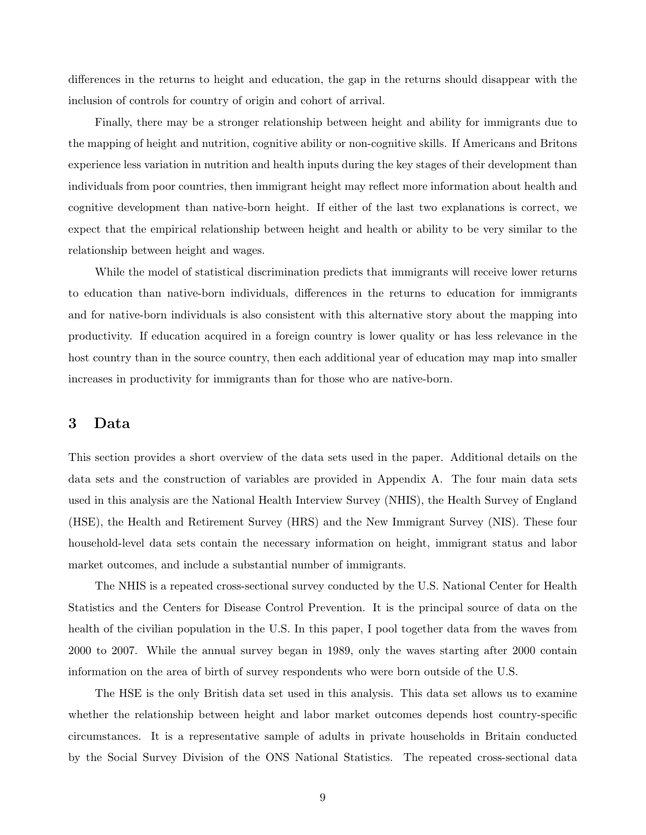differences in the returns to height and education, the gap in the returns should disappear with the inclusion of controls for country of origin and cohort of arrival.

Finally, there may be a stronger relationship between height and ability for immigrants due to the mapping of height and nutrition, cognitive ability or non-cognitive skills. If Americans and Britons experience less variation in nutrition and health inputs during the key stages of their development than individuals from poor countries, then immigrant height may reflect more information about health and cognitive development than native-born height. If either of the last two explanations is correct, we expect that the empirical relationship between height and health or ability to be very similar to the relationship between height and wages.

While the model of statistical discrimination predicts that immigrants will receive lower returns to education than native-born individuals, differences in the returns to education for immigrants and for native-born individuals is also consistent with this alternative story about the mapping into productivity. If education acquired in a foreign country is lower quality or has less relevance in the host country than in the source country, then each additional year of education may map into smaller increases in productivity for immigrants than for those who are native-born.

### 3 Data

This section provides a short overview of the data sets used in the paper. Additional details on the data sets and the construction of variables are provided in Appendix A. The four main data sets used in this analysis are the National Health Interview Survey (NHIS), the Health Survey of England (HSE), the Health and Retirement Survey (HRS) and the New Immigrant Survey (NIS). These four household-level data sets contain the necessary information on height, immigrant status and labor market outcomes, and include a substantial number of immigrants.

The NHIS is a repeated cross-sectional survey conducted by the U.S. National Center for Health Statistics and the Centers for Disease Control Prevention. It is the principal source of data on the health of the civilian population in the U.S. In this paper, I pool together data from the waves from 2000 to 2007. While the annual survey began in 1989, only the waves starting after 2000 contain information on the area of birth of survey respondents who were born outside of the U.S.

The HSE is the only British data set used in this analysis. This data set allows us to examine whether the relationship between height and labor market outcomes depends host country-specific circumstances. It is a representative sample of adults in private households in Britain conducted by the Social Survey Division of the ONS National Statistics. The repeated cross-sectional data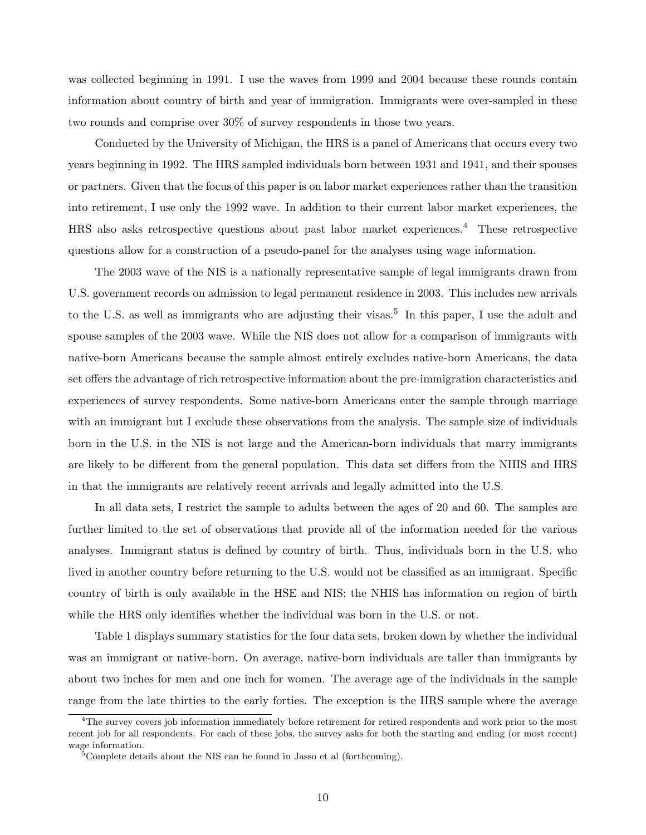was collected beginning in 1991. I use the waves from 1999 and 2004 because these rounds contain information about country of birth and year of immigration. Immigrants were over-sampled in these two rounds and comprise over 30% of survey respondents in those two years.

Conducted by the University of Michigan, the HRS is a panel of Americans that occurs every two years beginning in 1992. The HRS sampled individuals born between 1931 and 1941, and their spouses or partners. Given that the focus of this paper is on labor market experiences rather than the transition into retirement, I use only the 1992 wave. In addition to their current labor market experiences, the HRS also asks retrospective questions about past labor market experiences.<sup>4</sup> These retrospective questions allow for a construction of a pseudo-panel for the analyses using wage information.

The 2003 wave of the NIS is a nationally representative sample of legal immigrants drawn from U.S. government records on admission to legal permanent residence in 2003. This includes new arrivals to the U.S. as well as immigrants who are adjusting their visas.<sup>5</sup> In this paper, I use the adult and spouse samples of the 2003 wave. While the NIS does not allow for a comparison of immigrants with native-born Americans because the sample almost entirely excludes native-born Americans, the data set offers the advantage of rich retrospective information about the pre-immigration characteristics and experiences of survey respondents. Some native-born Americans enter the sample through marriage with an immigrant but I exclude these observations from the analysis. The sample size of individuals born in the U.S. in the NIS is not large and the American-born individuals that marry immigrants are likely to be different from the general population. This data set differs from the NHIS and HRS in that the immigrants are relatively recent arrivals and legally admitted into the U.S.

In all data sets, I restrict the sample to adults between the ages of 20 and 60. The samples are further limited to the set of observations that provide all of the information needed for the various analyses. Immigrant status is defined by country of birth. Thus, individuals born in the U.S. who lived in another country before returning to the U.S. would not be classified as an immigrant. Specific country of birth is only available in the HSE and NIS; the NHIS has information on region of birth while the HRS only identifies whether the individual was born in the U.S. or not.

Table 1 displays summary statistics for the four data sets, broken down by whether the individual was an immigrant or native-born. On average, native-born individuals are taller than immigrants by about two inches for men and one inch for women. The average age of the individuals in the sample range from the late thirties to the early forties. The exception is the HRS sample where the average

<sup>&</sup>lt;sup>4</sup>The survey covers job information immediately before retirement for retired respondents and work prior to the most recent job for all respondents. For each of these jobs, the survey asks for both the starting and ending (or most recent) wage information.

 ${}^{5}$ Complete details about the NIS can be found in Jasso et al (forthcoming).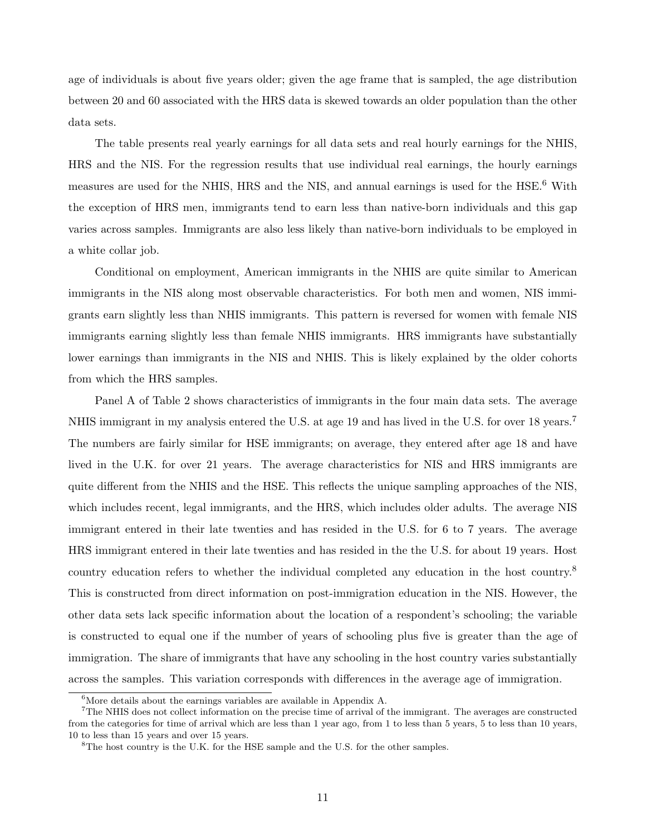age of individuals is about five years older; given the age frame that is sampled, the age distribution between 20 and 60 associated with the HRS data is skewed towards an older population than the other data sets.

The table presents real yearly earnings for all data sets and real hourly earnings for the NHIS, HRS and the NIS. For the regression results that use individual real earnings, the hourly earnings measures are used for the NHIS, HRS and the NIS, and annual earnings is used for the HSE.<sup>6</sup> With the exception of HRS men, immigrants tend to earn less than native-born individuals and this gap varies across samples. Immigrants are also less likely than native-born individuals to be employed in a white collar job.

Conditional on employment, American immigrants in the NHIS are quite similar to American immigrants in the NIS along most observable characteristics. For both men and women, NIS immigrants earn slightly less than NHIS immigrants. This pattern is reversed for women with female NIS immigrants earning slightly less than female NHIS immigrants. HRS immigrants have substantially lower earnings than immigrants in the NIS and NHIS. This is likely explained by the older cohorts from which the HRS samples.

Panel A of Table 2 shows characteristics of immigrants in the four main data sets. The average NHIS immigrant in my analysis entered the U.S. at age 19 and has lived in the U.S. for over 18 years.<sup>7</sup> The numbers are fairly similar for HSE immigrants; on average, they entered after age 18 and have lived in the U.K. for over 21 years. The average characteristics for NIS and HRS immigrants are quite different from the NHIS and the HSE. This reflects the unique sampling approaches of the NIS, which includes recent, legal immigrants, and the HRS, which includes older adults. The average NIS immigrant entered in their late twenties and has resided in the U.S. for 6 to 7 years. The average HRS immigrant entered in their late twenties and has resided in the the U.S. for about 19 years. Host country education refers to whether the individual completed any education in the host country.<sup>8</sup> This is constructed from direct information on post-immigration education in the NIS. However, the other data sets lack specific information about the location of a respondent's schooling; the variable is constructed to equal one if the number of years of schooling plus five is greater than the age of immigration. The share of immigrants that have any schooling in the host country varies substantially across the samples. This variation corresponds with differences in the average age of immigration.

 $6$ More details about the earnings variables are available in Appendix A.

<sup>7</sup>The NHIS does not collect information on the precise time of arrival of the immigrant. The averages are constructed from the categories for time of arrival which are less than 1 year ago, from 1 to less than 5 years, 5 to less than 10 years, 10 to less than 15 years and over 15 years.

<sup>&</sup>lt;sup>8</sup>The host country is the U.K. for the HSE sample and the U.S. for the other samples.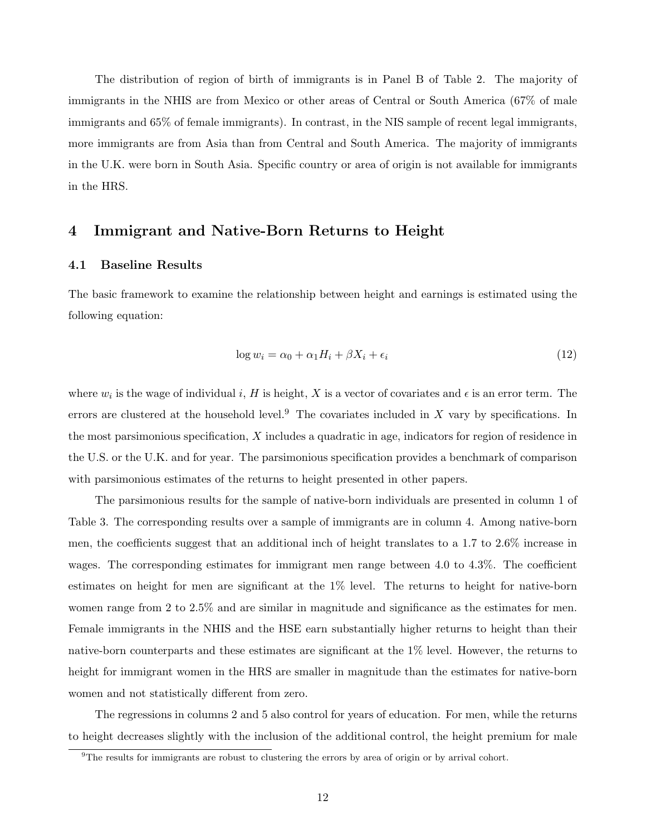The distribution of region of birth of immigrants is in Panel B of Table 2. The majority of immigrants in the NHIS are from Mexico or other areas of Central or South America (67% of male immigrants and 65% of female immigrants). In contrast, in the NIS sample of recent legal immigrants, more immigrants are from Asia than from Central and South America. The majority of immigrants in the U.K. were born in South Asia. Specific country or area of origin is not available for immigrants in the HRS.

### 4 Immigrant and Native-Born Returns to Height

#### 4.1 Baseline Results

The basic framework to examine the relationship between height and earnings is estimated using the following equation:

$$
\log w_i = \alpha_0 + \alpha_1 H_i + \beta X_i + \epsilon_i \tag{12}
$$

where  $w_i$  is the wage of individual i, H is height, X is a vector of covariates and  $\epsilon$  is an error term. The errors are clustered at the household level.<sup>9</sup> The covariates included in X vary by specifications. In the most parsimonious specification, X includes a quadratic in age, indicators for region of residence in the U.S. or the U.K. and for year. The parsimonious specification provides a benchmark of comparison with parsimonious estimates of the returns to height presented in other papers.

The parsimonious results for the sample of native-born individuals are presented in column 1 of Table 3. The corresponding results over a sample of immigrants are in column 4. Among native-born men, the coefficients suggest that an additional inch of height translates to a 1.7 to 2.6% increase in wages. The corresponding estimates for immigrant men range between 4.0 to 4.3%. The coefficient estimates on height for men are significant at the 1% level. The returns to height for native-born women range from 2 to 2.5% and are similar in magnitude and significance as the estimates for men. Female immigrants in the NHIS and the HSE earn substantially higher returns to height than their native-born counterparts and these estimates are significant at the 1% level. However, the returns to height for immigrant women in the HRS are smaller in magnitude than the estimates for native-born women and not statistically different from zero.

The regressions in columns 2 and 5 also control for years of education. For men, while the returns to height decreases slightly with the inclusion of the additional control, the height premium for male

 $9$ The results for immigrants are robust to clustering the errors by area of origin or by arrival cohort.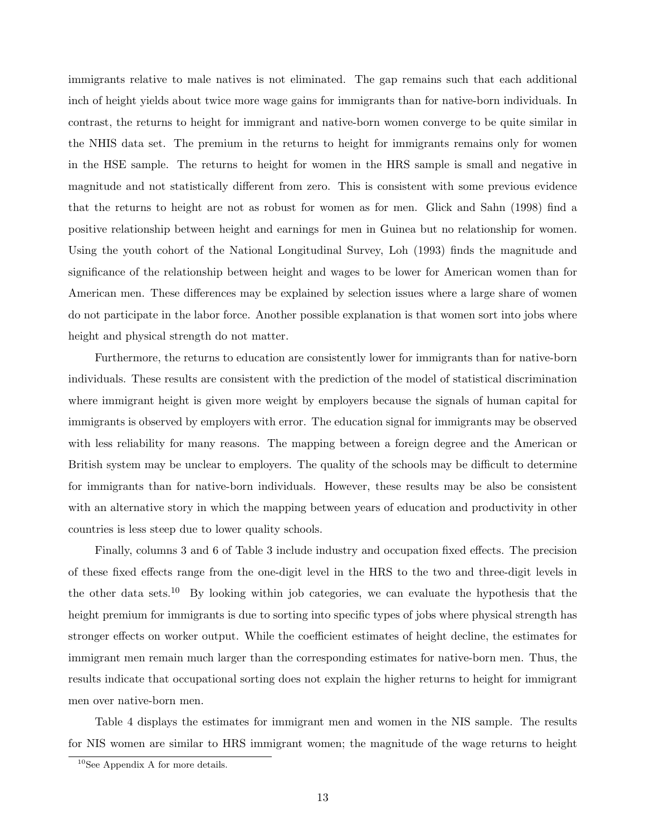immigrants relative to male natives is not eliminated. The gap remains such that each additional inch of height yields about twice more wage gains for immigrants than for native-born individuals. In contrast, the returns to height for immigrant and native-born women converge to be quite similar in the NHIS data set. The premium in the returns to height for immigrants remains only for women in the HSE sample. The returns to height for women in the HRS sample is small and negative in magnitude and not statistically different from zero. This is consistent with some previous evidence that the returns to height are not as robust for women as for men. Glick and Sahn (1998) find a positive relationship between height and earnings for men in Guinea but no relationship for women. Using the youth cohort of the National Longitudinal Survey, Loh (1993) finds the magnitude and significance of the relationship between height and wages to be lower for American women than for American men. These differences may be explained by selection issues where a large share of women do not participate in the labor force. Another possible explanation is that women sort into jobs where height and physical strength do not matter.

Furthermore, the returns to education are consistently lower for immigrants than for native-born individuals. These results are consistent with the prediction of the model of statistical discrimination where immigrant height is given more weight by employers because the signals of human capital for immigrants is observed by employers with error. The education signal for immigrants may be observed with less reliability for many reasons. The mapping between a foreign degree and the American or British system may be unclear to employers. The quality of the schools may be difficult to determine for immigrants than for native-born individuals. However, these results may be also be consistent with an alternative story in which the mapping between years of education and productivity in other countries is less steep due to lower quality schools.

Finally, columns 3 and 6 of Table 3 include industry and occupation fixed effects. The precision of these fixed effects range from the one-digit level in the HRS to the two and three-digit levels in the other data sets.<sup>10</sup> By looking within job categories, we can evaluate the hypothesis that the height premium for immigrants is due to sorting into specific types of jobs where physical strength has stronger effects on worker output. While the coefficient estimates of height decline, the estimates for immigrant men remain much larger than the corresponding estimates for native-born men. Thus, the results indicate that occupational sorting does not explain the higher returns to height for immigrant men over native-born men.

Table 4 displays the estimates for immigrant men and women in the NIS sample. The results for NIS women are similar to HRS immigrant women; the magnitude of the wage returns to height

<sup>10</sup>See Appendix A for more details.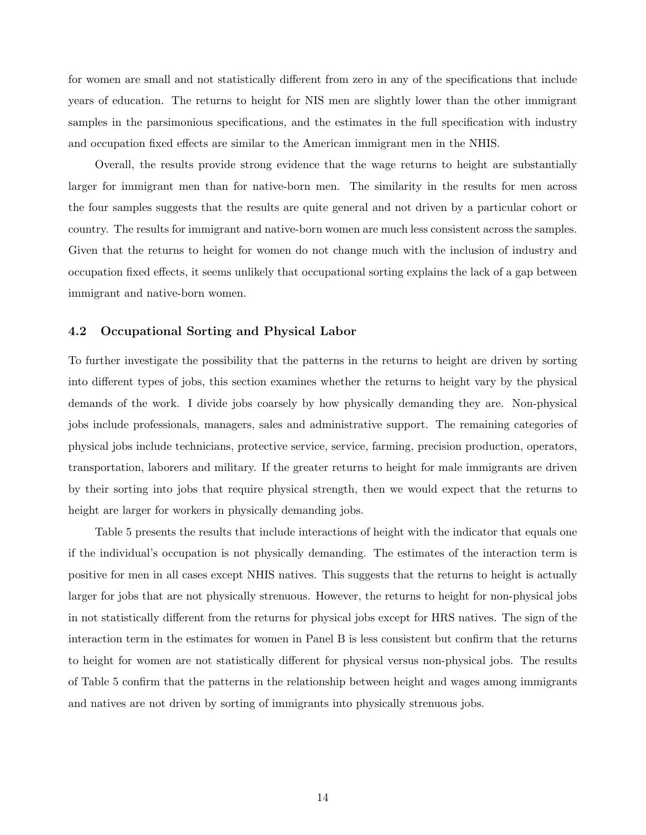for women are small and not statistically different from zero in any of the specifications that include years of education. The returns to height for NIS men are slightly lower than the other immigrant samples in the parsimonious specifications, and the estimates in the full specification with industry and occupation fixed effects are similar to the American immigrant men in the NHIS.

Overall, the results provide strong evidence that the wage returns to height are substantially larger for immigrant men than for native-born men. The similarity in the results for men across the four samples suggests that the results are quite general and not driven by a particular cohort or country. The results for immigrant and native-born women are much less consistent across the samples. Given that the returns to height for women do not change much with the inclusion of industry and occupation fixed effects, it seems unlikely that occupational sorting explains the lack of a gap between immigrant and native-born women.

### 4.2 Occupational Sorting and Physical Labor

To further investigate the possibility that the patterns in the returns to height are driven by sorting into different types of jobs, this section examines whether the returns to height vary by the physical demands of the work. I divide jobs coarsely by how physically demanding they are. Non-physical jobs include professionals, managers, sales and administrative support. The remaining categories of physical jobs include technicians, protective service, service, farming, precision production, operators, transportation, laborers and military. If the greater returns to height for male immigrants are driven by their sorting into jobs that require physical strength, then we would expect that the returns to height are larger for workers in physically demanding jobs.

Table 5 presents the results that include interactions of height with the indicator that equals one if the individual's occupation is not physically demanding. The estimates of the interaction term is positive for men in all cases except NHIS natives. This suggests that the returns to height is actually larger for jobs that are not physically strenuous. However, the returns to height for non-physical jobs in not statistically different from the returns for physical jobs except for HRS natives. The sign of the interaction term in the estimates for women in Panel B is less consistent but confirm that the returns to height for women are not statistically different for physical versus non-physical jobs. The results of Table 5 confirm that the patterns in the relationship between height and wages among immigrants and natives are not driven by sorting of immigrants into physically strenuous jobs.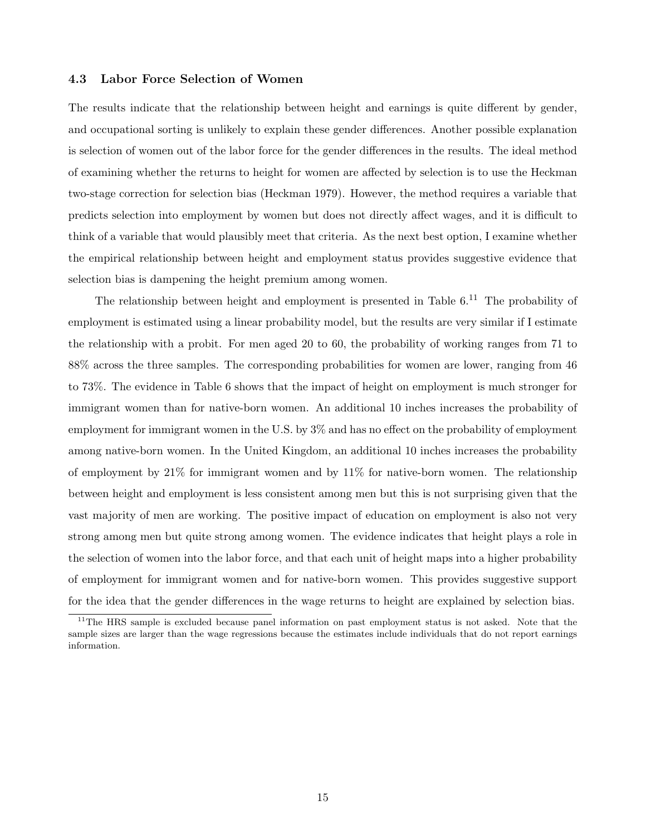#### 4.3 Labor Force Selection of Women

The results indicate that the relationship between height and earnings is quite different by gender, and occupational sorting is unlikely to explain these gender differences. Another possible explanation is selection of women out of the labor force for the gender differences in the results. The ideal method of examining whether the returns to height for women are affected by selection is to use the Heckman two-stage correction for selection bias (Heckman 1979). However, the method requires a variable that predicts selection into employment by women but does not directly affect wages, and it is difficult to think of a variable that would plausibly meet that criteria. As the next best option, I examine whether the empirical relationship between height and employment status provides suggestive evidence that selection bias is dampening the height premium among women.

The relationship between height and employment is presented in Table  $6<sup>11</sup>$  The probability of employment is estimated using a linear probability model, but the results are very similar if I estimate the relationship with a probit. For men aged 20 to 60, the probability of working ranges from 71 to 88% across the three samples. The corresponding probabilities for women are lower, ranging from 46 to 73%. The evidence in Table 6 shows that the impact of height on employment is much stronger for immigrant women than for native-born women. An additional 10 inches increases the probability of employment for immigrant women in the U.S. by 3% and has no effect on the probability of employment among native-born women. In the United Kingdom, an additional 10 inches increases the probability of employment by  $21\%$  for immigrant women and by  $11\%$  for native-born women. The relationship between height and employment is less consistent among men but this is not surprising given that the vast majority of men are working. The positive impact of education on employment is also not very strong among men but quite strong among women. The evidence indicates that height plays a role in the selection of women into the labor force, and that each unit of height maps into a higher probability of employment for immigrant women and for native-born women. This provides suggestive support for the idea that the gender differences in the wage returns to height are explained by selection bias.

<sup>&</sup>lt;sup>11</sup>The HRS sample is excluded because panel information on past employment status is not asked. Note that the sample sizes are larger than the wage regressions because the estimates include individuals that do not report earnings information.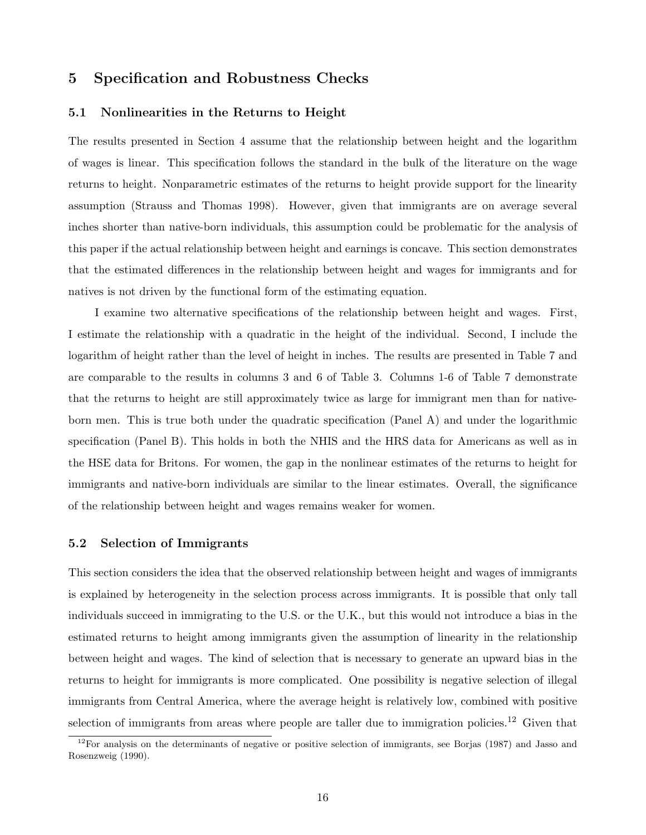### 5 Specification and Robustness Checks

### 5.1 Nonlinearities in the Returns to Height

The results presented in Section 4 assume that the relationship between height and the logarithm of wages is linear. This specification follows the standard in the bulk of the literature on the wage returns to height. Nonparametric estimates of the returns to height provide support for the linearity assumption (Strauss and Thomas 1998). However, given that immigrants are on average several inches shorter than native-born individuals, this assumption could be problematic for the analysis of this paper if the actual relationship between height and earnings is concave. This section demonstrates that the estimated differences in the relationship between height and wages for immigrants and for natives is not driven by the functional form of the estimating equation.

I examine two alternative specifications of the relationship between height and wages. First, I estimate the relationship with a quadratic in the height of the individual. Second, I include the logarithm of height rather than the level of height in inches. The results are presented in Table 7 and are comparable to the results in columns 3 and 6 of Table 3. Columns 1-6 of Table 7 demonstrate that the returns to height are still approximately twice as large for immigrant men than for nativeborn men. This is true both under the quadratic specification (Panel A) and under the logarithmic specification (Panel B). This holds in both the NHIS and the HRS data for Americans as well as in the HSE data for Britons. For women, the gap in the nonlinear estimates of the returns to height for immigrants and native-born individuals are similar to the linear estimates. Overall, the significance of the relationship between height and wages remains weaker for women.

### 5.2 Selection of Immigrants

This section considers the idea that the observed relationship between height and wages of immigrants is explained by heterogeneity in the selection process across immigrants. It is possible that only tall individuals succeed in immigrating to the U.S. or the U.K., but this would not introduce a bias in the estimated returns to height among immigrants given the assumption of linearity in the relationship between height and wages. The kind of selection that is necessary to generate an upward bias in the returns to height for immigrants is more complicated. One possibility is negative selection of illegal immigrants from Central America, where the average height is relatively low, combined with positive selection of immigrants from areas where people are taller due to immigration policies.<sup>12</sup> Given that

 $12$ For analysis on the determinants of negative or positive selection of immigrants, see Borjas (1987) and Jasso and Rosenzweig (1990).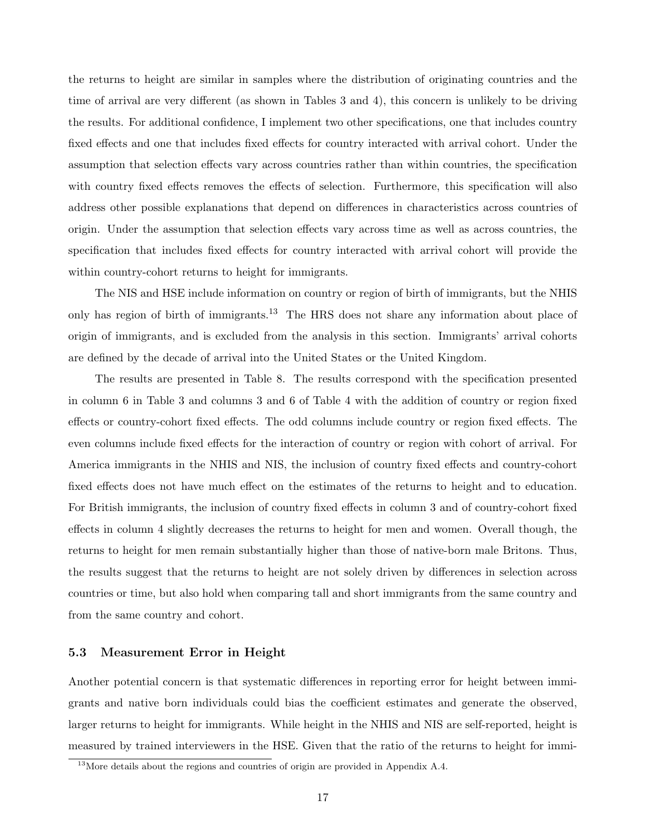the returns to height are similar in samples where the distribution of originating countries and the time of arrival are very different (as shown in Tables 3 and 4), this concern is unlikely to be driving the results. For additional confidence, I implement two other specifications, one that includes country fixed effects and one that includes fixed effects for country interacted with arrival cohort. Under the assumption that selection effects vary across countries rather than within countries, the specification with country fixed effects removes the effects of selection. Furthermore, this specification will also address other possible explanations that depend on differences in characteristics across countries of origin. Under the assumption that selection effects vary across time as well as across countries, the specification that includes fixed effects for country interacted with arrival cohort will provide the within country-cohort returns to height for immigrants.

The NIS and HSE include information on country or region of birth of immigrants, but the NHIS only has region of birth of immigrants.<sup>13</sup> The HRS does not share any information about place of origin of immigrants, and is excluded from the analysis in this section. Immigrants' arrival cohorts are defined by the decade of arrival into the United States or the United Kingdom.

The results are presented in Table 8. The results correspond with the specification presented in column 6 in Table 3 and columns 3 and 6 of Table 4 with the addition of country or region fixed effects or country-cohort fixed effects. The odd columns include country or region fixed effects. The even columns include fixed effects for the interaction of country or region with cohort of arrival. For America immigrants in the NHIS and NIS, the inclusion of country fixed effects and country-cohort fixed effects does not have much effect on the estimates of the returns to height and to education. For British immigrants, the inclusion of country fixed effects in column 3 and of country-cohort fixed effects in column 4 slightly decreases the returns to height for men and women. Overall though, the returns to height for men remain substantially higher than those of native-born male Britons. Thus, the results suggest that the returns to height are not solely driven by differences in selection across countries or time, but also hold when comparing tall and short immigrants from the same country and from the same country and cohort.

### 5.3 Measurement Error in Height

Another potential concern is that systematic differences in reporting error for height between immigrants and native born individuals could bias the coefficient estimates and generate the observed, larger returns to height for immigrants. While height in the NHIS and NIS are self-reported, height is measured by trained interviewers in the HSE. Given that the ratio of the returns to height for immi-

<sup>&</sup>lt;sup>13</sup>More details about the regions and countries of origin are provided in Appendix A.4.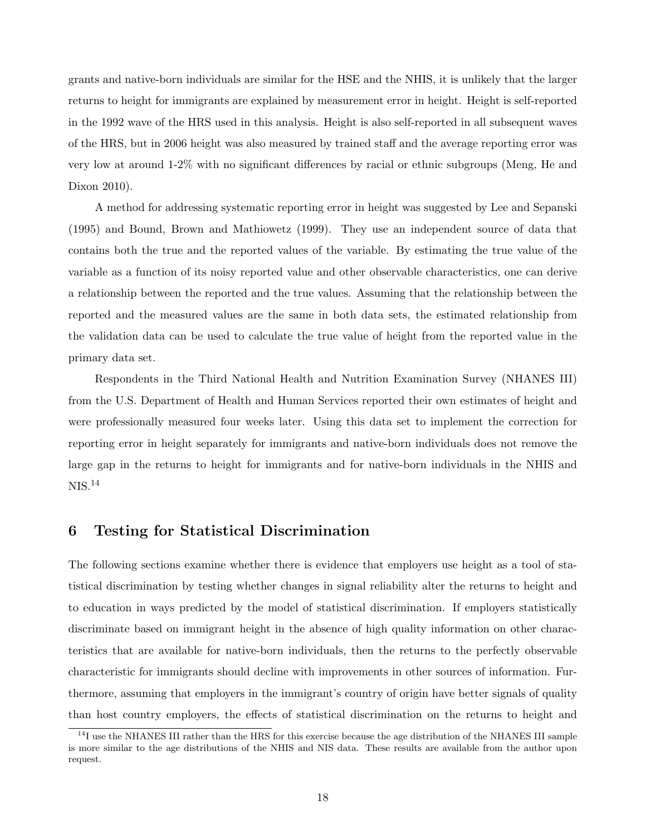grants and native-born individuals are similar for the HSE and the NHIS, it is unlikely that the larger returns to height for immigrants are explained by measurement error in height. Height is self-reported in the 1992 wave of the HRS used in this analysis. Height is also self-reported in all subsequent waves of the HRS, but in 2006 height was also measured by trained staff and the average reporting error was very low at around 1-2% with no significant differences by racial or ethnic subgroups (Meng, He and Dixon 2010).

A method for addressing systematic reporting error in height was suggested by Lee and Sepanski (1995) and Bound, Brown and Mathiowetz (1999). They use an independent source of data that contains both the true and the reported values of the variable. By estimating the true value of the variable as a function of its noisy reported value and other observable characteristics, one can derive a relationship between the reported and the true values. Assuming that the relationship between the reported and the measured values are the same in both data sets, the estimated relationship from the validation data can be used to calculate the true value of height from the reported value in the primary data set.

Respondents in the Third National Health and Nutrition Examination Survey (NHANES III) from the U.S. Department of Health and Human Services reported their own estimates of height and were professionally measured four weeks later. Using this data set to implement the correction for reporting error in height separately for immigrants and native-born individuals does not remove the large gap in the returns to height for immigrants and for native-born individuals in the NHIS and  $NIS.<sup>14</sup>$ 

### 6 Testing for Statistical Discrimination

The following sections examine whether there is evidence that employers use height as a tool of statistical discrimination by testing whether changes in signal reliability alter the returns to height and to education in ways predicted by the model of statistical discrimination. If employers statistically discriminate based on immigrant height in the absence of high quality information on other characteristics that are available for native-born individuals, then the returns to the perfectly observable characteristic for immigrants should decline with improvements in other sources of information. Furthermore, assuming that employers in the immigrant's country of origin have better signals of quality than host country employers, the effects of statistical discrimination on the returns to height and

<sup>&</sup>lt;sup>14</sup>I use the NHANES III rather than the HRS for this exercise because the age distribution of the NHANES III sample is more similar to the age distributions of the NHIS and NIS data. These results are available from the author upon request.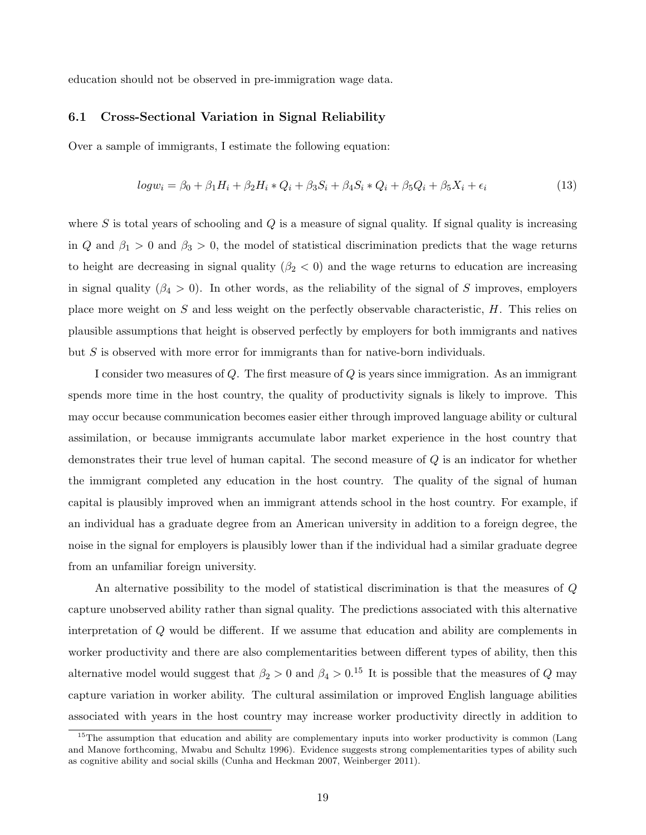education should not be observed in pre-immigration wage data.

#### 6.1 Cross-Sectional Variation in Signal Reliability

Over a sample of immigrants, I estimate the following equation:

$$
log w_i = \beta_0 + \beta_1 H_i + \beta_2 H_i * Q_i + \beta_3 S_i + \beta_4 S_i * Q_i + \beta_5 Q_i + \beta_5 X_i + \epsilon_i
$$
\n(13)

where S is total years of schooling and  $Q$  is a measure of signal quality. If signal quality is increasing in Q and  $\beta_1 > 0$  and  $\beta_3 > 0$ , the model of statistical discrimination predicts that the wage returns to height are decreasing in signal quality ( $\beta_2 < 0$ ) and the wage returns to education are increasing in signal quality ( $\beta_4 > 0$ ). In other words, as the reliability of the signal of S improves, employers place more weight on S and less weight on the perfectly observable characteristic, H. This relies on plausible assumptions that height is observed perfectly by employers for both immigrants and natives but S is observed with more error for immigrants than for native-born individuals.

I consider two measures of Q. The first measure of Q is years since immigration. As an immigrant spends more time in the host country, the quality of productivity signals is likely to improve. This may occur because communication becomes easier either through improved language ability or cultural assimilation, or because immigrants accumulate labor market experience in the host country that demonstrates their true level of human capital. The second measure of Q is an indicator for whether the immigrant completed any education in the host country. The quality of the signal of human capital is plausibly improved when an immigrant attends school in the host country. For example, if an individual has a graduate degree from an American university in addition to a foreign degree, the noise in the signal for employers is plausibly lower than if the individual had a similar graduate degree from an unfamiliar foreign university.

An alternative possibility to the model of statistical discrimination is that the measures of Q capture unobserved ability rather than signal quality. The predictions associated with this alternative interpretation of Q would be different. If we assume that education and ability are complements in worker productivity and there are also complementarities between different types of ability, then this alternative model would suggest that  $\beta_2 > 0$  and  $\beta_4 > 0$ .<sup>15</sup> It is possible that the measures of Q may capture variation in worker ability. The cultural assimilation or improved English language abilities associated with years in the host country may increase worker productivity directly in addition to

<sup>&</sup>lt;sup>15</sup>The assumption that education and ability are complementary inputs into worker productivity is common (Lang and Manove forthcoming, Mwabu and Schultz 1996). Evidence suggests strong complementarities types of ability such as cognitive ability and social skills (Cunha and Heckman 2007, Weinberger 2011).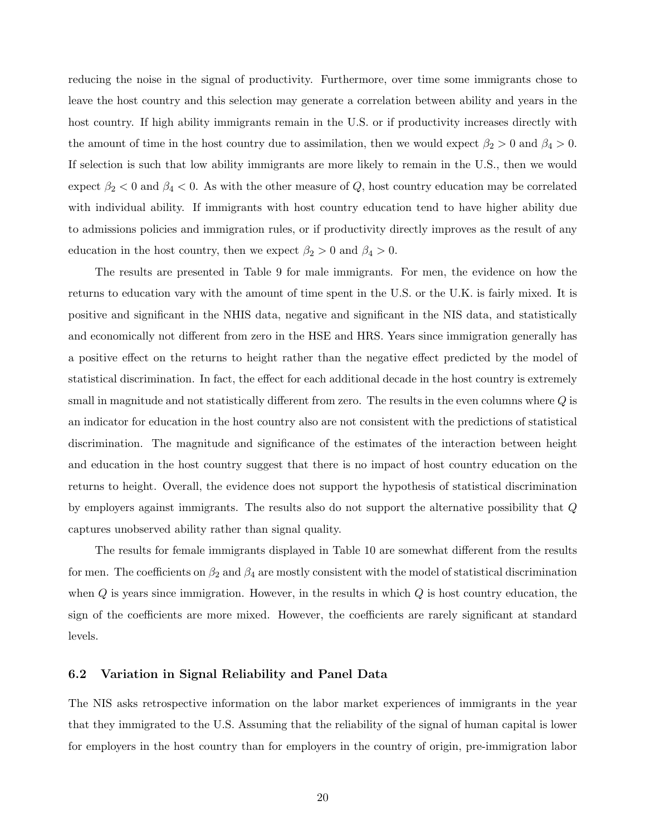reducing the noise in the signal of productivity. Furthermore, over time some immigrants chose to leave the host country and this selection may generate a correlation between ability and years in the host country. If high ability immigrants remain in the U.S. or if productivity increases directly with the amount of time in the host country due to assimilation, then we would expect  $\beta_2 > 0$  and  $\beta_4 > 0$ . If selection is such that low ability immigrants are more likely to remain in the U.S., then we would expect  $\beta_2 < 0$  and  $\beta_4 < 0$ . As with the other measure of Q, host country education may be correlated with individual ability. If immigrants with host country education tend to have higher ability due to admissions policies and immigration rules, or if productivity directly improves as the result of any education in the host country, then we expect  $\beta_2 > 0$  and  $\beta_4 > 0$ .

The results are presented in Table 9 for male immigrants. For men, the evidence on how the returns to education vary with the amount of time spent in the U.S. or the U.K. is fairly mixed. It is positive and significant in the NHIS data, negative and significant in the NIS data, and statistically and economically not different from zero in the HSE and HRS. Years since immigration generally has a positive effect on the returns to height rather than the negative effect predicted by the model of statistical discrimination. In fact, the effect for each additional decade in the host country is extremely small in magnitude and not statistically different from zero. The results in the even columns where Q is an indicator for education in the host country also are not consistent with the predictions of statistical discrimination. The magnitude and significance of the estimates of the interaction between height and education in the host country suggest that there is no impact of host country education on the returns to height. Overall, the evidence does not support the hypothesis of statistical discrimination by employers against immigrants. The results also do not support the alternative possibility that Q captures unobserved ability rather than signal quality.

The results for female immigrants displayed in Table 10 are somewhat different from the results for men. The coefficients on  $\beta_2$  and  $\beta_4$  are mostly consistent with the model of statistical discrimination when  $Q$  is years since immigration. However, in the results in which  $Q$  is host country education, the sign of the coefficients are more mixed. However, the coefficients are rarely significant at standard levels.

#### 6.2 Variation in Signal Reliability and Panel Data

The NIS asks retrospective information on the labor market experiences of immigrants in the year that they immigrated to the U.S. Assuming that the reliability of the signal of human capital is lower for employers in the host country than for employers in the country of origin, pre-immigration labor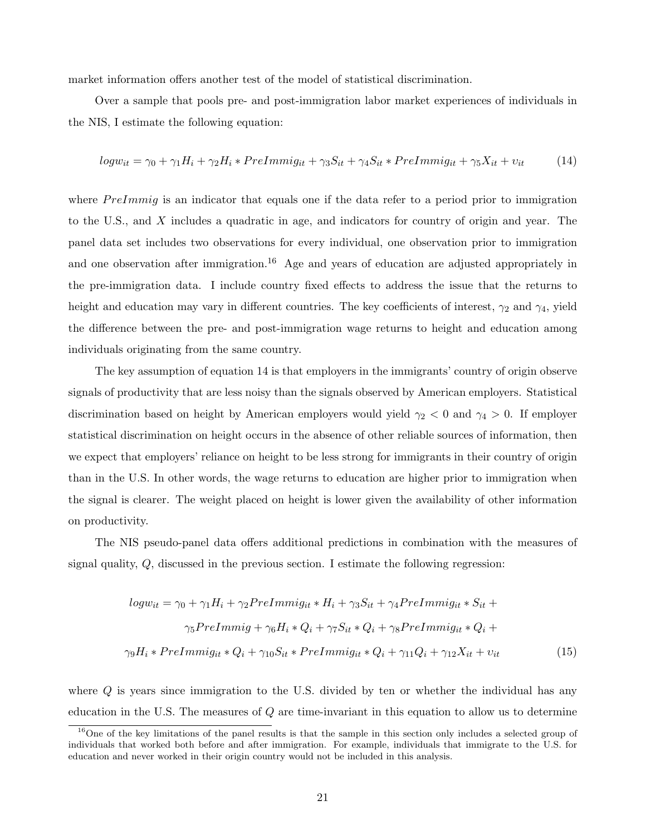market information offers another test of the model of statistical discrimination.

Over a sample that pools pre- and post-immigration labor market experiences of individuals in the NIS, I estimate the following equation:

$$
log w_{it} = \gamma_0 + \gamma_1 H_i + \gamma_2 H_i * PreImmig_{it} + \gamma_3 S_{it} + \gamma_4 S_{it} * PreImmig_{it} + \gamma_5 X_{it} + v_{it}
$$
(14)

where  $PreImmig$  is an indicator that equals one if the data refer to a period prior to immigration to the U.S., and X includes a quadratic in age, and indicators for country of origin and year. The panel data set includes two observations for every individual, one observation prior to immigration and one observation after immigration.<sup>16</sup> Age and years of education are adjusted appropriately in the pre-immigration data. I include country fixed effects to address the issue that the returns to height and education may vary in different countries. The key coefficients of interest,  $\gamma_2$  and  $\gamma_4$ , yield the difference between the pre- and post-immigration wage returns to height and education among individuals originating from the same country.

The key assumption of equation 14 is that employers in the immigrants' country of origin observe signals of productivity that are less noisy than the signals observed by American employers. Statistical discrimination based on height by American employers would yield  $\gamma_2 < 0$  and  $\gamma_4 > 0$ . If employer statistical discrimination on height occurs in the absence of other reliable sources of information, then we expect that employers' reliance on height to be less strong for immigrants in their country of origin than in the U.S. In other words, the wage returns to education are higher prior to immigration when the signal is clearer. The weight placed on height is lower given the availability of other information on productivity.

The NIS pseudo-panel data offers additional predictions in combination with the measures of signal quality, Q, discussed in the previous section. I estimate the following regression:

$$
logw_{it} = \gamma_0 + \gamma_1 H_i + \gamma_2 PreImmig_{it} * H_i + \gamma_3 S_{it} + \gamma_4 PreImmig_{it} * S_{it} +
$$
  

$$
\gamma_5 PreImmig + \gamma_6 H_i * Q_i + \gamma_7 S_{it} * Q_i + \gamma_8 PreImmig_{it} * Q_i +
$$
  

$$
\gamma_9 H_i * PreImmig_{it} * Q_i + \gamma_{10} S_{it} * PreImmig_{it} * Q_i + \gamma_{11} Q_i + \gamma_{12} X_{it} + v_{it}
$$
 (15)

where  $Q$  is years since immigration to the U.S. divided by ten or whether the individual has any education in the U.S. The measures of  $Q$  are time-invariant in this equation to allow us to determine

<sup>&</sup>lt;sup>16</sup>One of the key limitations of the panel results is that the sample in this section only includes a selected group of individuals that worked both before and after immigration. For example, individuals that immigrate to the U.S. for education and never worked in their origin country would not be included in this analysis.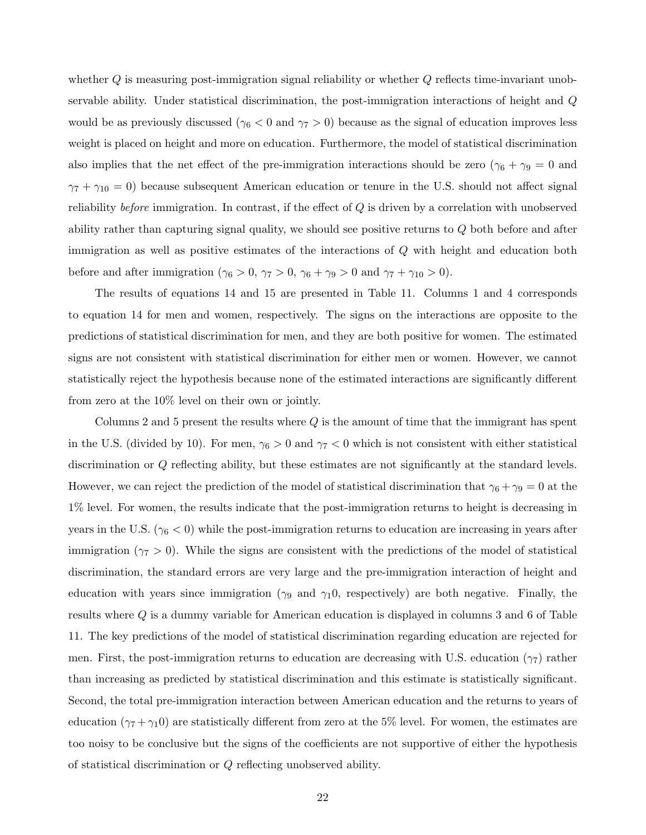whether  $Q$  is measuring post-immigration signal reliability or whether  $Q$  reflects time-invariant unobservable ability. Under statistical discrimination, the post-immigration interactions of height and Q would be as previously discussed ( $\gamma_6 < 0$  and  $\gamma_7 > 0$ ) because as the signal of education improves less weight is placed on height and more on education. Furthermore, the model of statistical discrimination also implies that the net effect of the pre-immigration interactions should be zero ( $\gamma_6 + \gamma_9 = 0$  and  $\gamma_7 + \gamma_{10} = 0$ ) because subsequent American education or tenure in the U.S. should not affect signal reliability *before* immigration. In contrast, if the effect of  $Q$  is driven by a correlation with unobserved ability rather than capturing signal quality, we should see positive returns to  $Q$  both before and after immigration as well as positive estimates of the interactions of Q with height and education both before and after immigration ( $\gamma_6 > 0$ ,  $\gamma_7 > 0$ ,  $\gamma_6 + \gamma_9 > 0$  and  $\gamma_7 + \gamma_{10} > 0$ ).

The results of equations 14 and 15 are presented in Table 11. Columns 1 and 4 corresponds to equation 14 for men and women, respectively. The signs on the interactions are opposite to the predictions of statistical discrimination for men, and they are both positive for women. The estimated signs are not consistent with statistical discrimination for either men or women. However, we cannot statistically reject the hypothesis because none of the estimated interactions are significantly different from zero at the 10% level on their own or jointly.

Columns 2 and 5 present the results where  $Q$  is the amount of time that the immigrant has spent in the U.S. (divided by 10). For men,  $\gamma_6 > 0$  and  $\gamma_7 < 0$  which is not consistent with either statistical discrimination or Q reflecting ability, but these estimates are not significantly at the standard levels. However, we can reject the prediction of the model of statistical discrimination that  $\gamma_6 + \gamma_9 = 0$  at the 1% level. For women, the results indicate that the post-immigration returns to height is decreasing in years in the U.S. ( $\gamma_6 < 0$ ) while the post-immigration returns to education are increasing in years after immigration ( $\gamma$  > 0). While the signs are consistent with the predictions of the model of statistical discrimination, the standard errors are very large and the pre-immigration interaction of height and education with years since immigration ( $\gamma_9$  and  $\gamma_1$ 0, respectively) are both negative. Finally, the results where Q is a dummy variable for American education is displayed in columns 3 and 6 of Table 11. The key predictions of the model of statistical discrimination regarding education are rejected for men. First, the post-immigration returns to education are decreasing with U.S. education ( $\gamma_7$ ) rather than increasing as predicted by statistical discrimination and this estimate is statistically significant. Second, the total pre-immigration interaction between American education and the returns to years of education ( $\gamma_7 + \gamma_1 0$ ) are statistically different from zero at the 5% level. For women, the estimates are too noisy to be conclusive but the signs of the coefficients are not supportive of either the hypothesis of statistical discrimination or Q reflecting unobserved ability.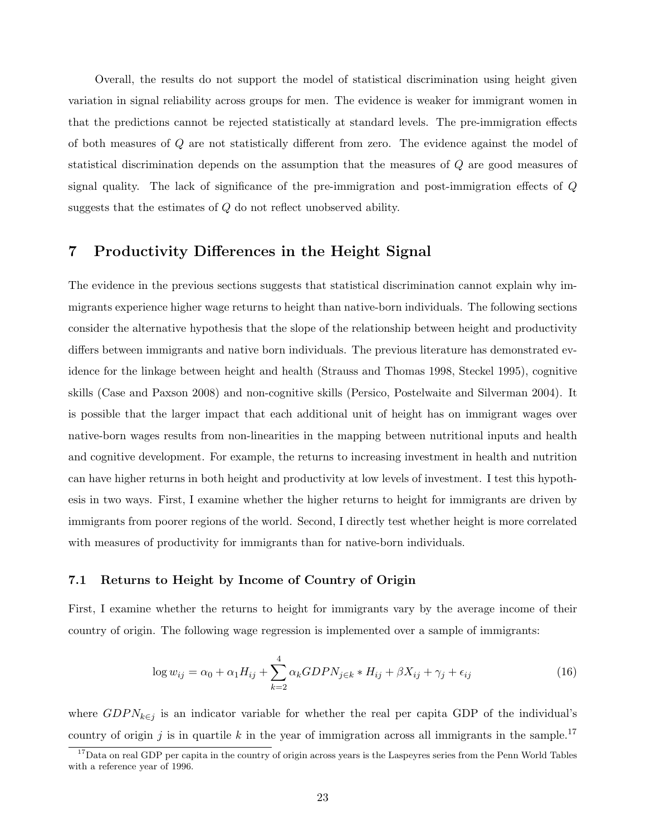Overall, the results do not support the model of statistical discrimination using height given variation in signal reliability across groups for men. The evidence is weaker for immigrant women in that the predictions cannot be rejected statistically at standard levels. The pre-immigration effects of both measures of Q are not statistically different from zero. The evidence against the model of statistical discrimination depends on the assumption that the measures of Q are good measures of signal quality. The lack of significance of the pre-immigration and post-immigration effects of Q suggests that the estimates of Q do not reflect unobserved ability.

### 7 Productivity Differences in the Height Signal

The evidence in the previous sections suggests that statistical discrimination cannot explain why immigrants experience higher wage returns to height than native-born individuals. The following sections consider the alternative hypothesis that the slope of the relationship between height and productivity differs between immigrants and native born individuals. The previous literature has demonstrated evidence for the linkage between height and health (Strauss and Thomas 1998, Steckel 1995), cognitive skills (Case and Paxson 2008) and non-cognitive skills (Persico, Postelwaite and Silverman 2004). It is possible that the larger impact that each additional unit of height has on immigrant wages over native-born wages results from non-linearities in the mapping between nutritional inputs and health and cognitive development. For example, the returns to increasing investment in health and nutrition can have higher returns in both height and productivity at low levels of investment. I test this hypothesis in two ways. First, I examine whether the higher returns to height for immigrants are driven by immigrants from poorer regions of the world. Second, I directly test whether height is more correlated with measures of productivity for immigrants than for native-born individuals.

### 7.1 Returns to Height by Income of Country of Origin

First, I examine whether the returns to height for immigrants vary by the average income of their country of origin. The following wage regression is implemented over a sample of immigrants:

$$
\log w_{ij} = \alpha_0 + \alpha_1 H_{ij} + \sum_{k=2}^{4} \alpha_k GDPN_{j \in k} * H_{ij} + \beta X_{ij} + \gamma_j + \epsilon_{ij}
$$
\n(16)

where  $GDPN_{k\in j}$  is an indicator variable for whether the real per capita GDP of the individual's country of origin j is in quartile k in the year of immigration across all immigrants in the sample.<sup>17</sup>

<sup>&</sup>lt;sup>17</sup>Data on real GDP per capita in the country of origin across years is the Laspeyres series from the Penn World Tables with a reference year of 1996.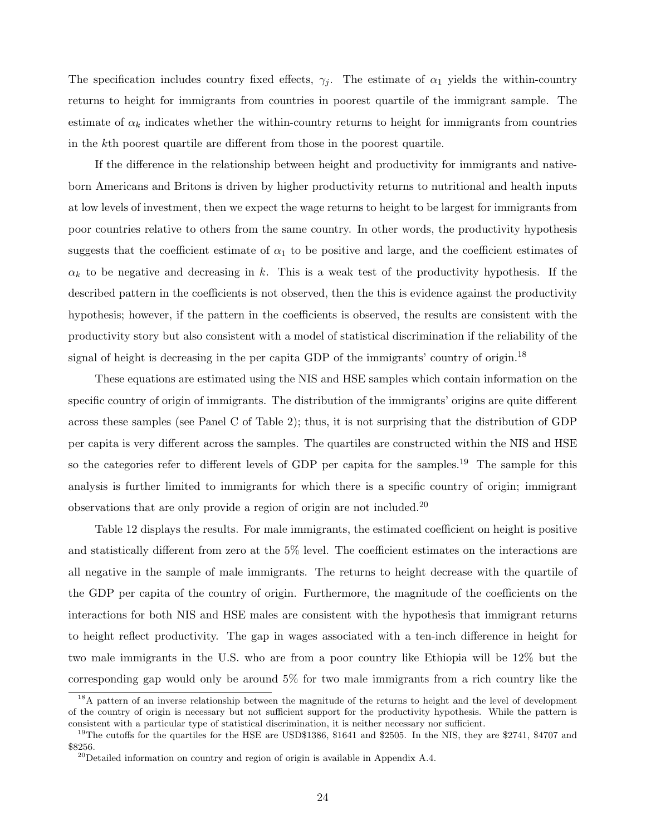The specification includes country fixed effects,  $\gamma_j$ . The estimate of  $\alpha_1$  yields the within-country returns to height for immigrants from countries in poorest quartile of the immigrant sample. The estimate of  $\alpha_k$  indicates whether the within-country returns to height for immigrants from countries in the kth poorest quartile are different from those in the poorest quartile.

If the difference in the relationship between height and productivity for immigrants and nativeborn Americans and Britons is driven by higher productivity returns to nutritional and health inputs at low levels of investment, then we expect the wage returns to height to be largest for immigrants from poor countries relative to others from the same country. In other words, the productivity hypothesis suggests that the coefficient estimate of  $\alpha_1$  to be positive and large, and the coefficient estimates of  $\alpha_k$  to be negative and decreasing in k. This is a weak test of the productivity hypothesis. If the described pattern in the coefficients is not observed, then the this is evidence against the productivity hypothesis; however, if the pattern in the coefficients is observed, the results are consistent with the productivity story but also consistent with a model of statistical discrimination if the reliability of the signal of height is decreasing in the per capita GDP of the immigrants' country of origin.<sup>18</sup>

These equations are estimated using the NIS and HSE samples which contain information on the specific country of origin of immigrants. The distribution of the immigrants' origins are quite different across these samples (see Panel C of Table 2); thus, it is not surprising that the distribution of GDP per capita is very different across the samples. The quartiles are constructed within the NIS and HSE so the categories refer to different levels of GDP per capita for the samples.<sup>19</sup> The sample for this analysis is further limited to immigrants for which there is a specific country of origin; immigrant observations that are only provide a region of origin are not included.<sup>20</sup>

Table 12 displays the results. For male immigrants, the estimated coefficient on height is positive and statistically different from zero at the 5% level. The coefficient estimates on the interactions are all negative in the sample of male immigrants. The returns to height decrease with the quartile of the GDP per capita of the country of origin. Furthermore, the magnitude of the coefficients on the interactions for both NIS and HSE males are consistent with the hypothesis that immigrant returns to height reflect productivity. The gap in wages associated with a ten-inch difference in height for two male immigrants in the U.S. who are from a poor country like Ethiopia will be 12% but the corresponding gap would only be around 5% for two male immigrants from a rich country like the

<sup>&</sup>lt;sup>18</sup>A pattern of an inverse relationship between the magnitude of the returns to height and the level of development of the country of origin is necessary but not sufficient support for the productivity hypothesis. While the pattern is consistent with a particular type of statistical discrimination, it is neither necessary nor sufficient.

<sup>&</sup>lt;sup>19</sup>The cutoffs for the quartiles for the HSE are USD\$1386, \$1641 and \$2505. In the NIS, they are \$2741, \$4707 and \$8256.

 $^{20}$ Detailed information on country and region of origin is available in Appendix A.4.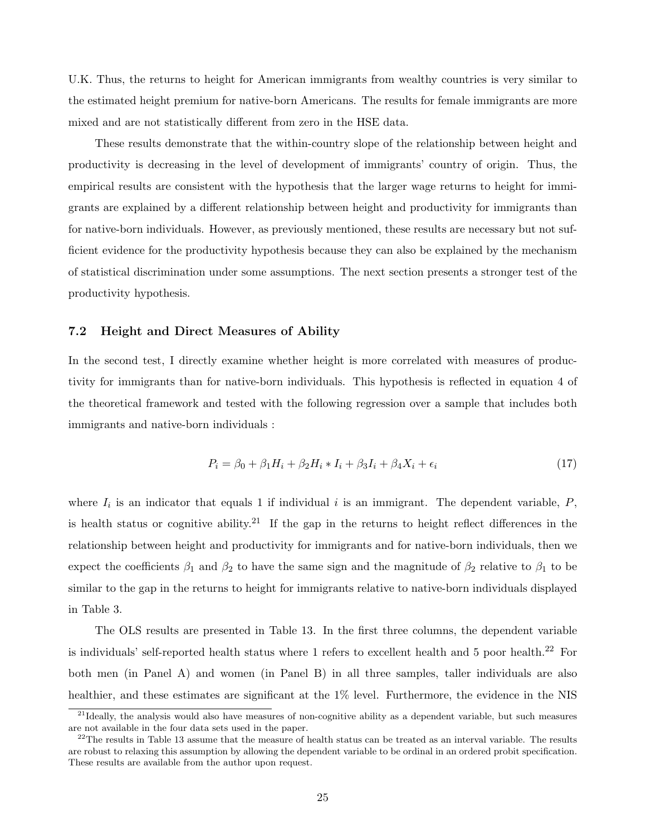U.K. Thus, the returns to height for American immigrants from wealthy countries is very similar to the estimated height premium for native-born Americans. The results for female immigrants are more mixed and are not statistically different from zero in the HSE data.

These results demonstrate that the within-country slope of the relationship between height and productivity is decreasing in the level of development of immigrants' country of origin. Thus, the empirical results are consistent with the hypothesis that the larger wage returns to height for immigrants are explained by a different relationship between height and productivity for immigrants than for native-born individuals. However, as previously mentioned, these results are necessary but not sufficient evidence for the productivity hypothesis because they can also be explained by the mechanism of statistical discrimination under some assumptions. The next section presents a stronger test of the productivity hypothesis.

#### 7.2 Height and Direct Measures of Ability

In the second test, I directly examine whether height is more correlated with measures of productivity for immigrants than for native-born individuals. This hypothesis is reflected in equation 4 of the theoretical framework and tested with the following regression over a sample that includes both immigrants and native-born individuals :

$$
P_i = \beta_0 + \beta_1 H_i + \beta_2 H_i * I_i + \beta_3 I_i + \beta_4 X_i + \epsilon_i \tag{17}
$$

where  $I_i$  is an indicator that equals 1 if individual i is an immigrant. The dependent variable,  $P$ , is health status or cognitive ability.<sup>21</sup> If the gap in the returns to height reflect differences in the relationship between height and productivity for immigrants and for native-born individuals, then we expect the coefficients  $\beta_1$  and  $\beta_2$  to have the same sign and the magnitude of  $\beta_2$  relative to  $\beta_1$  to be similar to the gap in the returns to height for immigrants relative to native-born individuals displayed in Table 3.

The OLS results are presented in Table 13. In the first three columns, the dependent variable is individuals' self-reported health status where 1 refers to excellent health and 5 poor health.<sup>22</sup> For both men (in Panel A) and women (in Panel B) in all three samples, taller individuals are also healthier, and these estimates are significant at the  $1\%$  level. Furthermore, the evidence in the NIS

 $^{21}$ Ideally, the analysis would also have measures of non-cognitive ability as a dependent variable, but such measures are not available in the four data sets used in the paper.

 $22$ The results in Table 13 assume that the measure of health status can be treated as an interval variable. The results are robust to relaxing this assumption by allowing the dependent variable to be ordinal in an ordered probit specification. These results are available from the author upon request.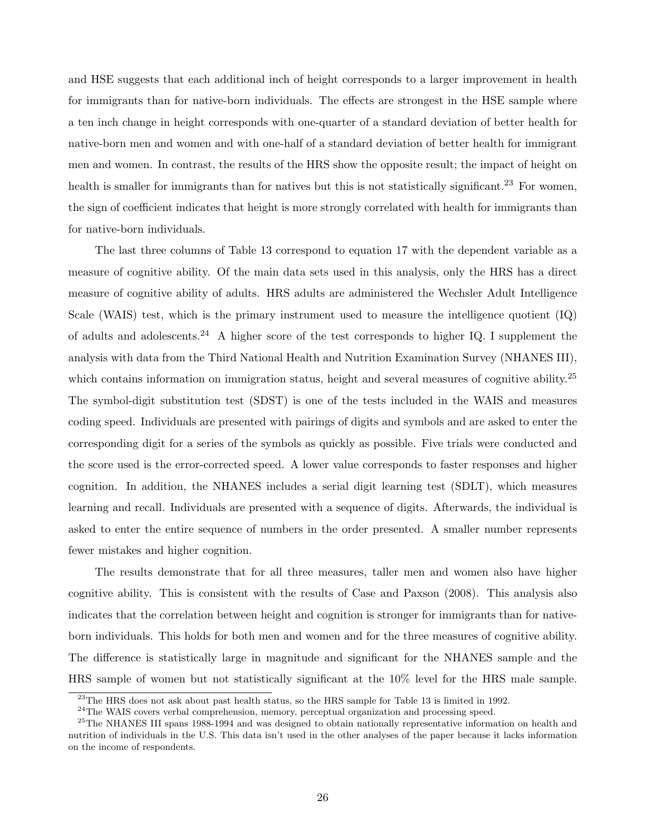and HSE suggests that each additional inch of height corresponds to a larger improvement in health for immigrants than for native-born individuals. The effects are strongest in the HSE sample where a ten inch change in height corresponds with one-quarter of a standard deviation of better health for native-born men and women and with one-half of a standard deviation of better health for immigrant men and women. In contrast, the results of the HRS show the opposite result; the impact of height on health is smaller for immigrants than for natives but this is not statistically significant.<sup>23</sup> For women, the sign of coefficient indicates that height is more strongly correlated with health for immigrants than for native-born individuals.

The last three columns of Table 13 correspond to equation 17 with the dependent variable as a measure of cognitive ability. Of the main data sets used in this analysis, only the HRS has a direct measure of cognitive ability of adults. HRS adults are administered the Wechsler Adult Intelligence Scale (WAIS) test, which is the primary instrument used to measure the intelligence quotient (IQ) of adults and adolescents.<sup>24</sup> A higher score of the test corresponds to higher IQ. I supplement the analysis with data from the Third National Health and Nutrition Examination Survey (NHANES III), which contains information on immigration status, height and several measures of cognitive ability.<sup>25</sup> The symbol-digit substitution test (SDST) is one of the tests included in the WAIS and measures coding speed. Individuals are presented with pairings of digits and symbols and are asked to enter the corresponding digit for a series of the symbols as quickly as possible. Five trials were conducted and the score used is the error-corrected speed. A lower value corresponds to faster responses and higher cognition. In addition, the NHANES includes a serial digit learning test (SDLT), which measures learning and recall. Individuals are presented with a sequence of digits. Afterwards, the individual is asked to enter the entire sequence of numbers in the order presented. A smaller number represents fewer mistakes and higher cognition.

The results demonstrate that for all three measures, taller men and women also have higher cognitive ability. This is consistent with the results of Case and Paxson (2008). This analysis also indicates that the correlation between height and cognition is stronger for immigrants than for nativeborn individuals. This holds for both men and women and for the three measures of cognitive ability. The difference is statistically large in magnitude and significant for the NHANES sample and the HRS sample of women but not statistically significant at the 10% level for the HRS male sample.

<sup>&</sup>lt;sup>23</sup>The HRS does not ask about past health status, so the HRS sample for Table 13 is limited in 1992.

 $24$ The WAIS covers verbal comprehension, memory, perceptual organization and processing speed.

<sup>&</sup>lt;sup>25</sup>The NHANES III spans 1988-1994 and was designed to obtain nationally representative information on health and nutrition of individuals in the U.S. This data isn't used in the other analyses of the paper because it lacks information on the income of respondents.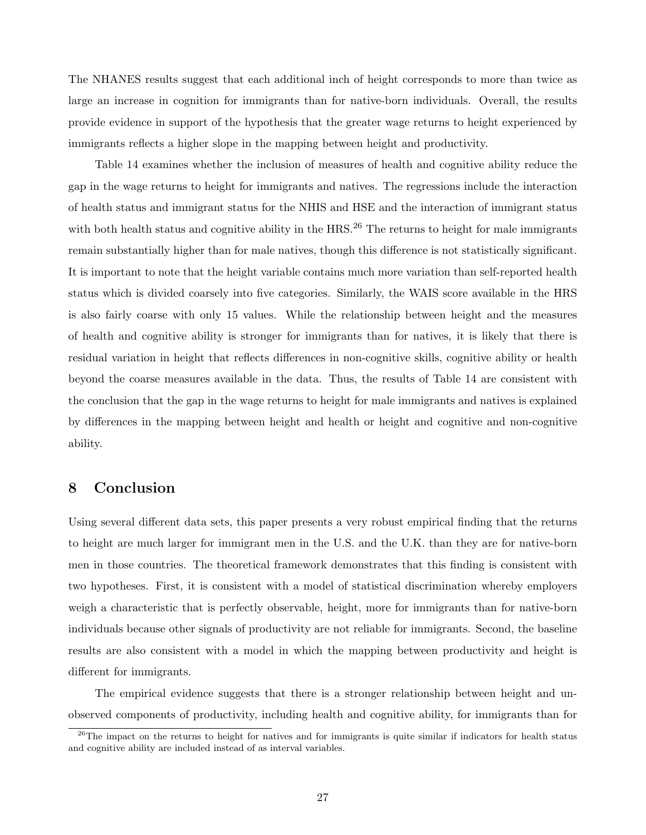The NHANES results suggest that each additional inch of height corresponds to more than twice as large an increase in cognition for immigrants than for native-born individuals. Overall, the results provide evidence in support of the hypothesis that the greater wage returns to height experienced by immigrants reflects a higher slope in the mapping between height and productivity.

Table 14 examines whether the inclusion of measures of health and cognitive ability reduce the gap in the wage returns to height for immigrants and natives. The regressions include the interaction of health status and immigrant status for the NHIS and HSE and the interaction of immigrant status with both health status and cognitive ability in the  $HRS<sup>26</sup>$  The returns to height for male immigrants remain substantially higher than for male natives, though this difference is not statistically significant. It is important to note that the height variable contains much more variation than self-reported health status which is divided coarsely into five categories. Similarly, the WAIS score available in the HRS is also fairly coarse with only 15 values. While the relationship between height and the measures of health and cognitive ability is stronger for immigrants than for natives, it is likely that there is residual variation in height that reflects differences in non-cognitive skills, cognitive ability or health beyond the coarse measures available in the data. Thus, the results of Table 14 are consistent with the conclusion that the gap in the wage returns to height for male immigrants and natives is explained by differences in the mapping between height and health or height and cognitive and non-cognitive ability.

# 8 Conclusion

Using several different data sets, this paper presents a very robust empirical finding that the returns to height are much larger for immigrant men in the U.S. and the U.K. than they are for native-born men in those countries. The theoretical framework demonstrates that this finding is consistent with two hypotheses. First, it is consistent with a model of statistical discrimination whereby employers weigh a characteristic that is perfectly observable, height, more for immigrants than for native-born individuals because other signals of productivity are not reliable for immigrants. Second, the baseline results are also consistent with a model in which the mapping between productivity and height is different for immigrants.

The empirical evidence suggests that there is a stronger relationship between height and unobserved components of productivity, including health and cognitive ability, for immigrants than for

 $^{26}$ The impact on the returns to height for natives and for immigrants is quite similar if indicators for health status and cognitive ability are included instead of as interval variables.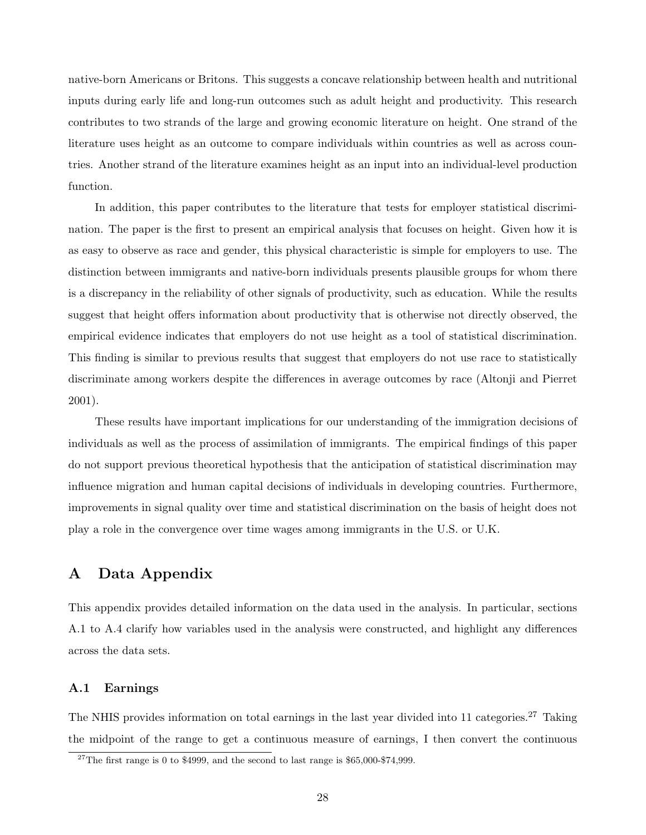native-born Americans or Britons. This suggests a concave relationship between health and nutritional inputs during early life and long-run outcomes such as adult height and productivity. This research contributes to two strands of the large and growing economic literature on height. One strand of the literature uses height as an outcome to compare individuals within countries as well as across countries. Another strand of the literature examines height as an input into an individual-level production function.

In addition, this paper contributes to the literature that tests for employer statistical discrimination. The paper is the first to present an empirical analysis that focuses on height. Given how it is as easy to observe as race and gender, this physical characteristic is simple for employers to use. The distinction between immigrants and native-born individuals presents plausible groups for whom there is a discrepancy in the reliability of other signals of productivity, such as education. While the results suggest that height offers information about productivity that is otherwise not directly observed, the empirical evidence indicates that employers do not use height as a tool of statistical discrimination. This finding is similar to previous results that suggest that employers do not use race to statistically discriminate among workers despite the differences in average outcomes by race (Altonji and Pierret 2001).

These results have important implications for our understanding of the immigration decisions of individuals as well as the process of assimilation of immigrants. The empirical findings of this paper do not support previous theoretical hypothesis that the anticipation of statistical discrimination may influence migration and human capital decisions of individuals in developing countries. Furthermore, improvements in signal quality over time and statistical discrimination on the basis of height does not play a role in the convergence over time wages among immigrants in the U.S. or U.K.

# A Data Appendix

This appendix provides detailed information on the data used in the analysis. In particular, sections A.1 to A.4 clarify how variables used in the analysis were constructed, and highlight any differences across the data sets.

### A.1 Earnings

The NHIS provides information on total earnings in the last year divided into 11 categories.<sup>27</sup> Taking the midpoint of the range to get a continuous measure of earnings, I then convert the continuous

<sup>&</sup>lt;sup>27</sup>The first range is 0 to \$4999, and the second to last range is \$65,000-\$74,999.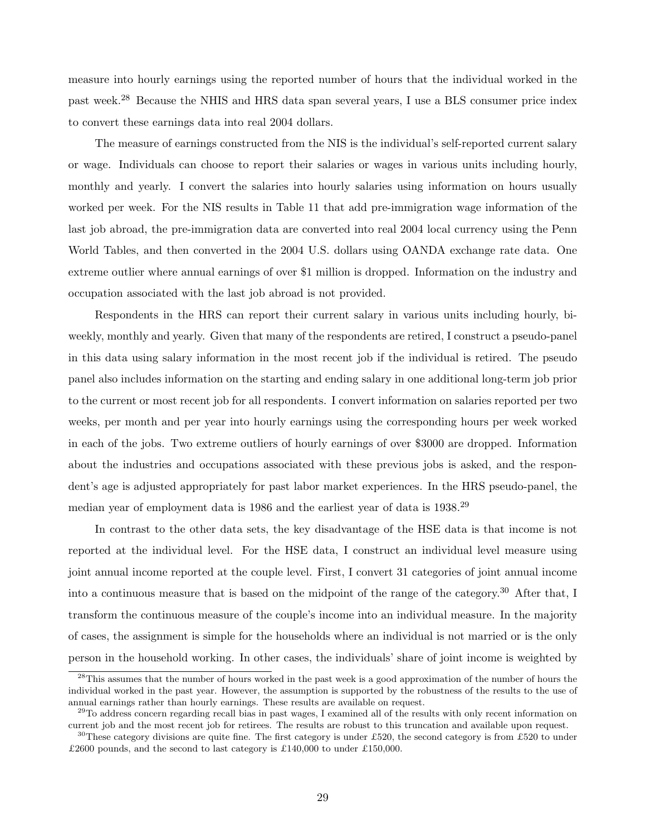measure into hourly earnings using the reported number of hours that the individual worked in the past week.<sup>28</sup> Because the NHIS and HRS data span several years, I use a BLS consumer price index to convert these earnings data into real 2004 dollars.

The measure of earnings constructed from the NIS is the individual's self-reported current salary or wage. Individuals can choose to report their salaries or wages in various units including hourly, monthly and yearly. I convert the salaries into hourly salaries using information on hours usually worked per week. For the NIS results in Table 11 that add pre-immigration wage information of the last job abroad, the pre-immigration data are converted into real 2004 local currency using the Penn World Tables, and then converted in the 2004 U.S. dollars using OANDA exchange rate data. One extreme outlier where annual earnings of over \$1 million is dropped. Information on the industry and occupation associated with the last job abroad is not provided.

Respondents in the HRS can report their current salary in various units including hourly, biweekly, monthly and yearly. Given that many of the respondents are retired, I construct a pseudo-panel in this data using salary information in the most recent job if the individual is retired. The pseudo panel also includes information on the starting and ending salary in one additional long-term job prior to the current or most recent job for all respondents. I convert information on salaries reported per two weeks, per month and per year into hourly earnings using the corresponding hours per week worked in each of the jobs. Two extreme outliers of hourly earnings of over \$3000 are dropped. Information about the industries and occupations associated with these previous jobs is asked, and the respondent's age is adjusted appropriately for past labor market experiences. In the HRS pseudo-panel, the median year of employment data is 1986 and the earliest year of data is 1938.<sup>29</sup>

In contrast to the other data sets, the key disadvantage of the HSE data is that income is not reported at the individual level. For the HSE data, I construct an individual level measure using joint annual income reported at the couple level. First, I convert 31 categories of joint annual income into a continuous measure that is based on the midpoint of the range of the category.<sup>30</sup> After that, I transform the continuous measure of the couple's income into an individual measure. In the majority of cases, the assignment is simple for the households where an individual is not married or is the only person in the household working. In other cases, the individuals' share of joint income is weighted by

<sup>&</sup>lt;sup>28</sup>This assumes that the number of hours worked in the past week is a good approximation of the number of hours the individual worked in the past year. However, the assumption is supported by the robustness of the results to the use of annual earnings rather than hourly earnings. These results are available on request.

 $29$ To address concern regarding recall bias in past wages, I examined all of the results with only recent information on current job and the most recent job for retirees. The results are robust to this truncation and available upon request.

<sup>&</sup>lt;sup>30</sup>These category divisions are quite fine. The first category is under £520, the second category is from £520 to under £2600 pounds, and the second to last category is £140,000 to under £150,000.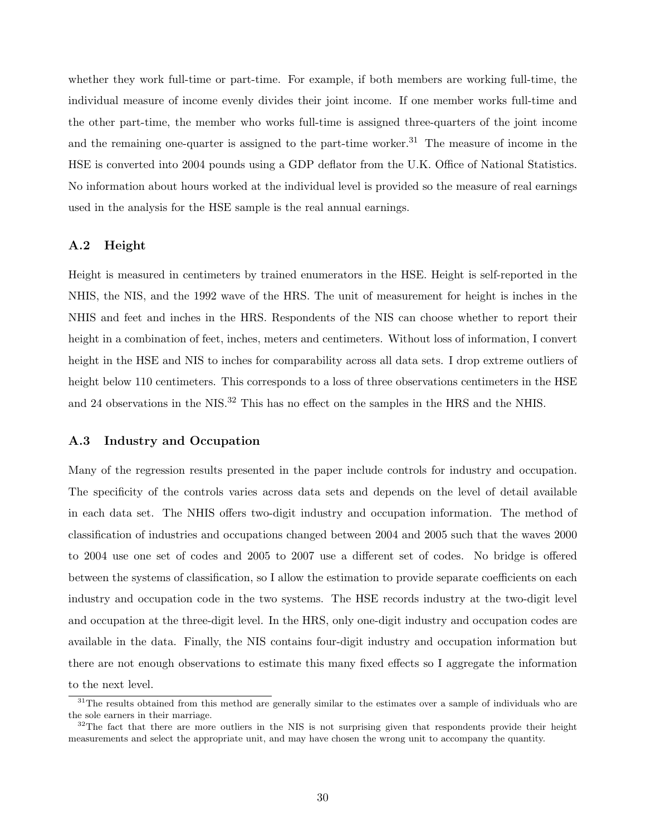whether they work full-time or part-time. For example, if both members are working full-time, the individual measure of income evenly divides their joint income. If one member works full-time and the other part-time, the member who works full-time is assigned three-quarters of the joint income and the remaining one-quarter is assigned to the part-time worker.<sup>31</sup> The measure of income in the HSE is converted into 2004 pounds using a GDP deflator from the U.K. Office of National Statistics. No information about hours worked at the individual level is provided so the measure of real earnings used in the analysis for the HSE sample is the real annual earnings.

### A.2 Height

Height is measured in centimeters by trained enumerators in the HSE. Height is self-reported in the NHIS, the NIS, and the 1992 wave of the HRS. The unit of measurement for height is inches in the NHIS and feet and inches in the HRS. Respondents of the NIS can choose whether to report their height in a combination of feet, inches, meters and centimeters. Without loss of information, I convert height in the HSE and NIS to inches for comparability across all data sets. I drop extreme outliers of height below 110 centimeters. This corresponds to a loss of three observations centimeters in the HSE and 24 observations in the NIS.<sup>32</sup> This has no effect on the samples in the HRS and the NHIS.

### A.3 Industry and Occupation

Many of the regression results presented in the paper include controls for industry and occupation. The specificity of the controls varies across data sets and depends on the level of detail available in each data set. The NHIS offers two-digit industry and occupation information. The method of classification of industries and occupations changed between 2004 and 2005 such that the waves 2000 to 2004 use one set of codes and 2005 to 2007 use a different set of codes. No bridge is offered between the systems of classification, so I allow the estimation to provide separate coefficients on each industry and occupation code in the two systems. The HSE records industry at the two-digit level and occupation at the three-digit level. In the HRS, only one-digit industry and occupation codes are available in the data. Finally, the NIS contains four-digit industry and occupation information but there are not enough observations to estimate this many fixed effects so I aggregate the information to the next level.

 $31$ The results obtained from this method are generally similar to the estimates over a sample of individuals who are the sole earners in their marriage.

 $32$ The fact that there are more outliers in the NIS is not surprising given that respondents provide their height measurements and select the appropriate unit, and may have chosen the wrong unit to accompany the quantity.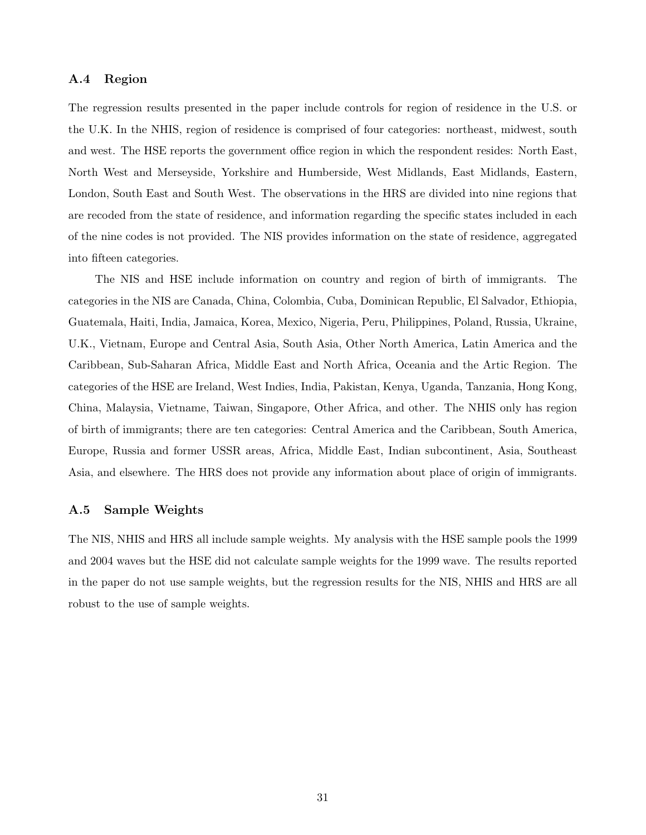### A.4 Region

The regression results presented in the paper include controls for region of residence in the U.S. or the U.K. In the NHIS, region of residence is comprised of four categories: northeast, midwest, south and west. The HSE reports the government office region in which the respondent resides: North East, North West and Merseyside, Yorkshire and Humberside, West Midlands, East Midlands, Eastern, London, South East and South West. The observations in the HRS are divided into nine regions that are recoded from the state of residence, and information regarding the specific states included in each of the nine codes is not provided. The NIS provides information on the state of residence, aggregated into fifteen categories.

The NIS and HSE include information on country and region of birth of immigrants. The categories in the NIS are Canada, China, Colombia, Cuba, Dominican Republic, El Salvador, Ethiopia, Guatemala, Haiti, India, Jamaica, Korea, Mexico, Nigeria, Peru, Philippines, Poland, Russia, Ukraine, U.K., Vietnam, Europe and Central Asia, South Asia, Other North America, Latin America and the Caribbean, Sub-Saharan Africa, Middle East and North Africa, Oceania and the Artic Region. The categories of the HSE are Ireland, West Indies, India, Pakistan, Kenya, Uganda, Tanzania, Hong Kong, China, Malaysia, Vietname, Taiwan, Singapore, Other Africa, and other. The NHIS only has region of birth of immigrants; there are ten categories: Central America and the Caribbean, South America, Europe, Russia and former USSR areas, Africa, Middle East, Indian subcontinent, Asia, Southeast Asia, and elsewhere. The HRS does not provide any information about place of origin of immigrants.

### A.5 Sample Weights

The NIS, NHIS and HRS all include sample weights. My analysis with the HSE sample pools the 1999 and 2004 waves but the HSE did not calculate sample weights for the 1999 wave. The results reported in the paper do not use sample weights, but the regression results for the NIS, NHIS and HRS are all robust to the use of sample weights.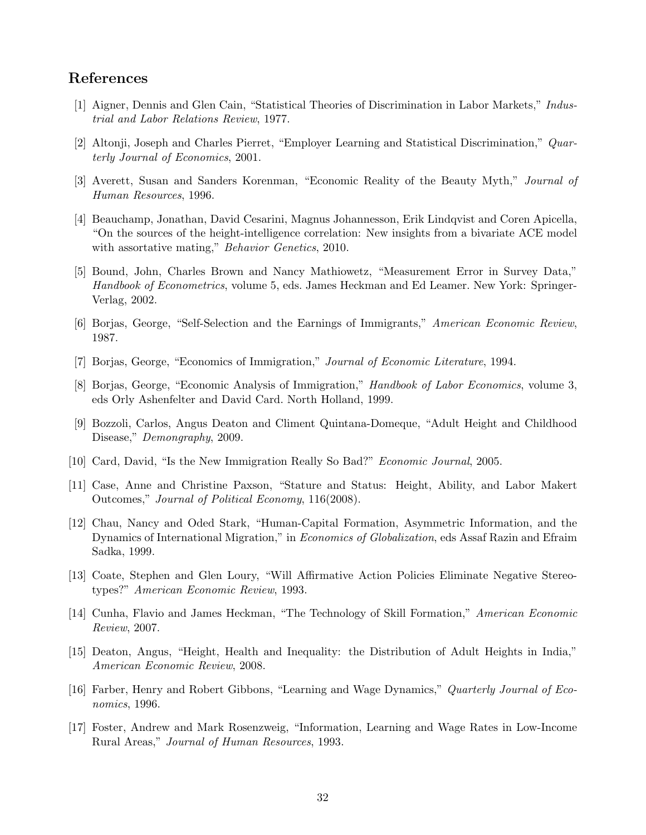# References

- [1] Aigner, Dennis and Glen Cain, "Statistical Theories of Discrimination in Labor Markets," Industrial and Labor Relations Review, 1977.
- [2] Altonji, Joseph and Charles Pierret, "Employer Learning and Statistical Discrimination," Quarterly Journal of Economics, 2001.
- [3] Averett, Susan and Sanders Korenman, "Economic Reality of the Beauty Myth," Journal of Human Resources, 1996.
- [4] Beauchamp, Jonathan, David Cesarini, Magnus Johannesson, Erik Lindqvist and Coren Apicella, "On the sources of the height-intelligence correlation: New insights from a bivariate ACE model with assortative mating," *Behavior Genetics*, 2010.
- [5] Bound, John, Charles Brown and Nancy Mathiowetz, "Measurement Error in Survey Data," Handbook of Econometrics, volume 5, eds. James Heckman and Ed Leamer. New York: Springer-Verlag, 2002.
- [6] Borjas, George, "Self-Selection and the Earnings of Immigrants," American Economic Review, 1987.
- [7] Borjas, George, "Economics of Immigration," Journal of Economic Literature, 1994.
- [8] Borjas, George, "Economic Analysis of Immigration," Handbook of Labor Economics, volume 3, eds Orly Ashenfelter and David Card. North Holland, 1999.
- [9] Bozzoli, Carlos, Angus Deaton and Climent Quintana-Domeque, "Adult Height and Childhood Disease," *Demongraphy*, 2009.
- [10] Card, David, "Is the New Immigration Really So Bad?" Economic Journal, 2005.
- [11] Case, Anne and Christine Paxson, "Stature and Status: Height, Ability, and Labor Makert Outcomes," Journal of Political Economy, 116(2008).
- [12] Chau, Nancy and Oded Stark, "Human-Capital Formation, Asymmetric Information, and the Dynamics of International Migration," in *Economics of Globalization*, eds Assaf Razin and Efraim Sadka, 1999.
- [13] Coate, Stephen and Glen Loury, "Will Affirmative Action Policies Eliminate Negative Stereotypes?" American Economic Review, 1993.
- [14] Cunha, Flavio and James Heckman, "The Technology of Skill Formation," American Economic Review, 2007.
- [15] Deaton, Angus, "Height, Health and Inequality: the Distribution of Adult Heights in India," American Economic Review, 2008.
- [16] Farber, Henry and Robert Gibbons, "Learning and Wage Dynamics," Quarterly Journal of Economics, 1996.
- [17] Foster, Andrew and Mark Rosenzweig, "Information, Learning and Wage Rates in Low-Income Rural Areas," Journal of Human Resources, 1993.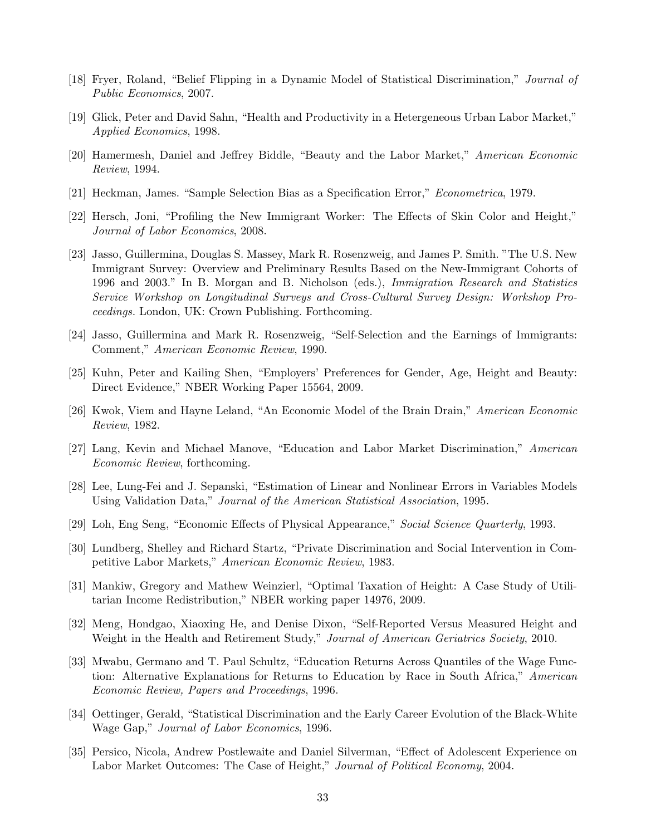- [18] Fryer, Roland, "Belief Flipping in a Dynamic Model of Statistical Discrimination," Journal of Public Economics, 2007.
- [19] Glick, Peter and David Sahn, "Health and Productivity in a Hetergeneous Urban Labor Market," Applied Economics, 1998.
- [20] Hamermesh, Daniel and Jeffrey Biddle, "Beauty and the Labor Market," American Economic Review, 1994.
- [21] Heckman, James. "Sample Selection Bias as a Specification Error," Econometrica, 1979.
- [22] Hersch, Joni, "Profiling the New Immigrant Worker: The Effects of Skin Color and Height," Journal of Labor Economics, 2008.
- [23] Jasso, Guillermina, Douglas S. Massey, Mark R. Rosenzweig, and James P. Smith. "The U.S. New Immigrant Survey: Overview and Preliminary Results Based on the New-Immigrant Cohorts of 1996 and 2003." In B. Morgan and B. Nicholson (eds.), Immigration Research and Statistics Service Workshop on Longitudinal Surveys and Cross-Cultural Survey Design: Workshop Proceedings. London, UK: Crown Publishing. Forthcoming.
- [24] Jasso, Guillermina and Mark R. Rosenzweig, "Self-Selection and the Earnings of Immigrants: Comment," American Economic Review, 1990.
- [25] Kuhn, Peter and Kailing Shen, "Employers' Preferences for Gender, Age, Height and Beauty: Direct Evidence," NBER Working Paper 15564, 2009.
- [26] Kwok, Viem and Hayne Leland, "An Economic Model of the Brain Drain," American Economic Review, 1982.
- [27] Lang, Kevin and Michael Manove, "Education and Labor Market Discrimination," American Economic Review, forthcoming.
- [28] Lee, Lung-Fei and J. Sepanski, "Estimation of Linear and Nonlinear Errors in Variables Models Using Validation Data," Journal of the American Statistical Association, 1995.
- [29] Loh, Eng Seng, "Economic Effects of Physical Appearance," Social Science Quarterly, 1993.
- [30] Lundberg, Shelley and Richard Startz, "Private Discrimination and Social Intervention in Competitive Labor Markets," American Economic Review, 1983.
- [31] Mankiw, Gregory and Mathew Weinzierl, "Optimal Taxation of Height: A Case Study of Utilitarian Income Redistribution," NBER working paper 14976, 2009.
- [32] Meng, Hondgao, Xiaoxing He, and Denise Dixon, "Self-Reported Versus Measured Height and Weight in the Health and Retirement Study," Journal of American Geriatrics Society, 2010.
- [33] Mwabu, Germano and T. Paul Schultz, "Education Returns Across Quantiles of the Wage Function: Alternative Explanations for Returns to Education by Race in South Africa," American Economic Review, Papers and Proceedings, 1996.
- [34] Oettinger, Gerald, "Statistical Discrimination and the Early Career Evolution of the Black-White Wage Gap," Journal of Labor Economics, 1996.
- [35] Persico, Nicola, Andrew Postlewaite and Daniel Silverman, "Effect of Adolescent Experience on Labor Market Outcomes: The Case of Height," Journal of Political Economy, 2004.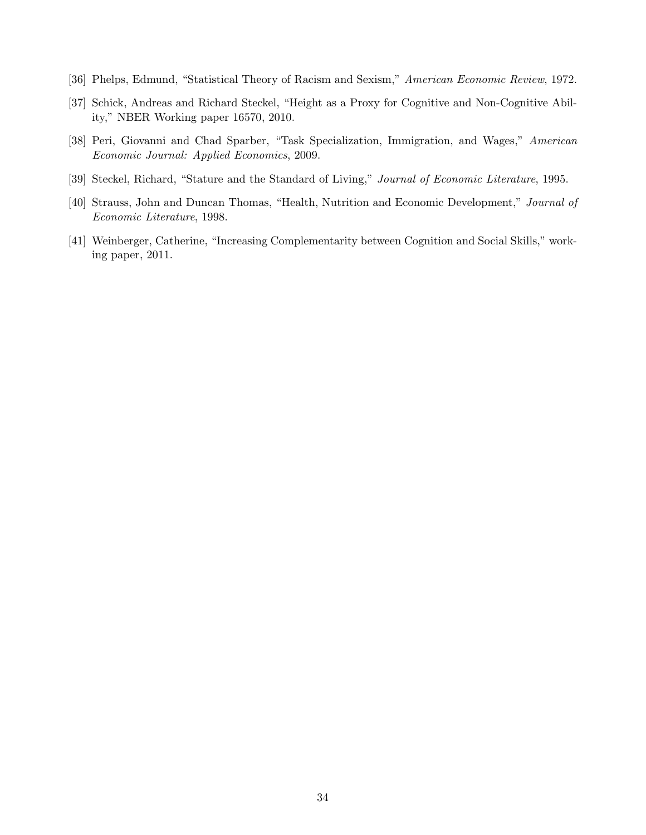- [36] Phelps, Edmund, "Statistical Theory of Racism and Sexism," American Economic Review, 1972.
- [37] Schick, Andreas and Richard Steckel, "Height as a Proxy for Cognitive and Non-Cognitive Ability," NBER Working paper 16570, 2010.
- [38] Peri, Giovanni and Chad Sparber, "Task Specialization, Immigration, and Wages," American Economic Journal: Applied Economics, 2009.
- [39] Steckel, Richard, "Stature and the Standard of Living," Journal of Economic Literature, 1995.
- [40] Strauss, John and Duncan Thomas, "Health, Nutrition and Economic Development," Journal of Economic Literature, 1998.
- [41] Weinberger, Catherine, "Increasing Complementarity between Cognition and Social Skills," working paper, 2011.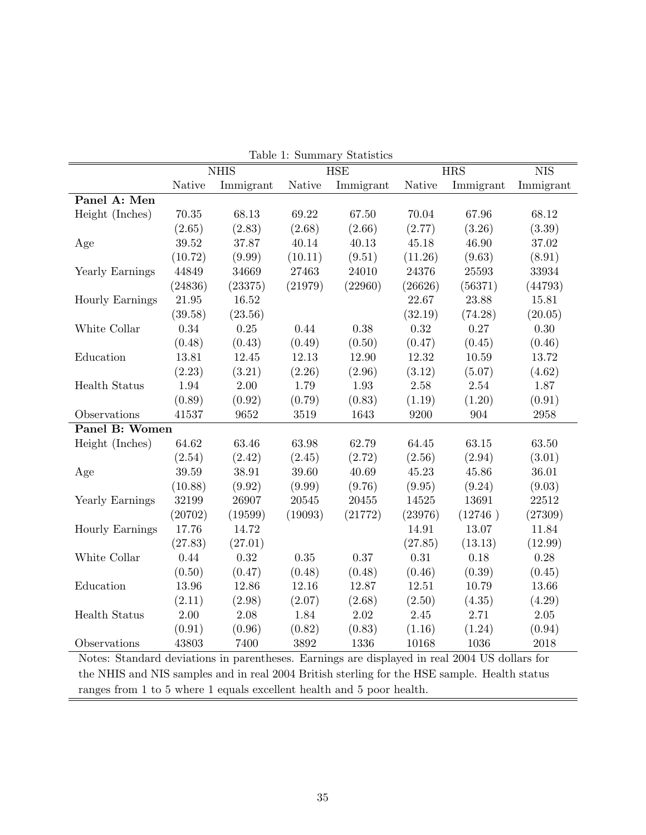|                                                                                               |           |             |           | Table 1: Summary Statistics |          |            |                         |
|-----------------------------------------------------------------------------------------------|-----------|-------------|-----------|-----------------------------|----------|------------|-------------------------|
|                                                                                               |           | <b>NHIS</b> |           | <b>HSE</b>                  |          | <b>HRS</b> | $\overline{\text{NIS}}$ |
|                                                                                               | Native    | Immigrant   | Native    | Immigrant                   | Native   | Immigrant  | Immigrant               |
| Panel A: Men                                                                                  |           |             |           |                             |          |            |                         |
| Height (Inches)                                                                               | 70.35     | 68.13       | 69.22     | 67.50                       | 70.04    | 67.96      | 68.12                   |
|                                                                                               | (2.65)    | (2.83)      | (2.68)    | (2.66)                      | (2.77)   | (3.26)     | (3.39)                  |
| Age                                                                                           | 39.52     | 37.87       | 40.14     | 40.13                       | 45.18    | 46.90      | 37.02                   |
|                                                                                               | (10.72)   | (9.99)      | (10.11)   | (9.51)                      | (11.26)  | (9.63)     | (8.91)                  |
| Yearly Earnings                                                                               | 44849     | 34669       | 27463     | 24010                       | 24376    | 25593      | 33934                   |
|                                                                                               | (24836)   | (23375)     | (21979)   | (22960)                     | (26626)  | (56371)    | (44793)                 |
| <b>Hourly Earnings</b>                                                                        | $21.95\,$ | 16.52       |           |                             | 22.67    | 23.88      | 15.81                   |
|                                                                                               | (39.58)   | (23.56)     |           |                             | (32.19)  | (74.28)    | (20.05)                 |
| White Collar                                                                                  | 0.34      | $0.25\,$    | 0.44      | 0.38                        | 0.32     | 0.27       | 0.30                    |
|                                                                                               | (0.48)    | (0.43)      | (0.49)    | (0.50)                      | (0.47)   | (0.45)     | (0.46)                  |
| Education                                                                                     | 13.81     | 12.45       | 12.13     | 12.90                       | 12.32    | 10.59      | 13.72                   |
|                                                                                               | (2.23)    | (3.21)      | (2.26)    | (2.96)                      | (3.12)   | (5.07)     | (4.62)                  |
| <b>Health Status</b>                                                                          | 1.94      | 2.00        | 1.79      | 1.93                        | 2.58     | 2.54       | 1.87                    |
|                                                                                               | (0.89)    | (0.92)      | (0.79)    | (0.83)                      | (1.19)   | (1.20)     | (0.91)                  |
| Observations                                                                                  | 41537     | 9652        | 3519      | 1643                        | 9200     | 904        | 2958                    |
| <b>Panel B: Women</b>                                                                         |           |             |           |                             |          |            |                         |
| Height (Inches)                                                                               | 64.62     | 63.46       | 63.98     | 62.79                       | 64.45    | 63.15      | 63.50                   |
|                                                                                               | (2.54)    | (2.42)      | (2.45)    | (2.72)                      | (2.56)   | (2.94)     | (3.01)                  |
| Age                                                                                           | 39.59     | 38.91       | 39.60     | 40.69                       | 45.23    | 45.86      | 36.01                   |
|                                                                                               | (10.88)   | (9.92)      | (9.99)    | (9.76)                      | (9.95)   | (9.24)     | (9.03)                  |
| Yearly Earnings                                                                               | 32199     | 26907       | $20545\,$ | 20455                       | 14525    | 13691      | 22512                   |
|                                                                                               | (20702)   | (19599)     | (19093)   | (21772)                     | (23976)  | (12746)    | (27309)                 |
| <b>Hourly Earnings</b>                                                                        | 17.76     | 14.72       |           |                             | 14.91    | 13.07      | 11.84                   |
|                                                                                               | (27.83)   | (27.01)     |           |                             | (27.85)  | (13.13)    | (12.99)                 |
| White Collar                                                                                  | 0.44      | $0.32\,$    | $0.35\,$  | 0.37                        | $0.31\,$ | 0.18       | 0.28                    |
|                                                                                               | (0.50)    | (0.47)      | (0.48)    | (0.48)                      | (0.46)   | (0.39)     | (0.45)                  |
| Education                                                                                     | 13.96     | 12.86       | 12.16     | 12.87                       | 12.51    | 10.79      | 13.66                   |
|                                                                                               | (2.11)    | (2.98)      | (2.07)    | (2.68)                      | (2.50)   | (4.35)     | (4.29)                  |
| Health Status                                                                                 | $2.00\,$  | $2.08\,$    | 1.84      | 2.02                        | $2.45\,$ | 2.71       | $2.05\,$                |
|                                                                                               | (0.91)    | (0.96)      | (0.82)    | (0.83)                      | (1.16)   | (1.24)     | (0.94)                  |
| Observations                                                                                  | 43803     | 7400        | 3892      | 1336                        | 10168    | 1036       | 2018                    |
| Notes: Standard deviations in parentheses. Earnings are displayed in real 2004 US dollars for |           |             |           |                             |          |            |                         |

Table 1: Summary Statistics

parentheses. Earnings are display the NHIS and NIS samples and in real 2004 British sterling for the HSE sample. Health status ranges from 1 to 5 where 1 equals excellent health and 5 poor health.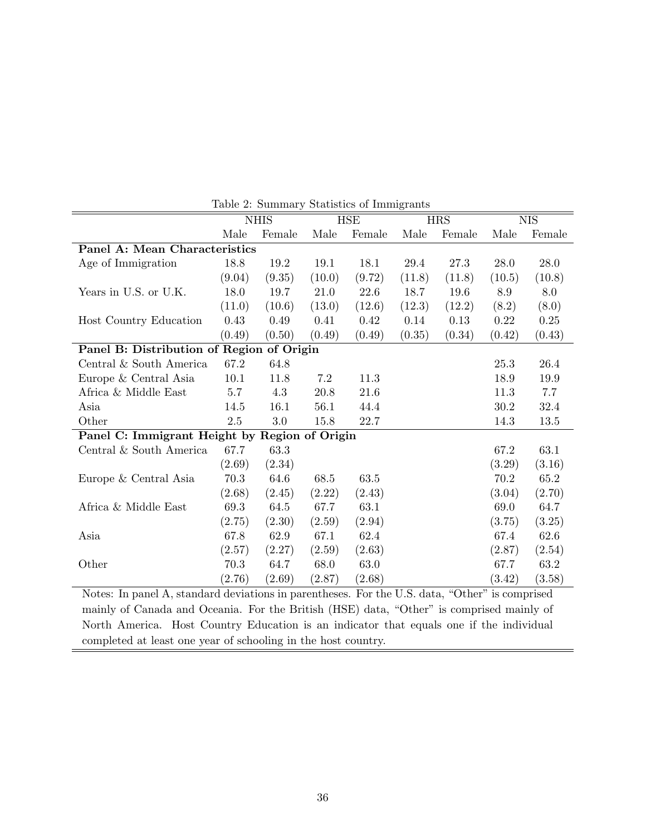|                                                                                                |        | $\mathbf{r}$ and $\mathbf{r}$ . Summary<br><b>NHIS</b> |        | $\sim$<br><b>HSE</b> |        | <b>HRS</b> |        | <b>NIS</b> |
|------------------------------------------------------------------------------------------------|--------|--------------------------------------------------------|--------|----------------------|--------|------------|--------|------------|
|                                                                                                | Male   | Female                                                 | Male   | Female               | Male   | Female     | Male   | Female     |
| Panel A: Mean Characteristics                                                                  |        |                                                        |        |                      |        |            |        |            |
| Age of Immigration                                                                             | 18.8   | 19.2                                                   | 19.1   | 18.1                 | 29.4   | 27.3       | 28.0   | 28.0       |
|                                                                                                | (9.04) | (9.35)                                                 | (10.0) | (9.72)               | (11.8) | (11.8)     | (10.5) | (10.8)     |
| Years in U.S. or U.K.                                                                          | 18.0   | 19.7                                                   | 21.0   | 22.6                 | 18.7   | 19.6       | 8.9    | 8.0        |
|                                                                                                | (11.0) | (10.6)                                                 | (13.0) | (12.6)               | (12.3) | (12.2)     | (8.2)  | (8.0)      |
| <b>Host Country Education</b>                                                                  | 0.43   | 0.49                                                   | 0.41   | 0.42                 | 0.14   | 0.13       | 0.22   | 0.25       |
|                                                                                                | (0.49) | (0.50)                                                 | (0.49) | (0.49)               | (0.35) | (0.34)     | (0.42) | (0.43)     |
| Panel B: Distribution of Region of Origin                                                      |        |                                                        |        |                      |        |            |        |            |
| Central & South America                                                                        | 67.2   | 64.8                                                   |        |                      |        |            | 25.3   | 26.4       |
| Europe & Central Asia                                                                          | 10.1   | 11.8                                                   | 7.2    | 11.3                 |        |            | 18.9   | 19.9       |
| Africa & Middle East                                                                           | 5.7    | 4.3                                                    | 20.8   | 21.6                 |        |            | 11.3   | 7.7        |
| Asia                                                                                           | 14.5   | 16.1                                                   | 56.1   | 44.4                 |        |            | 30.2   | 32.4       |
| Other                                                                                          | 2.5    | 3.0                                                    | 15.8   | 22.7                 |        |            | 14.3   | 13.5       |
| Panel C: Immigrant Height by Region of Origin                                                  |        |                                                        |        |                      |        |            |        |            |
| Central & South America                                                                        | 67.7   | 63.3                                                   |        |                      |        |            | 67.2   | 63.1       |
|                                                                                                | (2.69) | (2.34)                                                 |        |                      |        |            | (3.29) | (3.16)     |
| Europe & Central Asia                                                                          | 70.3   | 64.6                                                   | 68.5   | 63.5                 |        |            | 70.2   | 65.2       |
|                                                                                                | (2.68) | (2.45)                                                 | (2.22) | (2.43)               |        |            | (3.04) | (2.70)     |
| Africa & Middle East                                                                           | 69.3   | 64.5                                                   | 67.7   | 63.1                 |        |            | 69.0   | 64.7       |
|                                                                                                | (2.75) | (2.30)                                                 | (2.59) | (2.94)               |        |            | (3.75) | (3.25)     |
| Asia                                                                                           | 67.8   | 62.9                                                   | 67.1   | 62.4                 |        |            | 67.4   | 62.6       |
|                                                                                                | (2.57) | (2.27)                                                 | (2.59) | (2.63)               |        |            | (2.87) | (2.54)     |
| Other                                                                                          | 70.3   | 64.7                                                   | 68.0   | 63.0                 |        |            | 67.7   | 63.2       |
|                                                                                                | (2.76) | (2.69)                                                 | (2.87) | (2.68)               |        |            | (3.42) | (3.58)     |
| Notes: In panel A, standard deviations in parentheses. For the U.S. data, "Other" is comprised |        |                                                        |        |                      |        |            |        |            |
|                                                                                                |        |                                                        |        |                      |        |            |        |            |

|  |  |  |  | Table 2: Summary Statistics of Immigrants |
|--|--|--|--|-------------------------------------------|
|--|--|--|--|-------------------------------------------|

mainly of Canada and Oceania. For the British (HSE) data, "Other" is comprised mainly of North America. Host Country Education is an indicator that equals one if the individual completed at least one year of schooling in the host country.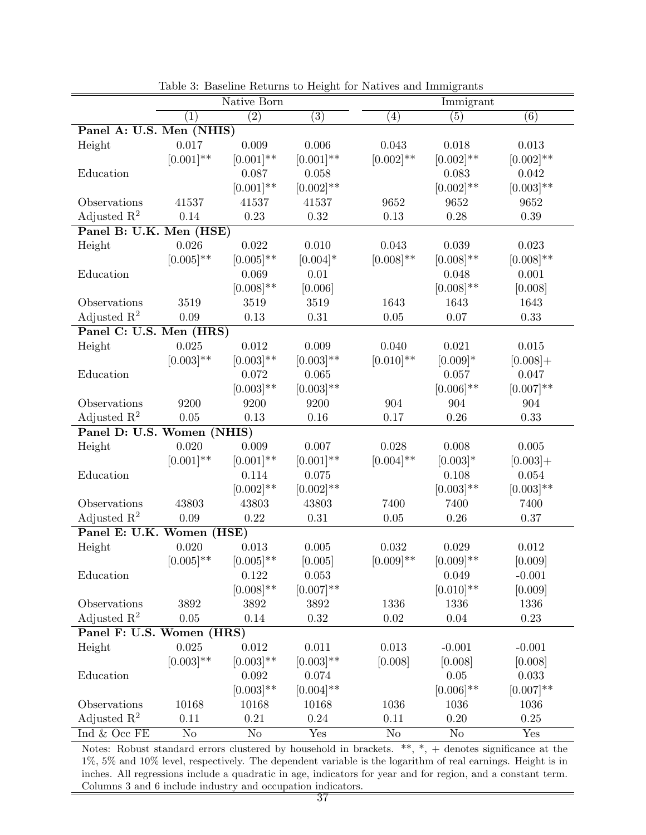|                            |                   | Native Born      |                   |                   | Immigrant        |                  |
|----------------------------|-------------------|------------------|-------------------|-------------------|------------------|------------------|
|                            | $\left( 1\right)$ | $\overline{(2)}$ | $\left( 3\right)$ | $\left( 4\right)$ | $\overline{(5)}$ | $\overline{(6)}$ |
| Panel A: U.S. Men (NHIS)   |                   |                  |                   |                   |                  |                  |
| Height                     | 0.017             | 0.009            | 0.006             | 0.043             | 0.018            | 0.013            |
|                            | $[0.001]$ **      | $[0.001]^{**}$   | $[0.001]$ **      | $[0.002]$ **      | $[0.002]**$      | $[0.002]$ **     |
| Education                  |                   | 0.087            | 0.058             |                   | 0.083            | 0.042            |
|                            |                   | $[0.001]$ **     | $[0.002]^{**}$    |                   | $[0.002]^{**}$   | $[0.003]$ **     |
| Observations               | 41537             | 41537            | 41537             | 9652              | 9652             | 9652             |
| Adjusted $\mathbb{R}^2$    | 0.14              | 0.23             | 0.32              | 0.13              | 0.28             | 0.39             |
| Panel B: U.K. Men (HSE)    |                   |                  |                   |                   |                  |                  |
| Height                     | 0.026             | 0.022            | $0.010\,$         | 0.043             | 0.039            | 0.023            |
|                            | $[0.005]^{**}$    | $[0.005]^{**}$   | $[0.004]*$        | $[0.008]$ **      | $[0.008]^{**}$   | $[0.008]^{**}$   |
| Education                  |                   | 0.069            | 0.01              |                   | 0.048            | 0.001            |
|                            |                   | $[0.008]^{**}$   | [0.006]           |                   | $[0.008]^{**}$   | [0.008]          |
| Observations               | 3519              | 3519             | 3519              | 1643              | 1643             | 1643             |
| Adjusted $\mathbb{R}^2$    | 0.09              | 0.13             | 0.31              | 0.05              | 0.07             | 0.33             |
| Panel C: U.S. Men (HRS)    |                   |                  |                   |                   |                  |                  |
| Height                     | 0.025             | 0.012            | 0.009             | 0.040             | 0.021            | $0.015\,$        |
|                            | $[0.003]$ **      | $[0.003]$ **     | $[0.003]$ **      | $[0.010]^{**}$    | $[0.009]*$       | $[0.008]+$       |
| Education                  |                   | 0.072            | 0.065             |                   | 0.057            | 0.047            |
|                            |                   | $[0.003]^{**}$   | $[0.003]$ **      |                   | $[0.006]$ **     | $[0.007]^{**}$   |
| Observations               | 9200              | 9200             | 9200              | 904               | 904              | 904              |
| Adjusted $\mathbb{R}^2$    | $0.05\,$          | 0.13             | 0.16              | 0.17              | 0.26             | 0.33             |
| Panel D: U.S. Women (NHIS) |                   |                  |                   |                   |                  |                  |
| Height                     | 0.020             | 0.009            | 0.007             | 0.028             | 0.008            | $0.005\,$        |
|                            | $[0.001]$ **      | $[0.001]$ **     | $[0.001]$ **      | $[0.004]$ **      | $[0.003]*$       | $[0.003]+$       |
| Education                  |                   | 0.114            | 0.075             |                   | 0.108            | 0.054            |
|                            |                   | $[0.002]$ **     | $[0.002]^{**}$    |                   | $[0.003]$ **     | $[0.003]$ **     |
|                            | 43803             |                  |                   |                   |                  |                  |
| Observations               |                   | 43803            | 43803             | 7400              | 7400             | 7400             |
| Adjusted $\mathbb{R}^2$    | 0.09              | $0.22\,$         | $0.31\,$          | $0.05\,$          | 0.26             | $0.37\,$         |
| Panel E: U.K. Women (HSE)  |                   |                  |                   |                   |                  |                  |
| Height                     | 0.020             | 0.013            | 0.005             | 0.032             | 0.029            | 0.012            |
|                            | $[0.005]^{**}$    | $[0.005]$ **     | [0.005]           | $[0.009]$ **      | $[0.009]$ **     | [0.009]          |
| $\operatorname{Education}$ |                   | 0.122            | 0.053             |                   | 0.049            | $-0.001$         |
|                            |                   | $[0.008]^{**}$   | $[0.007]$ **      |                   | $[0.010]$ **     | [0.009]          |
| Observations               | 3892              | 3892             | 3892              | 1336              | 1336             | 1336             |
| Adjusted $\mathbb{R}^2$    | $0.05\,$          | 0.14             | $\rm 0.32$        | $0.02\,$          | 0.04             | 0.23             |
| Panel F: U.S. Women (HRS)  |                   |                  |                   |                   |                  |                  |
| Height                     | 0.025             | 0.012            | 0.011             | 0.013             | $-0.001$         | $-0.001$         |
|                            | $[0.003]$ **      | $[0.003]$ **     | $[0.003]$ **      | [0.008]           | [0.008]          | [0.008]          |
| Education                  |                   | 0.092            | 0.074             |                   | 0.05             | 0.033            |
|                            |                   | $[0.003]$ **     | $[0.004]$ **      |                   | $[0.006]$ **     | $[0.007]$ **     |
| Observations               | 10168             | 10168            | 10168             | 1036              | 1036             | 1036             |
| Adjusted $\mathbb{R}^2$    | 0.11              | $0.21\,$         | $0.24\,$          | 0.11              | 0.20             | 0.25             |
| Ind & Occ FE               | N <sub>o</sub>    | $\rm No$         | Yes               | No                | N <sub>o</sub>   | Yes              |

Table 3: Baseline Returns to Height for Natives and Immigrants

Notes: Robust standard errors clustered by household in brackets. \*\*, \*, + denotes significance at the 1%, 5% and 10% level, respectively. The dependent variable is the logarithm of real earnings. Height is in inches. All regressions include a quadratic in age, indicators for year and for region, and a constant term. Columns 3 and 6 include industry and occupation indicators.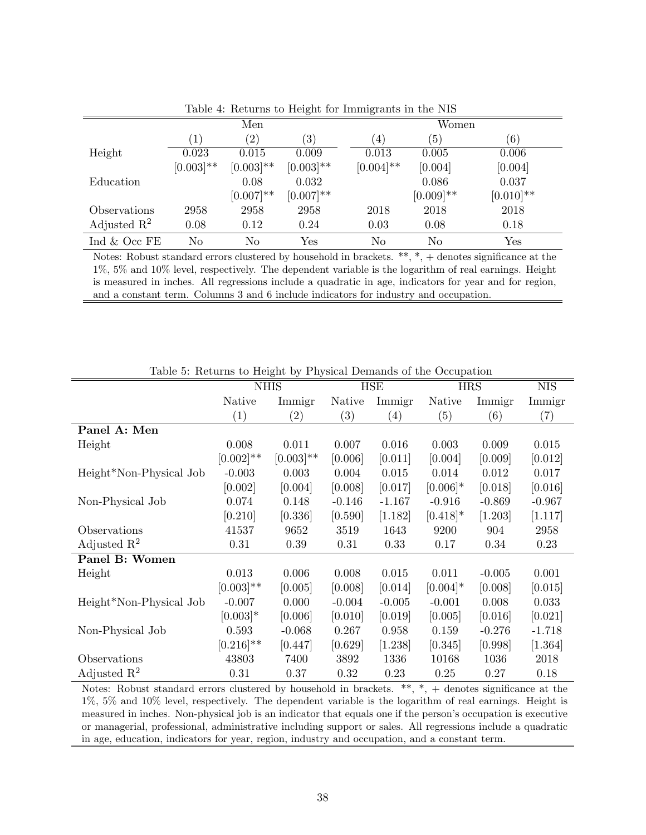|                         |                  |                   | $\tilde{}$        | $\tilde{}$       |              |              |
|-------------------------|------------------|-------------------|-------------------|------------------|--------------|--------------|
|                         |                  | Men               |                   |                  | Women        |              |
|                         | $\left(1\right)$ | $\left( 2\right)$ | $\left( 3\right)$ | $\left(4\right)$ | (5)          | (6)          |
| Height                  | 0.023            | 0.015             | 0.009             | 0.013            | 0.005        | 0.006        |
|                         | $[0.003]$ **     | $[0.003]$ **      | $[0.003]$ **      | $[0.004]$ **     | [0.004]      | [0.004]      |
| Education               |                  | 0.08              | 0.032             |                  | 0.086        | 0.037        |
|                         |                  | $[0.007]$ **      | $[0.007]^{**}$    |                  | $[0.009]$ ** | $[0.010]$ ** |
| Observations            | 2958             | 2958              | 2958              | 2018             | 2018         | 2018         |
| Adjusted $\mathbb{R}^2$ | 0.08             | 0.12              | 0.24              | 0.03             | 0.08         | 0.18         |
| Ind $&$ Occ FE          | No               | No                | $_{\rm Yes}$      | No               | $\rm No$     | Yes          |

Table 4: Returns to Height for Immigrants in the NIS

Notes: Robust standard errors clustered by household in brackets. \*\*, \*, + denotes significance at the 1%, 5% and 10% level, respectively. The dependent variable is the logarithm of real earnings. Height is measured in inches. All regressions include a quadratic in age, indicators for year and for region, and a constant term. Columns 3 and 6 include indicators for industry and occupation.

| $\frac{1}{2}$           |                |                   |          |            |            |          |            |
|-------------------------|----------------|-------------------|----------|------------|------------|----------|------------|
|                         |                | <b>NHIS</b>       |          | <b>HSE</b> | <b>HRS</b> |          | <b>NIS</b> |
|                         | Native         | Immigr            | Native   | Immigr     | Native     | Immigr   | Immigr     |
|                         | (1)            | $\left( 2\right)$ | (3)      | (4)        | (5)        | (6)      | (7)        |
| Panel A: Men            |                |                   |          |            |            |          |            |
| Height                  | 0.008          | 0.011             | 0.007    | 0.016      | 0.003      | 0.009    | 0.015      |
|                         | $[0.002]$ **   | $[0.003]$ **      | [0.006]  | [0.011]    | [0.004]    | [0.009]  | [0.012]    |
| Height*Non-Physical Job | $-0.003$       | 0.003             | 0.004    | 0.015      | 0.014      | 0.012    | 0.017      |
|                         | [0.002]        | [0.004]           | [0.008]  | [0.017]    | $[0.006]*$ | [0.018]  | [0.016]    |
| Non-Physical Job        | 0.074          | 0.148             | $-0.146$ | $-1.167$   | $-0.916$   | $-0.869$ | $-0.967$   |
|                         | [0.210]        | [0.336]           | [0.590]  | [1.182]    | $[0.418]*$ | [1.203]  | [1.117]    |
| Observations            | 41537          | 9652              | 3519     | 1643       | 9200       | 904      | 2958       |
| Adjusted $\mathbb{R}^2$ | 0.31           | 0.39              | 0.31     | 0.33       | 0.17       | 0.34     | 0.23       |
| Panel B: Women          |                |                   |          |            |            |          |            |
| Height                  | 0.013          | 0.006             | 0.008    | 0.015      | 0.011      | $-0.005$ | 0.001      |
|                         | $[0.003]$ **   | [0.005]           | [0.008]  | [0.014]    | $[0.004]*$ | [0.008]  | [0.015]    |
| Height*Non-Physical Job | $-0.007$       | 0.000             | $-0.004$ | $-0.005$   | $-0.001$   | 0.008    | 0.033      |
|                         | $[0.003]*$     | [0.006]           | [0.010]  | [0.019]    | [0.005]    | [0.016]  | [0.021]    |
| Non-Physical Job        | 0.593          | $-0.068$          | 0.267    | 0.958      | 0.159      | $-0.276$ | $-1.718$   |
|                         | $[0.216]^{**}$ | [0.447]           | [0.629]  | [1.238]    | [0.345]    | [0.998]  | $[1.364]$  |
| Observations            | 43803          | 7400              | 3892     | 1336       | 10168      | 1036     | 2018       |
| Adjusted $\mathbb{R}^2$ | 0.31           | 0.37              | 0.32     | 0.23       | 0.25       | 0.27     | 0.18       |

Table 5: Returns to Height by Physical Demands of the Occupation

Notes: Robust standard errors clustered by household in brackets. \*\*, \*, + denotes significance at the 1%, 5% and 10% level, respectively. The dependent variable is the logarithm of real earnings. Height is measured in inches. Non-physical job is an indicator that equals one if the person's occupation is executive or managerial, professional, administrative including support or sales. All regressions include a quadratic in age, education, indicators for year, region, industry and occupation, and a constant term.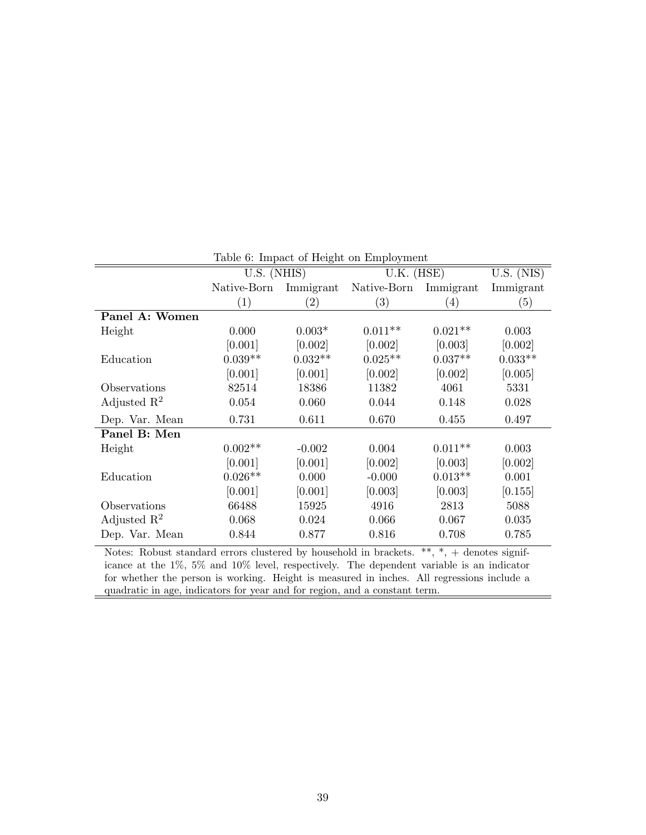| U.S. (NHIS) |                   |                   |                  |              |
|-------------|-------------------|-------------------|------------------|--------------|
|             |                   | $U.K.$ (HSE)      |                  | $U.S.$ (NIS) |
| Native-Born | Immigrant         | Native-Born       | Immigrant        | Immigrant    |
| (1)         | $\left( 2\right)$ | $\left( 3\right)$ | $\left(4\right)$ | (5)          |
|             |                   |                   |                  |              |
| 0.000       | $0.003*$          | $0.011**$         | $0.021**$        | 0.003        |
| [0.001]     | [0.002]           | [0.002]           | [0.003]          | [0.002]      |
| $0.039**$   | $0.032**$         | $0.025**$         | $0.037**$        | $0.033**$    |
| [0.001]     | [0.001]           | [0.002]           | [0.002]          | [0.005]      |
| 82514       | 18386             | 11382             | 4061             | 5331         |
| 0.054       | 0.060             | 0.044             | 0.148            | 0.028        |
| 0.731       | 0.611             | 0.670             | 0.455            | 0.497        |
|             |                   |                   |                  |              |
| $0.002**$   | $-0.002$          | 0.004             | $0.011**$        | 0.003        |
| [0.001]     | [0.001]           | [0.002]           | [0.003]          | [0.002]      |
| $0.026**$   | 0.000             | $-0.000$          | $0.013**$        | 0.001        |
| [0.001]     | [0.001]           | [0.003]           | [0.003]          | [0.155]      |
| 66488       | 15925             | 4916              | 2813             | 5088         |
| 0.068       | 0.024             | 0.066             | 0.067            | 0.035        |
| 0.844       | 0.877             | 0.816             | 0.708            | 0.785        |
|             |                   |                   |                  |              |

Table 6: Impact of Height on Employment

Notes: Robust standard errors clustered by household in brackets. \*\*, \*, + denotes significance at the 1%, 5% and 10% level, respectively. The dependent variable is an indicator for whether the person is working. Height is measured in inches. All regressions include a quadratic in age, indicators for year and for region, and a constant term.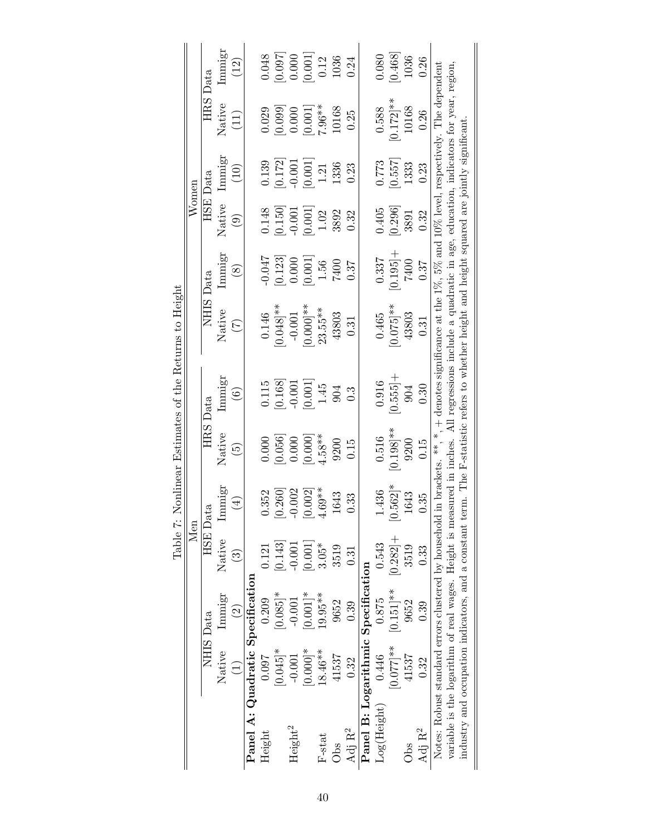|                                              |              |                 | Immigr        | $(12)$                 |                                  | 0.048  | [260.0]               | 0.000               | 0.001                 | 0.12       | 1036  | 0.24             |                                    | 0.080       | $[89f\,0]$            | 1036            | 0.26               |                                                                                                                                                          |                                                                                                                                                            |                                                                                                                                              |  |
|----------------------------------------------|--------------|-----------------|---------------|------------------------|----------------------------------|--------|-----------------------|---------------------|-----------------------|------------|-------|------------------|------------------------------------|-------------|-----------------------|-----------------|--------------------|----------------------------------------------------------------------------------------------------------------------------------------------------------|------------------------------------------------------------------------------------------------------------------------------------------------------------|----------------------------------------------------------------------------------------------------------------------------------------------|--|
|                                              |              | HRS Data        | Native        | (11)                   |                                  | 0.029  | [660.0]               | 0.000               | [0.001]               | $7.96**$   | 10168 | 0.25             |                                    | 0.588       | $[0.172]$ **          | 10168           | 0.26               |                                                                                                                                                          |                                                                                                                                                            |                                                                                                                                              |  |
|                                              |              |                 |               | (10)                   |                                  | 0.139  | [0.172]               | 0.001               | 0.001                 | 1.21       | 1336  | 0.23             |                                    | 0.773       | [2557]                | 1333            | 0.23               |                                                                                                                                                          |                                                                                                                                                            |                                                                                                                                              |  |
|                                              | $\rm{Women}$ | <b>HSE</b> Data | Native Immigr | $\widehat{\mathbf{e}}$ |                                  | 0.148  | [0.150]               | 0.001               | [0.001]               | 1.02       | 3892  | 0.32             |                                    | 0.405       | [0.296]               | 3891            | 0.32               |                                                                                                                                                          |                                                                                                                                                            |                                                                                                                                              |  |
|                                              |              |                 | Immigr        | $\circledast$          |                                  | 0.047  | [0.123]               | 0.000               | [0.001]               | 1.56       | 7400  | 0.37             |                                    | 0.337       | $0.195 +$             | 7400            | 0.37               |                                                                                                                                                          |                                                                                                                                                            |                                                                                                                                              |  |
| Nonlinear Estimates of the Returns to Height |              | NHIS Data       | Native        | $\widetilde{C}$        |                                  | 0.146  | $0.048$ <sup>**</sup> | $-0.001$            | $0.000$ <sup>**</sup> | $23.55***$ | 43803 | 0.31             |                                    | 0.465       | $0.075$ <sup>**</sup> | 43803           | 0.31               | Notes: Robust standard errors clustered by household in brackets. **, *, + denotes significance at the 1%, 5% and 10% level, respectively. The dependent | variable is the logarithm of real wages. Height is measured in inches. All regressions include a quadratic in age, education, indicators for year, region, | industry and occupation indicators, and a constant term. The F-statistic refers to whether height and height squared are jointly significant |  |
|                                              |              | HRS Data        | Immigr        | $\widehat{\circ}$      |                                  | 0.115  | [0.168]               | 0.001               | [0.001]               | 1.45       | 904   | $0.\overline{3}$ |                                    | 0.916       | $0.555 +$             | 904             | 0.30               |                                                                                                                                                          |                                                                                                                                                            |                                                                                                                                              |  |
|                                              |              |                 | Native        | $\widehat{5}$          |                                  | 0.000  | [0.056]               | 0.000               | [0.000]               | 4.58**     | 9200  | 0.15             |                                    | 0.516       | $[0.198]$ **          | 9200            | 0.15               |                                                                                                                                                          |                                                                                                                                                            |                                                                                                                                              |  |
|                                              |              |                 | Immigr        | $\bigoplus$            |                                  | 0.352  | [0.260]               | $-0.002$            | [0.002]               | $4.69**$   | 1643  | 0.33             |                                    | 1.436       | $[0.562]$ *           | 1643            | 0.35               |                                                                                                                                                          |                                                                                                                                                            |                                                                                                                                              |  |
| Table 7:                                     | Men          | HSE Data        | Native        | ကြ                     |                                  | 121    | $\left[0.143\right]$  | $-0.001$            | 0.001                 | $3.05*$    | 3519  | 5.<br>S          |                                    | 0.543       | $[0.282] +$           | 3519            | 0.33               |                                                                                                                                                          |                                                                                                                                                            |                                                                                                                                              |  |
|                                              |              |                 | Immigr        | $\widehat{c}$          |                                  | 0.209  | $[0.085]$ *           | $-0.001$            | $0.001$ <sup>*</sup>  | $19.95**$  | 9652  | 0.39             |                                    | 0.875       | $[0.151]$ **          | 9652            | 0.39               |                                                                                                                                                          |                                                                                                                                                            |                                                                                                                                              |  |
|                                              |              | NHIS Data       | Native        | $\widehat{\Xi}$        |                                  | 0.097  | $[0.045]$ *           | $-0.001$            | $0.000$ <sup>*</sup>  | $18.46**$  | 41537 | 0.32             |                                    | 0.446       | $[0.077]$ **          | 41537           | 0.32               |                                                                                                                                                          |                                                                                                                                                            |                                                                                                                                              |  |
|                                              |              |                 |               |                        | Panel A: Quadratic Specification | Height |                       | Height <sup>2</sup> |                       | $F-stat$   | Obs   | $\rm{Adj}\;R^2$  | Panel B: Logarithmic Specification | Log(Height) |                       | O <sub>bs</sub> | Adj R <sup>2</sup> |                                                                                                                                                          |                                                                                                                                                            |                                                                                                                                              |  |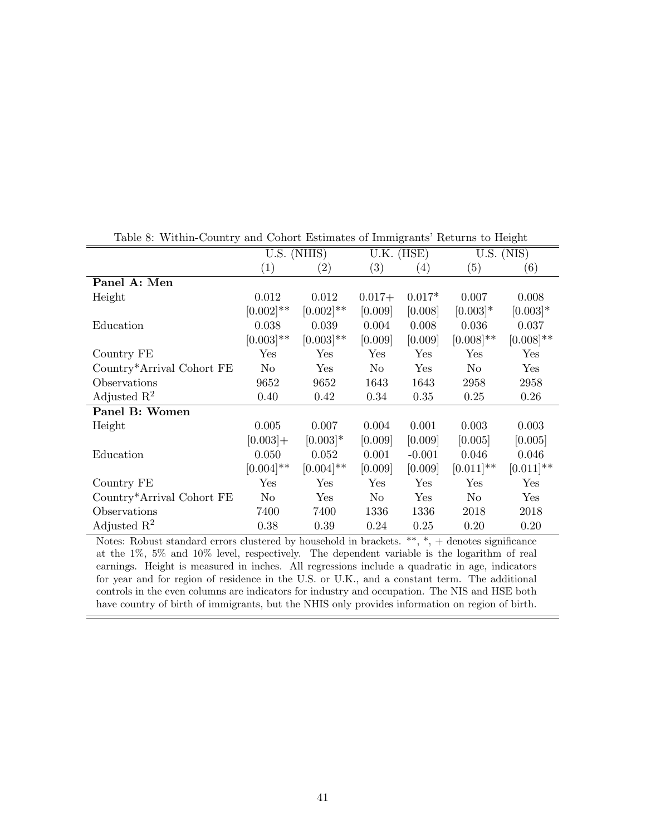|                           | U.S. (NHIS)    |                   | U.K. (HSE)        |                  |                | $U.S.$ (NIS) |
|---------------------------|----------------|-------------------|-------------------|------------------|----------------|--------------|
|                           | (1)            | $\left( 2\right)$ | $\left( 3\right)$ | $\left(4\right)$ | (5)            | (6)          |
| Panel A: Men              |                |                   |                   |                  |                |              |
| Height                    | 0.012          | 0.012             | $0.017+$          | $0.017*$         | 0.007          | 0.008        |
|                           | $[0.002]$ **   | $[0.002]$ **      | [0.009]           | [0.008]          | $[0.003]*$     | $[0.003]*$   |
| Education                 | 0.038          | 0.039             | 0.004             | 0.008            | 0.036          | 0.037        |
|                           | $[0.003]^{**}$ | $[0.003]$ **      | [0.009]           | [0.009]          | $[0.008]$ **   | $[0.008]$ ** |
| Country FE                | Yes            | Yes               | Yes               | Yes              | Yes            | Yes          |
| Country*Arrival Cohort FE | N <sub>o</sub> | Yes               | No                | Yes              | N <sub>o</sub> | Yes          |
| Observations              | 9652           | 9652              | 1643              | 1643             | 2958           | 2958         |
| Adjusted $R^2$            | 0.40           | 0.42              | 0.34              | 0.35             | 0.25           | 0.26         |
| Panel B: Women            |                |                   |                   |                  |                |              |
| Height                    | 0.005          | 0.007             | 0.004             | 0.001            | 0.003          | 0.003        |
|                           | $[0.003] +$    | $[0.003]*$        | [0.009]           | [0.009]          | [0.005]        | [0.005]      |
| Education                 | 0.050          | 0.052             | 0.001             | $-0.001$         | 0.046          | 0.046        |
|                           | $[0.004]$ **   | $[0.004]$ **      | [0.009]           | [0.009]          | $[0.011]$ **   | $[0.011]$ ** |
| Country FE                | Yes            | Yes               | Yes               | Yes              | Yes            | Yes          |
| Country*Arrival Cohort FE | N <sub>o</sub> | Yes               | No                | Yes              | N <sub>o</sub> | Yes          |
| Observations              | 7400           | 7400              | 1336              | 1336             | 2018           | 2018         |
| Adjusted $\mathbb{R}^2$   | 0.38           | 0.39              | 0.24              | 0.25             | 0.20           | 0.20         |

Table 8: Within-Country and Cohort Estimates of Immigrants' Returns to Height

Notes: Robust standard errors clustered by household in brackets. \*\*, \*, + denotes significance at the 1%, 5% and 10% level, respectively. The dependent variable is the logarithm of real earnings. Height is measured in inches. All regressions include a quadratic in age, indicators for year and for region of residence in the U.S. or U.K., and a constant term. The additional controls in the even columns are indicators for industry and occupation. The NIS and HSE both have country of birth of immigrants, but the NHIS only provides information on region of birth.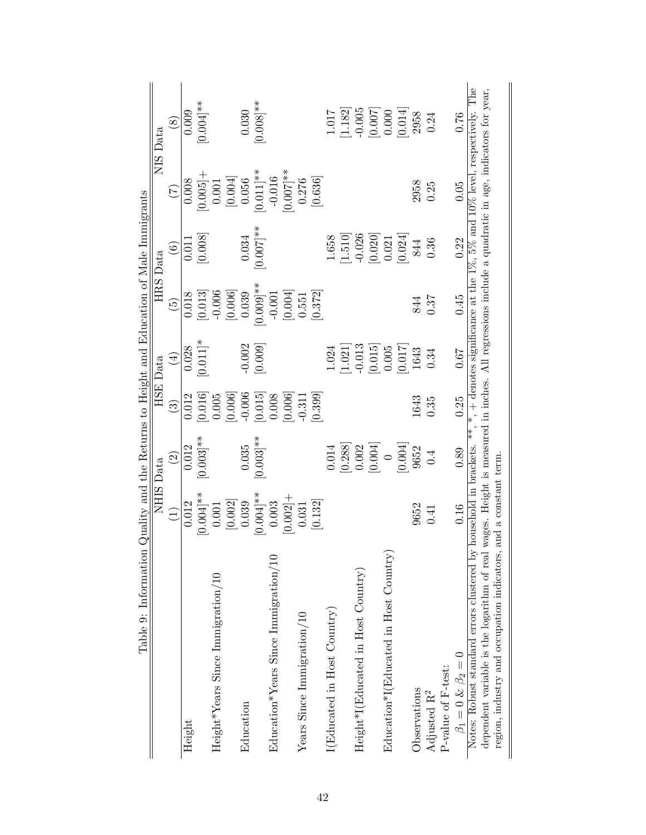| 10% level, respectively. The<br>$0.004$ <sup>**</sup><br>$0.008$ **<br>$\begin{bmatrix} 1.182 \\ -0.005 \\ 0.007 \\ 0.000 \\ 0.014 \\ \end{bmatrix}$<br>0.030<br>0.009<br>1.017<br>2958<br>0.76<br>0.24<br>$\circledast$<br>$0.011$ <sup>**</sup><br>$0.007$ **<br>$1.005 +$<br>$-0.016$<br>$\left[0.004\right]0.056$<br>[0.636]<br>0.276<br>0.008<br>$0.001\,$<br>2958<br>0.05<br>0.25<br>$\widetilde{C}$<br>+ denotes significance at the $1\%$ , $5\%$ and<br>$0.007$ <sup>**</sup><br>$\begin{array}{c} [1.510] \\ -0.026 \\ [0.020] \\ 0.021 \end{array}$<br>[0.008]<br>[0.024]<br>1.658<br>0.034<br>0.011<br>0.22<br>0.36<br>844<br>$\widehat{\mathfrak{S}}$<br>$0.009$ <sup>**</sup><br>$[0.004]$<br>[0.372]<br>$-0.006$<br>$\left[0.006\right]$<br>[0.013]<br>0.039<br>$-0.001$<br>0.018<br>0.551<br>0.45<br>0.37<br>844<br>$\widetilde{5}$<br>$[0.011]$ *<br>0.002<br>$\begin{bmatrix} 0.015 \\ 0.005 \end{bmatrix}$<br>[0.009]<br>$1.021$ ]<br>$-0.013$<br>[0.017]<br>0.028<br>1.024<br>1643<br>79.0<br>0.34<br>$(\pm)$<br>[0.016]<br>0.006<br>0.006<br>[0.399]<br>[0.006]<br>0.005<br>[0.015]<br>$-0.311$<br>0.012<br>0.008<br>0.25<br>1643<br>0.35<br>$\widehat{\mathbf{G}}$<br>$\frac{1}{x}$<br>$0.003$ <sup>**</sup><br>$0.003$ <sup>**</sup><br>$\begin{bmatrix} 0.004 \\ 0 \end{bmatrix}$<br>$\begin{array}{c} 0.014 \\ 0.288 \end{array}$<br>0.002<br>0.004]<br>0.012<br>0.035<br>Notes: Robust standard errors clustered by household in brackets.<br>9652<br>0.89<br>0.4<br>$\widehat{\mathfrak{D}}$<br>$0.004$ **<br>$0.004$ **<br>$(0.002 +$<br>[0.132]<br>$[0.002] \\ 0.039$<br>0.003<br>0.012<br>$0.031\,$<br>0.001<br>9652<br>0.16<br>0.41<br>$\widehat{\Xi}$<br>Education*Years Since Immigration/10<br>Education*I(Educated in Host Country<br>Height*I(Educated in Host Country)<br>Height*Years Since Immigration/10<br>I(Educated in Host Country)<br>Years Since Immigration/10<br>$\beta_1 = 0 \& \beta_2 = 0$<br>P-value of F-test:<br>Observations<br>Adjusted R <sup>2</sup><br>Education<br>Height | Table 9: Information Quality and the Returns to Height and Education of Male Inmigrants | NHIS Data | <b>HSE</b> Data | HRS Data | NIS Data |
|---------------------------------------------------------------------------------------------------------------------------------------------------------------------------------------------------------------------------------------------------------------------------------------------------------------------------------------------------------------------------------------------------------------------------------------------------------------------------------------------------------------------------------------------------------------------------------------------------------------------------------------------------------------------------------------------------------------------------------------------------------------------------------------------------------------------------------------------------------------------------------------------------------------------------------------------------------------------------------------------------------------------------------------------------------------------------------------------------------------------------------------------------------------------------------------------------------------------------------------------------------------------------------------------------------------------------------------------------------------------------------------------------------------------------------------------------------------------------------------------------------------------------------------------------------------------------------------------------------------------------------------------------------------------------------------------------------------------------------------------------------------------------------------------------------------------------------------------------------------------------------------------------------------------------------------------------------------------------------------------------------------------------------------|-----------------------------------------------------------------------------------------|-----------|-----------------|----------|----------|
|                                                                                                                                                                                                                                                                                                                                                                                                                                                                                                                                                                                                                                                                                                                                                                                                                                                                                                                                                                                                                                                                                                                                                                                                                                                                                                                                                                                                                                                                                                                                                                                                                                                                                                                                                                                                                                                                                                                                                                                                                                       |                                                                                         |           |                 |          |          |
|                                                                                                                                                                                                                                                                                                                                                                                                                                                                                                                                                                                                                                                                                                                                                                                                                                                                                                                                                                                                                                                                                                                                                                                                                                                                                                                                                                                                                                                                                                                                                                                                                                                                                                                                                                                                                                                                                                                                                                                                                                       |                                                                                         |           |                 |          |          |
|                                                                                                                                                                                                                                                                                                                                                                                                                                                                                                                                                                                                                                                                                                                                                                                                                                                                                                                                                                                                                                                                                                                                                                                                                                                                                                                                                                                                                                                                                                                                                                                                                                                                                                                                                                                                                                                                                                                                                                                                                                       |                                                                                         |           |                 |          |          |
|                                                                                                                                                                                                                                                                                                                                                                                                                                                                                                                                                                                                                                                                                                                                                                                                                                                                                                                                                                                                                                                                                                                                                                                                                                                                                                                                                                                                                                                                                                                                                                                                                                                                                                                                                                                                                                                                                                                                                                                                                                       |                                                                                         |           |                 |          |          |
|                                                                                                                                                                                                                                                                                                                                                                                                                                                                                                                                                                                                                                                                                                                                                                                                                                                                                                                                                                                                                                                                                                                                                                                                                                                                                                                                                                                                                                                                                                                                                                                                                                                                                                                                                                                                                                                                                                                                                                                                                                       |                                                                                         |           |                 |          |          |
|                                                                                                                                                                                                                                                                                                                                                                                                                                                                                                                                                                                                                                                                                                                                                                                                                                                                                                                                                                                                                                                                                                                                                                                                                                                                                                                                                                                                                                                                                                                                                                                                                                                                                                                                                                                                                                                                                                                                                                                                                                       |                                                                                         |           |                 |          |          |
|                                                                                                                                                                                                                                                                                                                                                                                                                                                                                                                                                                                                                                                                                                                                                                                                                                                                                                                                                                                                                                                                                                                                                                                                                                                                                                                                                                                                                                                                                                                                                                                                                                                                                                                                                                                                                                                                                                                                                                                                                                       |                                                                                         |           |                 |          |          |
|                                                                                                                                                                                                                                                                                                                                                                                                                                                                                                                                                                                                                                                                                                                                                                                                                                                                                                                                                                                                                                                                                                                                                                                                                                                                                                                                                                                                                                                                                                                                                                                                                                                                                                                                                                                                                                                                                                                                                                                                                                       |                                                                                         |           |                 |          |          |
|                                                                                                                                                                                                                                                                                                                                                                                                                                                                                                                                                                                                                                                                                                                                                                                                                                                                                                                                                                                                                                                                                                                                                                                                                                                                                                                                                                                                                                                                                                                                                                                                                                                                                                                                                                                                                                                                                                                                                                                                                                       |                                                                                         |           |                 |          |          |
|                                                                                                                                                                                                                                                                                                                                                                                                                                                                                                                                                                                                                                                                                                                                                                                                                                                                                                                                                                                                                                                                                                                                                                                                                                                                                                                                                                                                                                                                                                                                                                                                                                                                                                                                                                                                                                                                                                                                                                                                                                       |                                                                                         |           |                 |          |          |
|                                                                                                                                                                                                                                                                                                                                                                                                                                                                                                                                                                                                                                                                                                                                                                                                                                                                                                                                                                                                                                                                                                                                                                                                                                                                                                                                                                                                                                                                                                                                                                                                                                                                                                                                                                                                                                                                                                                                                                                                                                       |                                                                                         |           |                 |          |          |
|                                                                                                                                                                                                                                                                                                                                                                                                                                                                                                                                                                                                                                                                                                                                                                                                                                                                                                                                                                                                                                                                                                                                                                                                                                                                                                                                                                                                                                                                                                                                                                                                                                                                                                                                                                                                                                                                                                                                                                                                                                       |                                                                                         |           |                 |          |          |
|                                                                                                                                                                                                                                                                                                                                                                                                                                                                                                                                                                                                                                                                                                                                                                                                                                                                                                                                                                                                                                                                                                                                                                                                                                                                                                                                                                                                                                                                                                                                                                                                                                                                                                                                                                                                                                                                                                                                                                                                                                       |                                                                                         |           |                 |          |          |
|                                                                                                                                                                                                                                                                                                                                                                                                                                                                                                                                                                                                                                                                                                                                                                                                                                                                                                                                                                                                                                                                                                                                                                                                                                                                                                                                                                                                                                                                                                                                                                                                                                                                                                                                                                                                                                                                                                                                                                                                                                       |                                                                                         |           |                 |          |          |
|                                                                                                                                                                                                                                                                                                                                                                                                                                                                                                                                                                                                                                                                                                                                                                                                                                                                                                                                                                                                                                                                                                                                                                                                                                                                                                                                                                                                                                                                                                                                                                                                                                                                                                                                                                                                                                                                                                                                                                                                                                       |                                                                                         |           |                 |          |          |
|                                                                                                                                                                                                                                                                                                                                                                                                                                                                                                                                                                                                                                                                                                                                                                                                                                                                                                                                                                                                                                                                                                                                                                                                                                                                                                                                                                                                                                                                                                                                                                                                                                                                                                                                                                                                                                                                                                                                                                                                                                       |                                                                                         |           |                 |          |          |
|                                                                                                                                                                                                                                                                                                                                                                                                                                                                                                                                                                                                                                                                                                                                                                                                                                                                                                                                                                                                                                                                                                                                                                                                                                                                                                                                                                                                                                                                                                                                                                                                                                                                                                                                                                                                                                                                                                                                                                                                                                       |                                                                                         |           |                 |          |          |
|                                                                                                                                                                                                                                                                                                                                                                                                                                                                                                                                                                                                                                                                                                                                                                                                                                                                                                                                                                                                                                                                                                                                                                                                                                                                                                                                                                                                                                                                                                                                                                                                                                                                                                                                                                                                                                                                                                                                                                                                                                       |                                                                                         |           |                 |          |          |
|                                                                                                                                                                                                                                                                                                                                                                                                                                                                                                                                                                                                                                                                                                                                                                                                                                                                                                                                                                                                                                                                                                                                                                                                                                                                                                                                                                                                                                                                                                                                                                                                                                                                                                                                                                                                                                                                                                                                                                                                                                       |                                                                                         |           |                 |          |          |
|                                                                                                                                                                                                                                                                                                                                                                                                                                                                                                                                                                                                                                                                                                                                                                                                                                                                                                                                                                                                                                                                                                                                                                                                                                                                                                                                                                                                                                                                                                                                                                                                                                                                                                                                                                                                                                                                                                                                                                                                                                       |                                                                                         |           |                 |          |          |
|                                                                                                                                                                                                                                                                                                                                                                                                                                                                                                                                                                                                                                                                                                                                                                                                                                                                                                                                                                                                                                                                                                                                                                                                                                                                                                                                                                                                                                                                                                                                                                                                                                                                                                                                                                                                                                                                                                                                                                                                                                       |                                                                                         |           |                 |          |          |
|                                                                                                                                                                                                                                                                                                                                                                                                                                                                                                                                                                                                                                                                                                                                                                                                                                                                                                                                                                                                                                                                                                                                                                                                                                                                                                                                                                                                                                                                                                                                                                                                                                                                                                                                                                                                                                                                                                                                                                                                                                       |                                                                                         |           |                 |          |          |
| dependent variable is the logarithm of real wages. Height is measured in inches. All regressions include a quadratic in age, indicators for year,                                                                                                                                                                                                                                                                                                                                                                                                                                                                                                                                                                                                                                                                                                                                                                                                                                                                                                                                                                                                                                                                                                                                                                                                                                                                                                                                                                                                                                                                                                                                                                                                                                                                                                                                                                                                                                                                                     | region, industry and occupation indicators, and a constant term                         |           |                 |          |          |

| J<br>֖֖֖֖֖֖֖֖ׅ֖֖֚֚֚֚֚֚֚֚֚֚֚֚֚֚֚֚֚֚֚֚֚֚֚֚֚֚֬֝֓֞<br>֚֚֡<br>ł                                               |  |
|----------------------------------------------------------------------------------------------------------|--|
|                                                                                                          |  |
| ֕<br>֖֖֖֖֖֧֖֧֪֪֪ׅ֪֪֪֪֧֪֪֪֪֪֪֪֪֪֪֪֪֧֛֪֪֛֪֪֪֪֧֚֚֚֚֚֚֚֚֚֚֚֚֚֚֚֚֚֚֚֚֚֚֚֡֝֓֞֝֓֞֓֬֝֬֓֞֬֝֓֬֝֓֬֝֓֬֝֓֞֬֝֬<br>֚֘֝֬ |  |
|                                                                                                          |  |
| ֘֒<br>I<br>!                                                                                             |  |
| Ī                                                                                                        |  |
| į<br>$\overline{a}$                                                                                      |  |
| J<br>֖֖֖֖֖ׅׅ֧ׅ֖֖֧֪֪֪ׅ֖֧֚֚֚֚֚֚֚֚֚֚֚֚֚֚֚֚֚֚֚֚֚֚֚֚֚֚֚֚֚֚֡֝֬֝֬֓֞֝֓֞֝<br>$\overline{1}$<br>ׇ֚֘֕֡<br>l         |  |
|                                                                                                          |  |
| ļ<br>l                                                                                                   |  |
|                                                                                                          |  |
| $\ddot{\phantom{a}}$                                                                                     |  |
|                                                                                                          |  |
|                                                                                                          |  |
| $\frac{1}{2}$                                                                                            |  |
| ׇ֚֓֡<br>i<br>I<br>I<br>I<br>I<br>I<br>I                                                                  |  |
|                                                                                                          |  |
|                                                                                                          |  |
| ׇׇׇׇ֧֢֧֡<br>׆<br>į<br>ì<br>E<br>۱                                                                        |  |
|                                                                                                          |  |

 $\parallel$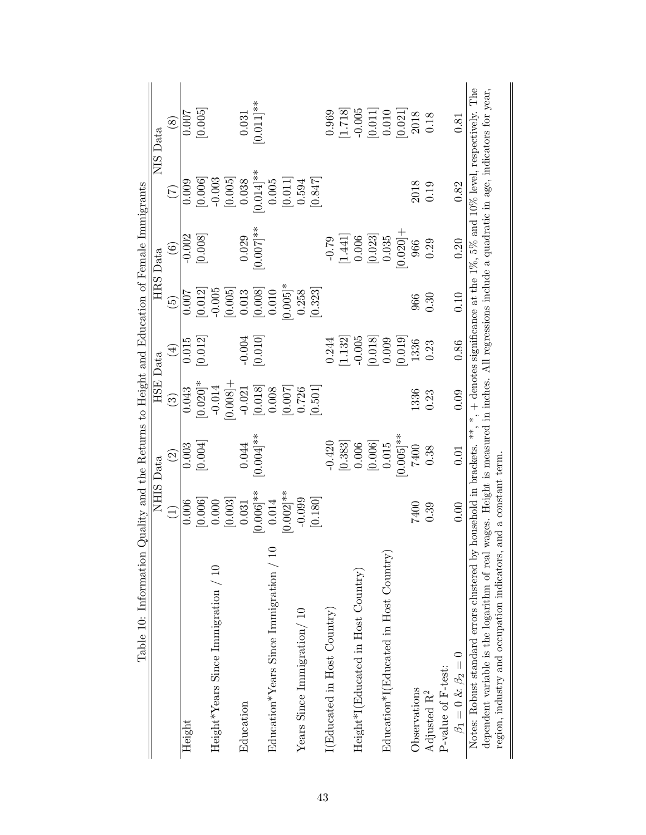| Table 10: Information Quality and the Returns to Height and Education of Female Immigrants                                                                                                                             |                       |                       |                        |                                                         |                      |                                                |                                                |                                                                                                       |
|------------------------------------------------------------------------------------------------------------------------------------------------------------------------------------------------------------------------|-----------------------|-----------------------|------------------------|---------------------------------------------------------|----------------------|------------------------------------------------|------------------------------------------------|-------------------------------------------------------------------------------------------------------|
|                                                                                                                                                                                                                        | NHIS Data             |                       | <b>HSE</b> Data        |                                                         |                      | <b>HRS</b> Data                                |                                                | NIS Data                                                                                              |
|                                                                                                                                                                                                                        | $\widehat{\Xi}$       | $\widehat{\Omega}$    | $\widehat{\mathbf{c}}$ | $(\pm)$                                                 | $\widetilde{5}$      | $\widehat{\mathbf{e}}$                         | $(\overline{z})$                               | $\circled{s}$                                                                                         |
| Height                                                                                                                                                                                                                 | 0.006                 | 0.003                 | 0.043                  | 0.015                                                   | 0.007                | $-0.002$                                       | 0.009                                          | 0.007                                                                                                 |
|                                                                                                                                                                                                                        | [0.006]               | [0.004]               | $0.020$ <sup>*</sup>   | [0.012]                                                 | [0.012]              | [0.008]                                        | [0.006]                                        | [0.005]                                                                                               |
| $Height*Years$ Since Immigration / 10                                                                                                                                                                                  | 0.000                 |                       | $-0.014$               |                                                         | $-0.005$             |                                                | $-0.003$                                       |                                                                                                       |
|                                                                                                                                                                                                                        | [0.003]               |                       | $(0.008) +$            |                                                         | [0.005]              |                                                | [0.005]                                        |                                                                                                       |
| Education                                                                                                                                                                                                              | 0.031                 | 0.044                 | $-0.021$               | $-0.004$                                                | 0.013                | 0.029                                          | 0.038                                          | 0.031                                                                                                 |
|                                                                                                                                                                                                                        | $0.006$ <sup>**</sup> | $[0.004]$ **          | [0.018]                | [0.010]                                                 | [0.008]              | $[0.007]$ **                                   | $0.014$ **                                     | $0.011$ <sup>**</sup>                                                                                 |
| $\text{Education}^*\text{Years}$ Since Immigration / 10                                                                                                                                                                | 0.014                 |                       | 0.008                  |                                                         | 0.010                |                                                | $0.005\,$                                      |                                                                                                       |
|                                                                                                                                                                                                                        | $0.002$ <sup>**</sup> |                       | $[0.007]$<br>$0.726$   |                                                         | $0.005$ <sup>*</sup> |                                                | $\begin{bmatrix} 0.011 \\ 0.594 \end{bmatrix}$ |                                                                                                       |
| Years Since Immigration/10                                                                                                                                                                                             | $-0.099$              |                       |                        |                                                         | 0.258                |                                                |                                                |                                                                                                       |
|                                                                                                                                                                                                                        | [0.180]               |                       | [0.501]                |                                                         | [0.323]              |                                                | [0.847]                                        |                                                                                                       |
| I(Enduced in Host Country)                                                                                                                                                                                             |                       | $-0.420$              |                        | 0.244                                                   |                      | $-0.79$                                        |                                                | 0.969                                                                                                 |
|                                                                                                                                                                                                                        |                       | $\left[ 0.383\right]$ |                        | [1.132]                                                 |                      | $\begin{bmatrix} 1.441 \\ 0.006 \end{bmatrix}$ |                                                | [1.718]                                                                                               |
| $\text{Height*I}(\text{Educed in Host Country})$                                                                                                                                                                       |                       | 0.006                 |                        | $-0.005$                                                |                      |                                                |                                                | $-0.005$                                                                                              |
|                                                                                                                                                                                                                        |                       | $\left[0.006\right]$  |                        |                                                         |                      | $\left[0.023\right]$                           |                                                |                                                                                                       |
| Education*I(Educated in Host Country)                                                                                                                                                                                  |                       | 0.015                 |                        | $\begin{bmatrix} 0.018 \\ 0.009 \\ 0.019 \end{bmatrix}$ |                      | 0.035                                          |                                                |                                                                                                       |
|                                                                                                                                                                                                                        |                       | $[0.005]$ **          |                        |                                                         |                      | $[0.020]+$                                     |                                                | $\begin{bmatrix} 0.011 \\ 0.010 \\ 0.021 \end{bmatrix}$ $\begin{bmatrix} 0.021 \\ 2018 \end{bmatrix}$ |
| Observations                                                                                                                                                                                                           | 7400                  | 7400                  | 1336                   | 1336                                                    | 966                  | 966                                            | 2018                                           |                                                                                                       |
| Adjusted R <sup>2</sup>                                                                                                                                                                                                | 0.39                  | 0.38                  | 0.23                   | 0.23                                                    | 0.30                 | 0.29                                           | 0.19                                           | 0.18                                                                                                  |
| P-value of F-test:                                                                                                                                                                                                     |                       |                       |                        |                                                         |                      |                                                |                                                |                                                                                                       |
| $\beta_1=0\ \&\ \beta_2=0$                                                                                                                                                                                             | 0.00                  | 0.01                  | 0.09                   | 0.86                                                    | 0.10                 | 0.20                                           | 0.82                                           | 0.81                                                                                                  |
| dependent variable is the logarithm of real wages. Height is measured in inches. All regressions include a quadratic in age, indicators for year,<br>Notes: Robust standard errors clustered by household in brackets. |                       | $\stackrel{*}{\ast}$  |                        |                                                         |                      |                                                |                                                | $+$ denotes significance at the 1%, 5% and 10% level, respectively. The                               |
| region, industry and occupation indicators, and a constant term.                                                                                                                                                       |                       |                       |                        |                                                         |                      |                                                |                                                |                                                                                                       |

Table 10: Information Quality and the Returns to Height and Education of Female Immigrants È į.  $\ddot{\phantom{a}}$ ن<br>د  $\ddot{\phantom{0}}$ È  $\tilde{\mathbf{p}}$ É  $\frac{1}{2}$ Ċ Ń  $\epsilon$ F  $\dot{C}$  $\frac{1}{2}$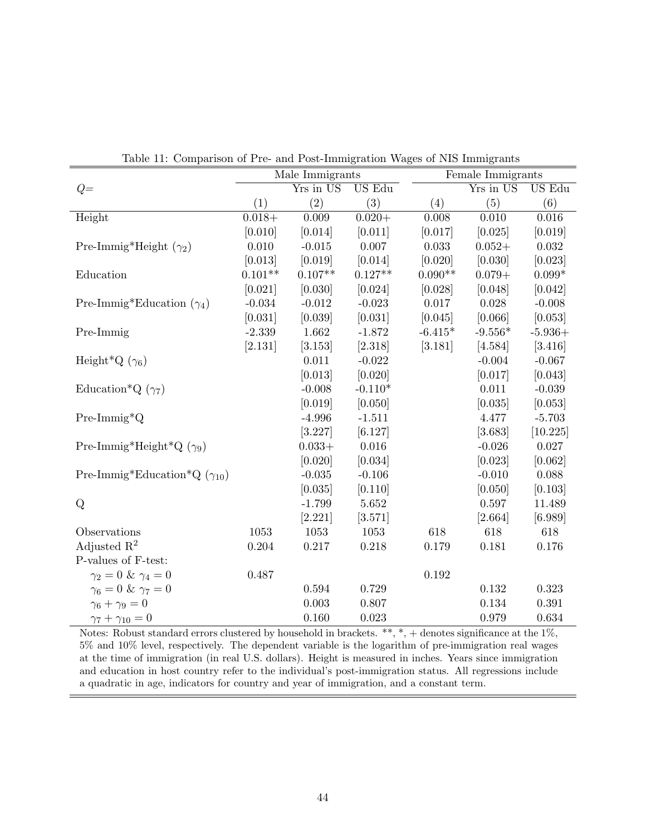|                                       | Male Immigrants |           |                     |           | $\frac{1}{2}$<br>Female Immigrants |                     |  |  |
|---------------------------------------|-----------------|-----------|---------------------|-----------|------------------------------------|---------------------|--|--|
| $Q=$                                  |                 | Yrs in US | $\overline{US Edu}$ |           | Yrs in US                          | $\overline{US Edu}$ |  |  |
|                                       | (1)             | (2)       | (3)                 | (4)       | (5)                                | (6)                 |  |  |
| Height                                | $0.018+$        | 0.009     | $0.020+$            | 0.008     | 0.010                              | 0.016               |  |  |
|                                       | [0.010]         | [0.014]   | [0.011]             | [0.017]   | [0.025]                            | [0.019]             |  |  |
| Pre-Immig*Height $(\gamma_2)$         | 0.010           | $-0.015$  | 0.007               | 0.033     | $0.052+$                           | 0.032               |  |  |
|                                       | [0.013]         | [0.019]   | [0.014]             | [0.020]   | [0.030]                            | [0.023]             |  |  |
| Education                             | $0.101**$       | $0.107**$ | $0.127**$           | $0.090**$ | $0.079+$                           | $0.099*$            |  |  |
|                                       | [0.021]         | [0.030]   | [0.024]             | [0.028]   | [0.048]                            | [0.042]             |  |  |
| Pre-Immig*Education $(\gamma_4)$      | $-0.034$        | $-0.012$  | $-0.023$            | 0.017     | 0.028                              | $-0.008$            |  |  |
|                                       | [0.031]         | [0.039]   | [0.031]             | [0.045]   | [0.066]                            | [0.053]             |  |  |
| Pre-Immig                             | $-2.339$        | 1.662     | $-1.872$            | $-6.415*$ | $-9.556*$                          | $-5.936+$           |  |  |
|                                       | [2.131]         | [3.153]   | [2.318]             | [3.181]   | [4.584]                            | [3.416]             |  |  |
| Height*Q $(\gamma_6)$                 |                 | 0.011     | $-0.022$            |           | $-0.004$                           | $-0.067$            |  |  |
|                                       |                 | [0.013]   | [0.020]             |           | [0.017]                            | [0.043]             |  |  |
| Education*Q $(\gamma_7)$              |                 | $-0.008$  | $-0.110*$           |           | 0.011                              | $-0.039$            |  |  |
|                                       |                 | [0.019]   | [0.050]             |           | [0.035]                            | [0.053]             |  |  |
| $Pre-Immig^*Q$                        |                 | $-4.996$  | $-1.511$            |           | 4.477                              | $-5.703$            |  |  |
|                                       |                 | [3.227]   | [6.127]             |           | [3.683]                            | [10.225]            |  |  |
| Pre-Immig*Height*Q $(\gamma_9)$       |                 | $0.033+$  | 0.016               |           | $-0.026$                           | 0.027               |  |  |
|                                       |                 | [0.020]   | [0.034]             |           | [0.023]                            | [0.062]             |  |  |
| Pre-Immig*Education*Q $(\gamma_{10})$ |                 | $-0.035$  | $-0.106$            |           | $-0.010$                           | 0.088               |  |  |
|                                       |                 | [0.035]   | [0.110]             |           | [0.050]                            | [0.103]             |  |  |
| Q                                     |                 | $-1.799$  | 5.652               |           | 0.597                              | 11.489              |  |  |
|                                       |                 | [2.221]   | [3.571]             |           | [2.664]                            | [6.989]             |  |  |
| Observations                          | 1053            | 1053      | $1053\,$            | 618       | 618                                | 618                 |  |  |
| Adjusted $\mathbb{R}^2$               | 0.204           | 0.217     | 0.218               | 0.179     | 0.181                              | 0.176               |  |  |
| P-values of F-test:                   |                 |           |                     |           |                                    |                     |  |  |
| $\gamma_2 = 0 \& \gamma_4 = 0$        | 0.487           |           |                     | 0.192     |                                    |                     |  |  |
| $\gamma_6 = 0 \& \gamma_7 = 0$        |                 | 0.594     | 0.729               |           | 0.132                              | 0.323               |  |  |
| $\gamma_6 + \gamma_9 = 0$             |                 | 0.003     | 0.807               |           | 0.134                              | 0.391               |  |  |
| $\gamma_7 + \gamma_{10} = 0$          |                 | 0.160     | 0.023               |           | 0.979                              | 0.634               |  |  |

Table 11: Comparison of Pre- and Post-Immigration Wages of NIS Immigrants

Notes: Robust standard errors clustered by household in brackets. \*\*, \*, + denotes significance at the  $1\%$ , 5% and 10% level, respectively. The dependent variable is the logarithm of pre-immigration real wages at the time of immigration (in real U.S. dollars). Height is measured in inches. Years since immigration and education in host country refer to the individual's post-immigration status. All regressions include a quadratic in age, indicators for country and year of immigration, and a constant term.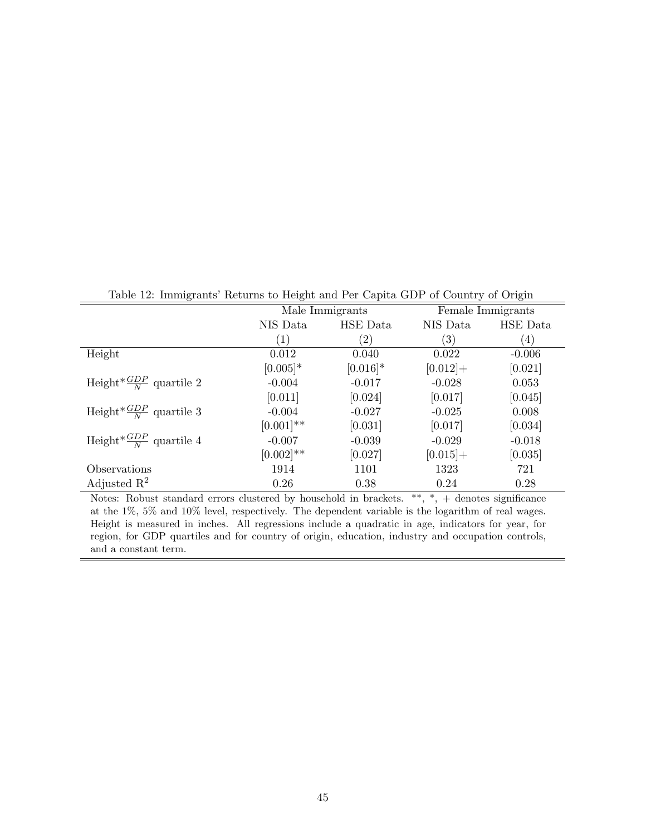| Table 12. Immigratio Teodino to Height and I of Capita GDT of Country of Origin |                      |                   |                   |          |  |  |  |
|---------------------------------------------------------------------------------|----------------------|-------------------|-------------------|----------|--|--|--|
|                                                                                 |                      | Male Immigrants   | Female Immigrants |          |  |  |  |
|                                                                                 | NIS Data<br>HSE Data |                   | NIS Data          | HSE Data |  |  |  |
|                                                                                 | $\left( 1\right)$    | $\left( 2\right)$ | $\left( 3\right)$ | (4)      |  |  |  |
| Height                                                                          | 0.012                | 0.040             | 0.022             | $-0.006$ |  |  |  |
|                                                                                 | $[0.005]$ *          | $[0.016]*$        | $[0.012] +$       | [0.021]  |  |  |  |
| Height <sup>*</sup> $\frac{GDP}{N}$ quartile 2                                  | $-0.004$             | $-0.017$          | $-0.028$          | 0.053    |  |  |  |
|                                                                                 | [0.011]              | [0.024]           | [0.017]           | [0.045]  |  |  |  |
| Height <sup>*</sup> $\frac{GDP}{N}$ quartile 3                                  | $-0.004$             | $-0.027$          | $-0.025$          | 0.008    |  |  |  |
|                                                                                 | $[0.001]$ **         | [0.031]           | [0.017]           | [0.034]  |  |  |  |
| Height <sup>*</sup> $\frac{GDP}{N}$ quartile 4                                  | $-0.007$             | $-0.039$          | $-0.029$          | $-0.018$ |  |  |  |
|                                                                                 | $[0.002]$ **         | [0.027]           | $[0.015]+$        | [0.035]  |  |  |  |
| Observations                                                                    | 1914                 | 1101              | 1323              | 721      |  |  |  |
| Adjusted $\mathbb{R}^2$                                                         | 0.26                 | 0.38              | 0.24              | 0.28     |  |  |  |

Table 12: Immigrants' Returns to Height and Per Capita GDP of Country of Origin

Notes: Robust standard errors clustered by household in brackets. \*\*, \*, + denotes significance at the 1%, 5% and 10% level, respectively. The dependent variable is the logarithm of real wages. Height is measured in inches. All regressions include a quadratic in age, indicators for year, for region, for GDP quartiles and for country of origin, education, industry and occupation controls, and a constant term.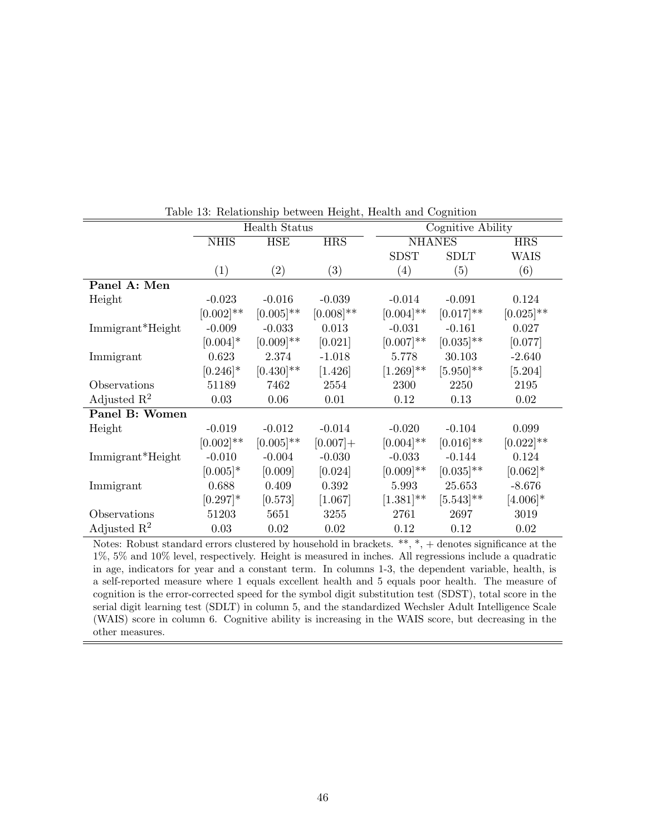|                         |              | <b>Health Status</b>     |              |                | Cognitive Ability |              |  |  |
|-------------------------|--------------|--------------------------|--------------|----------------|-------------------|--------------|--|--|
|                         | <b>NHIS</b>  | <b>HSE</b><br><b>HRS</b> |              |                | <b>NHANES</b>     | <b>HRS</b>   |  |  |
|                         |              |                          |              | <b>SDST</b>    | <b>SDLT</b>       | <b>WAIS</b>  |  |  |
|                         |              |                          |              |                |                   |              |  |  |
|                         | (1)          | (2)                      | (3)          | (4)            | (5)               | (6)          |  |  |
| Panel A: Men            |              |                          |              |                |                   |              |  |  |
| Height                  | $-0.023$     | $-0.016$                 | $-0.039$     | $-0.014$       | $-0.091$          | 0.124        |  |  |
|                         | $[0.002]$ ** | $[0.005]$ **             | $[0.008]$ ** | $[0.004]$ **   | $[0.017]$ **      | $[0.025]$ ** |  |  |
| Immigrant*Height        | $-0.009$     | $-0.033$                 | 0.013        | $-0.031$       | $-0.161$          | 0.027        |  |  |
|                         | $[0.004]*$   | $[0.009]$ **             | [0.021]      | $[0.007]^{**}$ | $[0.035]^{**}$    | [0.077]      |  |  |
| Immigrant               | 0.623        | 2.374                    | $-1.018$     | 5.778          | 30.103            | $-2.640$     |  |  |
|                         | $[0.246]$ *  | $[0.430]$ **             | [1.426]      | $[1.269]^{**}$ | $[5.950]$ **      | [5.204]      |  |  |
| Observations            | 51189        | 7462                     | 2554         | 2300           | 2250              | 2195         |  |  |
| Adjusted $\mathbb{R}^2$ | 0.03         | 0.06                     | 0.01         | 0.12           | 0.13              | 0.02         |  |  |
| Panel B: Women          |              |                          |              |                |                   |              |  |  |
| Height                  | $-0.019$     | $-0.012$                 | $-0.014$     | $-0.020$       | $-0.104$          | 0.099        |  |  |
|                         | $[0.002]$ ** | $[0.005]$ **             | $[0.007]+$   | $[0.004]$ **   | $[0.016]^{**}$    | $[0.022]$ ** |  |  |
| Immigrant*Height        | $-0.010$     | $-0.004$                 | $-0.030$     | $-0.033$       | $-0.144$          | 0.124        |  |  |
|                         | $[0.005]$ *  | [0.009]                  | [0.024]      | $[0.009]$ **   | $[0.035]^{**}$    | $[0.062]*$   |  |  |
| Immigrant               | 0.688        | 0.409                    | 0.392        | 5.993          | 25.653            | $-8.676$     |  |  |
|                         | $[0.297]$ *  | [0.573]                  | [1.067]      | $[1.381]^{**}$ | $[5.543]$ **      | $[4.006]*$   |  |  |
| Observations            | 51203        | 5651                     | 3255         | 2761           | 2697              | 3019         |  |  |
| Adjusted $\mathbb{R}^2$ | 0.03         | 0.02                     | 0.02         | 0.12           | 0.12              | 0.02         |  |  |

Table 13: Relationship between Height, Health and Cognition

Notes: Robust standard errors clustered by household in brackets. \*\*, \*, + denotes significance at the 1%, 5% and 10% level, respectively. Height is measured in inches. All regressions include a quadratic in age, indicators for year and a constant term. In columns 1-3, the dependent variable, health, is a self-reported measure where 1 equals excellent health and 5 equals poor health. The measure of cognition is the error-corrected speed for the symbol digit substitution test (SDST), total score in the serial digit learning test (SDLT) in column 5, and the standardized Wechsler Adult Intelligence Scale (WAIS) score in column 6. Cognitive ability is increasing in the WAIS score, but decreasing in the other measures.